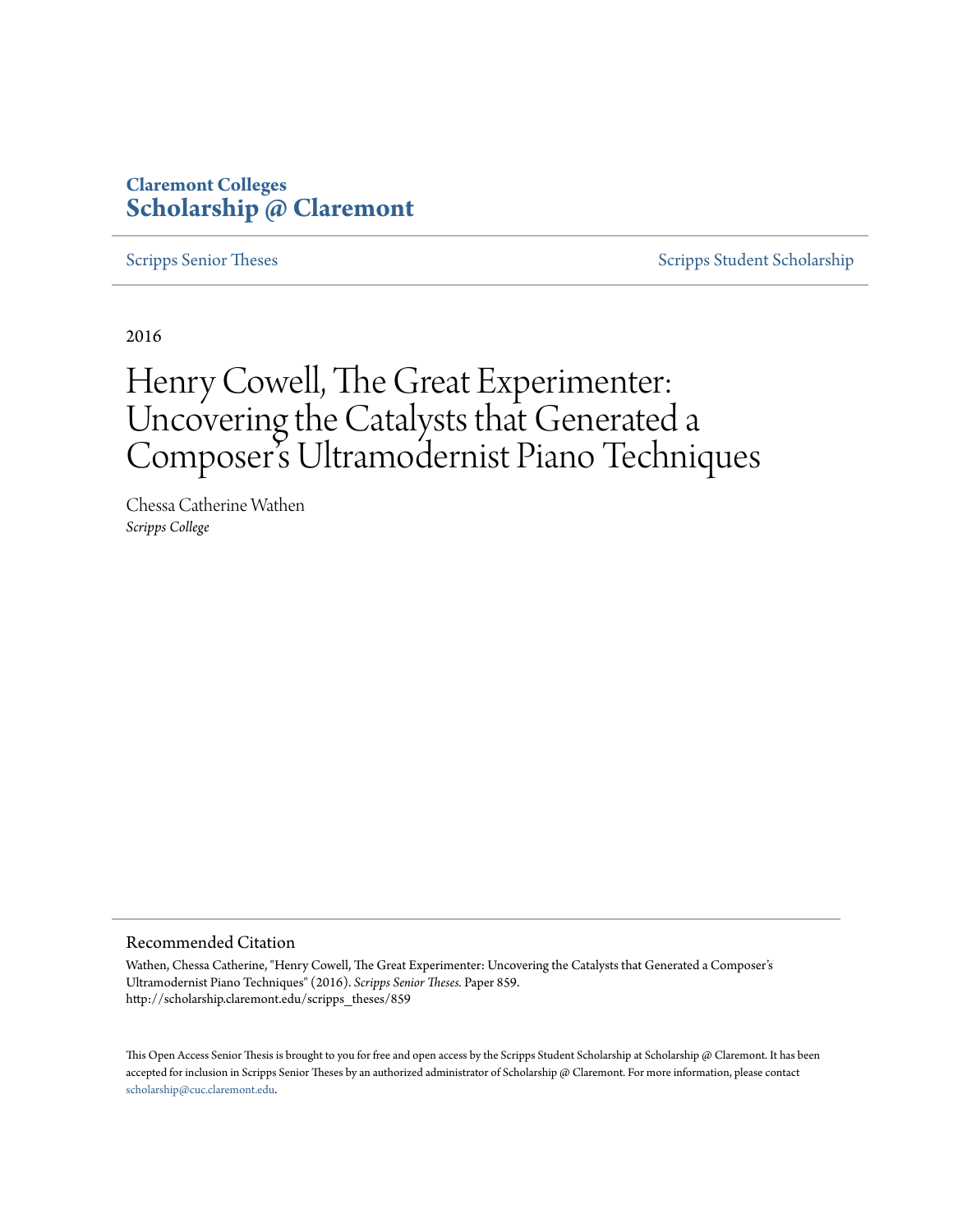## **Claremont Colleges [Scholarship @ Claremont](http://scholarship.claremont.edu)**

[Scripps Senior Theses](http://scholarship.claremont.edu/scripps_theses) [Scripps Student Scholarship](http://scholarship.claremont.edu/scripps_student)

2016

# Henry Cowell, The Great Experimenter: Uncovering the Catalysts that Generated a Composer 's Ultramodernist Piano Techniques

Chessa Catherine Wathen *Scripps College*

#### Recommended Citation

Wathen, Chessa Catherine, "Henry Cowell, The Great Experimenter: Uncovering the Catalysts that Generated a Composer's Ultramodernist Piano Techniques" (2016). *Scripps Senior Theses.* Paper 859. http://scholarship.claremont.edu/scripps\_theses/859

This Open Access Senior Thesis is brought to you for free and open access by the Scripps Student Scholarship at Scholarship @ Claremont. It has been accepted for inclusion in Scripps Senior Theses by an authorized administrator of Scholarship @ Claremont. For more information, please contact [scholarship@cuc.claremont.edu.](mailto:scholarship@cuc.claremont.edu)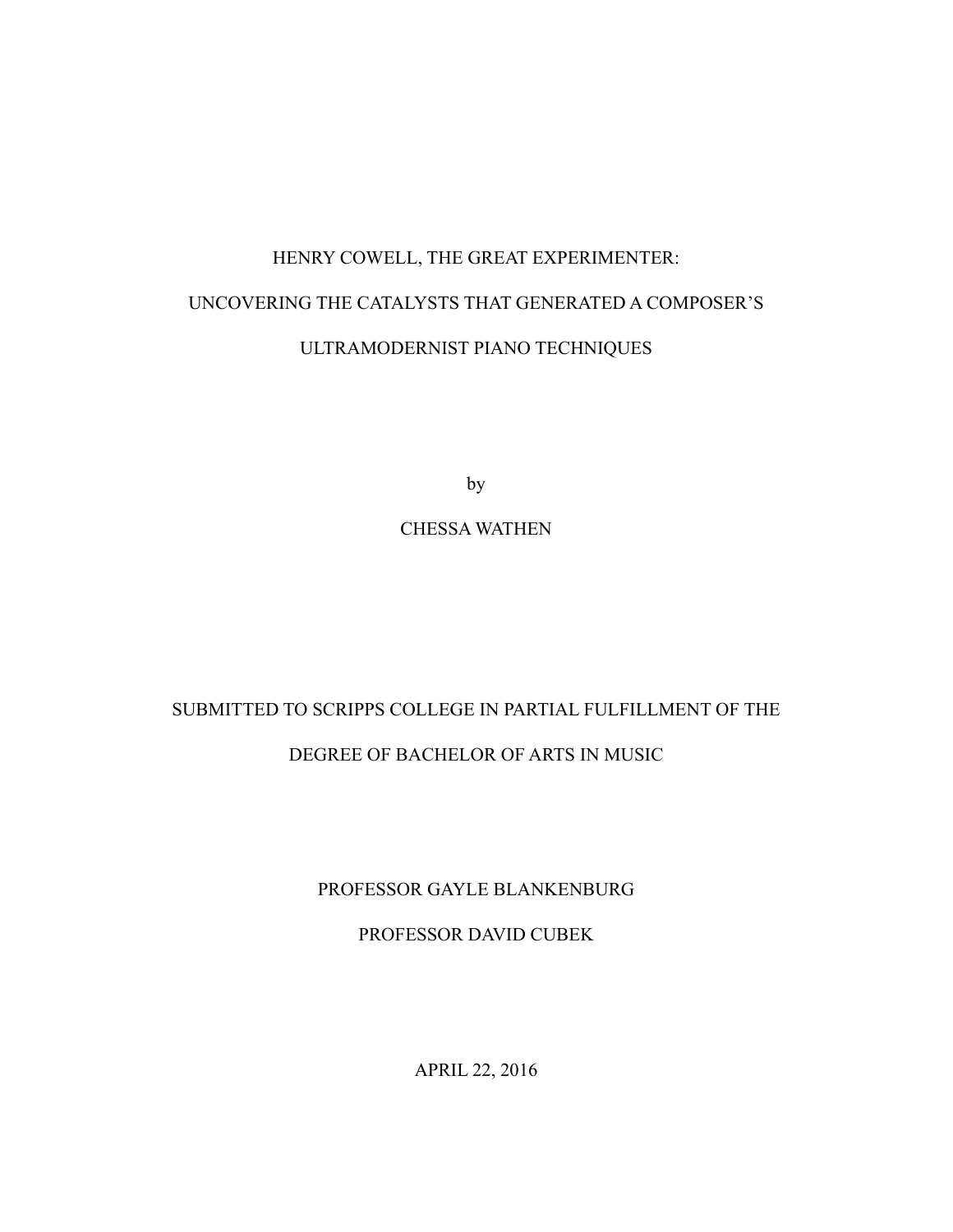# HENRY COWELL, THE GREAT EXPERIMENTER: UNCOVERING THE CATALYSTS THAT GENERATED A COMPOSER'S ULTRAMODERNIST PIANO TECHNIQUES

by

## CHESSA WATHEN

## SUBMITTED TO SCRIPPS COLLEGE IN PARTIAL FULFILLMENT OF THE

## DEGREE OF BACHELOR OF ARTS IN MUSIC

### PROFESSOR GAYLE BLANKENBURG

### PROFESSOR DAVID CUBEK

APRIL 22, 2016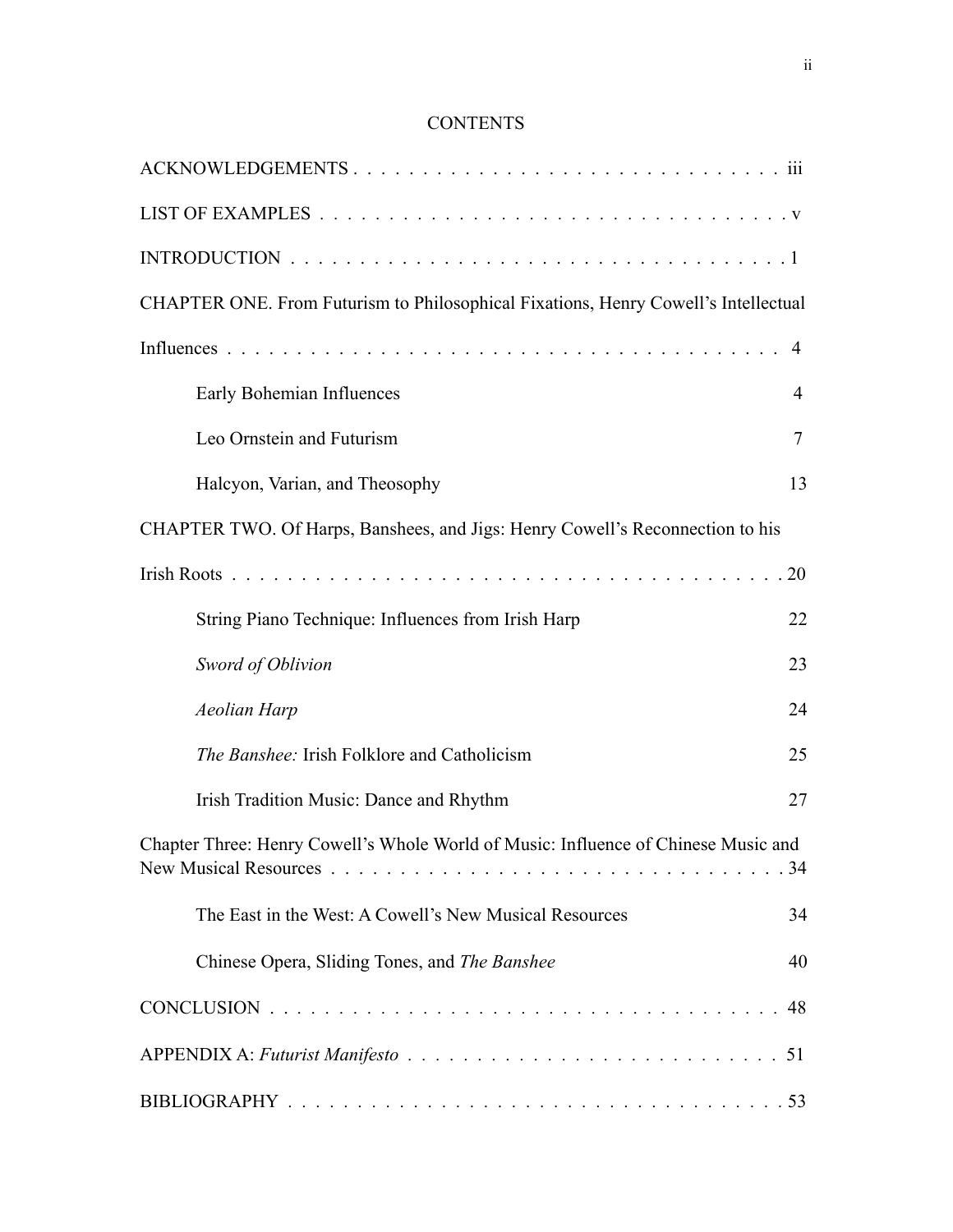## **CONTENTS**

| CHAPTER ONE. From Futurism to Philosophical Fixations, Henry Cowell's Intellectual |                |
|------------------------------------------------------------------------------------|----------------|
|                                                                                    | 4              |
| Early Bohemian Influences                                                          | $\overline{4}$ |
| Leo Ornstein and Futurism                                                          | $\overline{7}$ |
| Halcyon, Varian, and Theosophy                                                     | 13             |
| CHAPTER TWO. Of Harps, Banshees, and Jigs: Henry Cowell's Reconnection to his      |                |
|                                                                                    | 20             |
| String Piano Technique: Influences from Irish Harp                                 | 22             |
| Sword of Oblivion                                                                  | 23             |
| <b>Aeolian Harp</b>                                                                | 24             |
| The Banshee: Irish Folklore and Catholicism                                        | 25             |
| Irish Tradition Music: Dance and Rhythm                                            | 27             |
| Chapter Three: Henry Cowell's Whole World of Music: Influence of Chinese Music and | 34             |
| The East in the West: A Cowell's New Musical Resources                             | 34             |
| Chinese Opera, Sliding Tones, and The Banshee                                      | 40             |
|                                                                                    |                |
|                                                                                    |                |
|                                                                                    |                |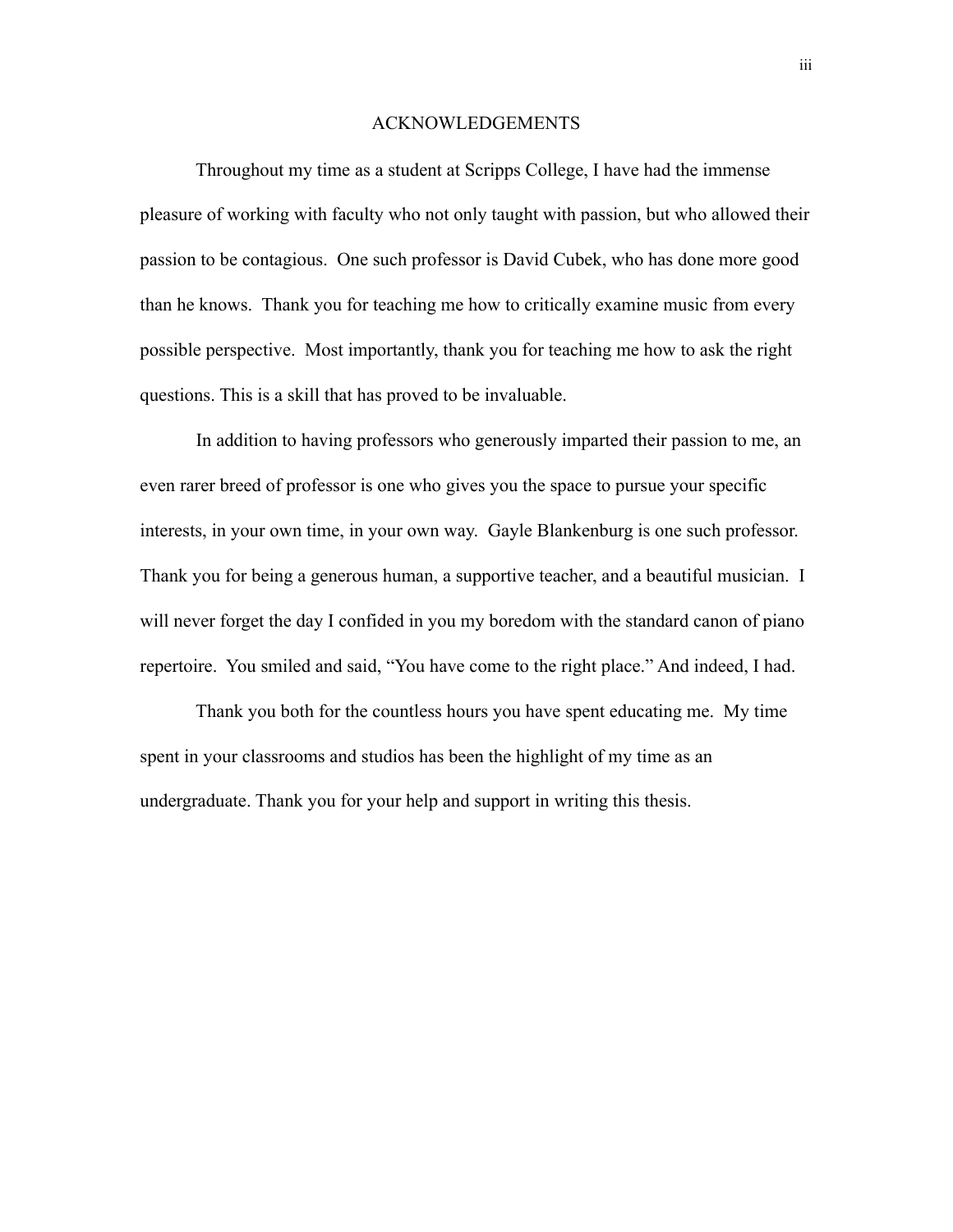#### ACKNOWLEDGEMENTS

 Throughout my time as a student at Scripps College, I have had the immense pleasure of working with faculty who not only taught with passion, but who allowed their passion to be contagious. One such professor is David Cubek, who has done more good than he knows. Thank you for teaching me how to critically examine music from every possible perspective. Most importantly, thank you for teaching me how to ask the right questions. This is a skill that has proved to be invaluable.

 In addition to having professors who generously imparted their passion to me, an even rarer breed of professor is one who gives you the space to pursue your specific interests, in your own time, in your own way. Gayle Blankenburg is one such professor. Thank you for being a generous human, a supportive teacher, and a beautiful musician. I will never forget the day I confided in you my boredom with the standard canon of piano repertoire. You smiled and said, "You have come to the right place." And indeed, I had.

 Thank you both for the countless hours you have spent educating me. My time spent in your classrooms and studios has been the highlight of my time as an undergraduate. Thank you for your help and support in writing this thesis.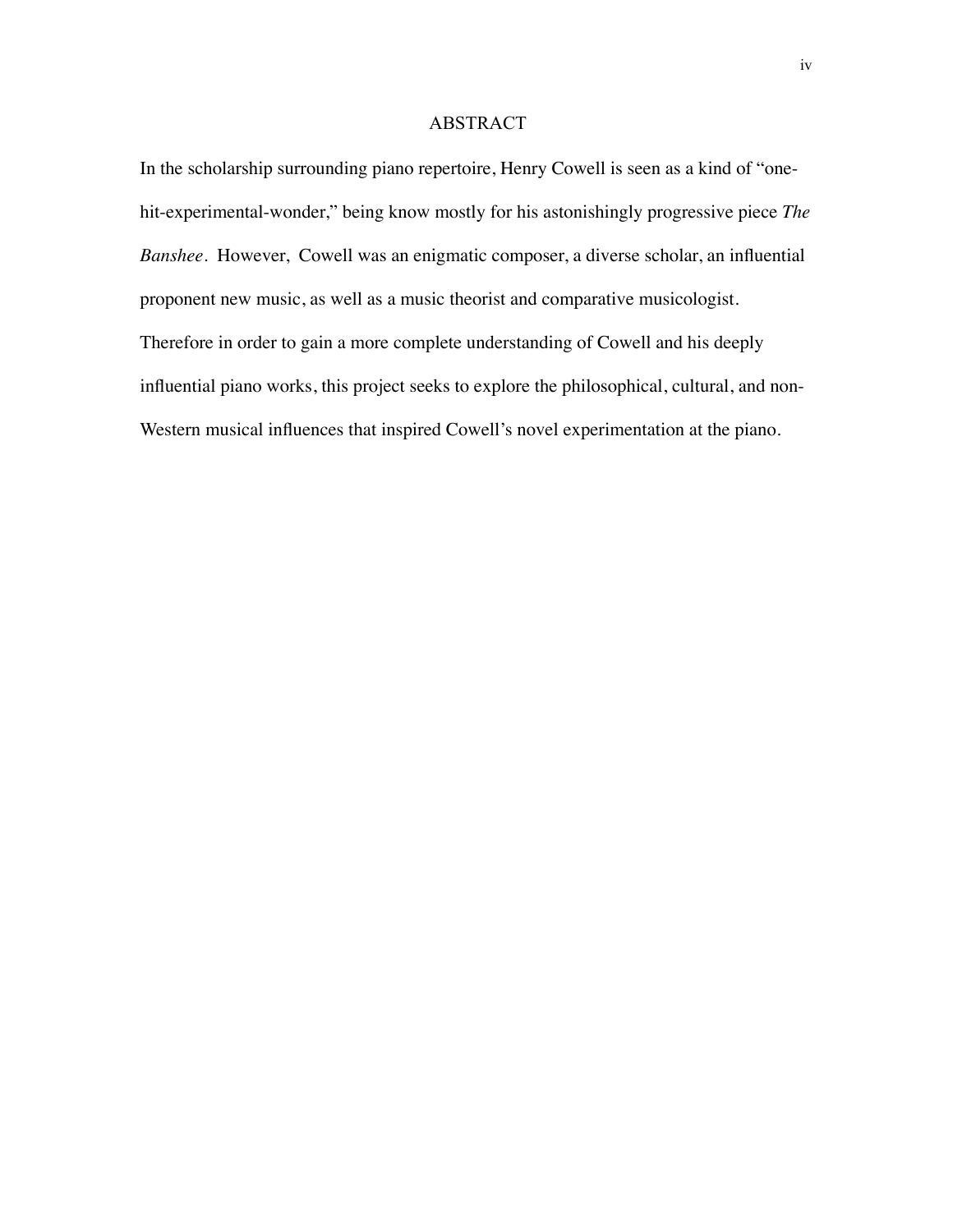#### ABSTRACT

In the scholarship surrounding piano repertoire, Henry Cowell is seen as a kind of "onehit-experimental-wonder," being know mostly for his astonishingly progressive piece *The Banshee.* However, Cowell was an enigmatic composer, a diverse scholar, an influential proponent new music, as well as a music theorist and comparative musicologist. Therefore in order to gain a more complete understanding of Cowell and his deeply influential piano works, this project seeks to explore the philosophical, cultural, and non-Western musical influences that inspired Cowell's novel experimentation at the piano.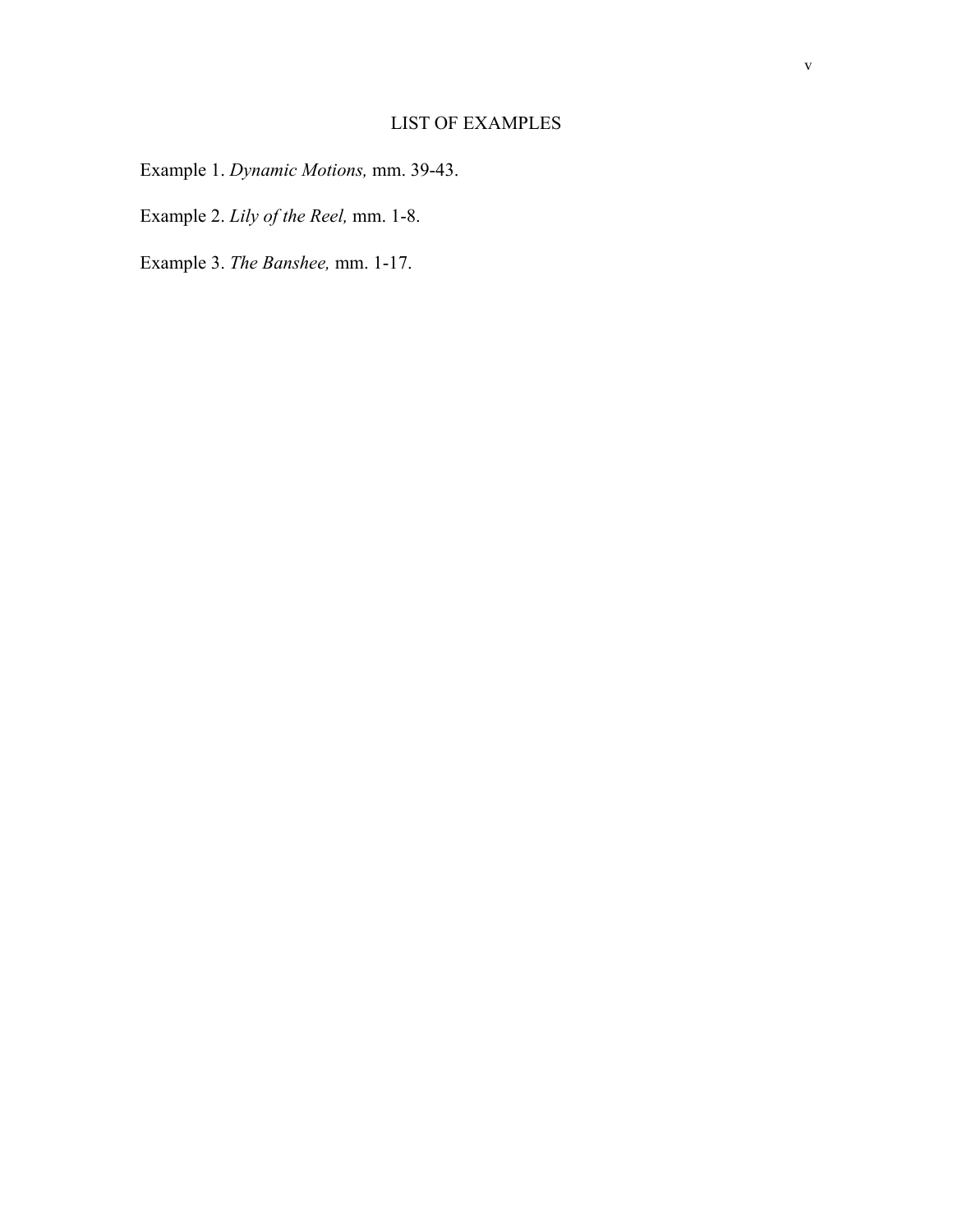## LIST OF EXAMPLES

Example 1. *Dynamic Motions,* mm. 39-43.

Example 2. *Lily of the Reel,* mm. 1-8.

Example 3. *The Banshee,* mm. 1-17.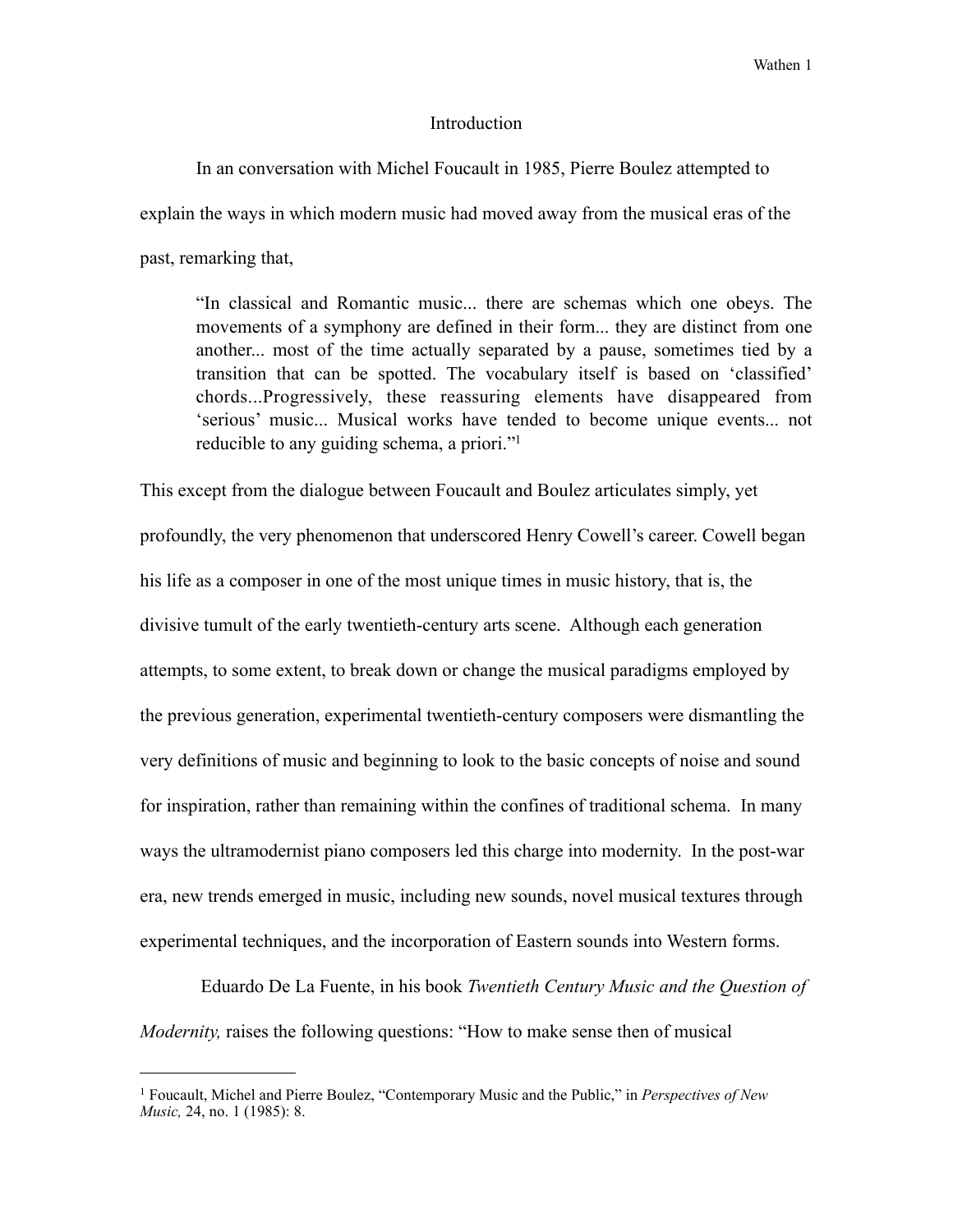#### Introduction

 In an conversation with Michel Foucault in 1985, Pierre Boulez attempted to explain the ways in which modern music had moved away from the musical eras of the past, remarking that,

 "In classical and Romantic music... there are schemas which one obeys. The movements of a symphony are defined in their form... they are distinct from one another... most of the time actually separated by a pause, sometimes tied by a transition that can be spotted. The vocabulary itself is based on 'classified' chords...Progressively, these reassuring elements have disappeared from 'serious' music... Musical works have tended to become unique events... not reducible to any guiding schema, a priori.["1](#page-6-0)

This except from the dialogue between Foucault and Boulez articulates simply, yet profoundly, the very phenomenon that underscored Henry Cowell's career. Cowell began his life as a composer in one of the most unique times in music history, that is, the divisive tumult of the early twentieth-century arts scene. Although each generation attempts, to some extent, to break down or change the musical paradigms employed by the previous generation, experimental twentieth-century composers were dismantling the very definitions of music and beginning to look to the basic concepts of noise and sound for inspiration, rather than remaining within the confines of traditional schema. In many ways the ultramodernist piano composers led this charge into modernity. In the post-war era, new trends emerged in music, including new sounds, novel musical textures through experimental techniques, and the incorporation of Eastern sounds into Western forms.

 Eduardo De La Fuente, in his book *Twentieth Century Music and the Question of Modernity,* raises the following questions: "How to make sense then of musical

<span id="page-6-0"></span><sup>1</sup> Foucault, Michel and Pierre Boulez, "Contemporary Music and the Public," in *Perspectives of New Music*, 24, no. 1 (1985): 8.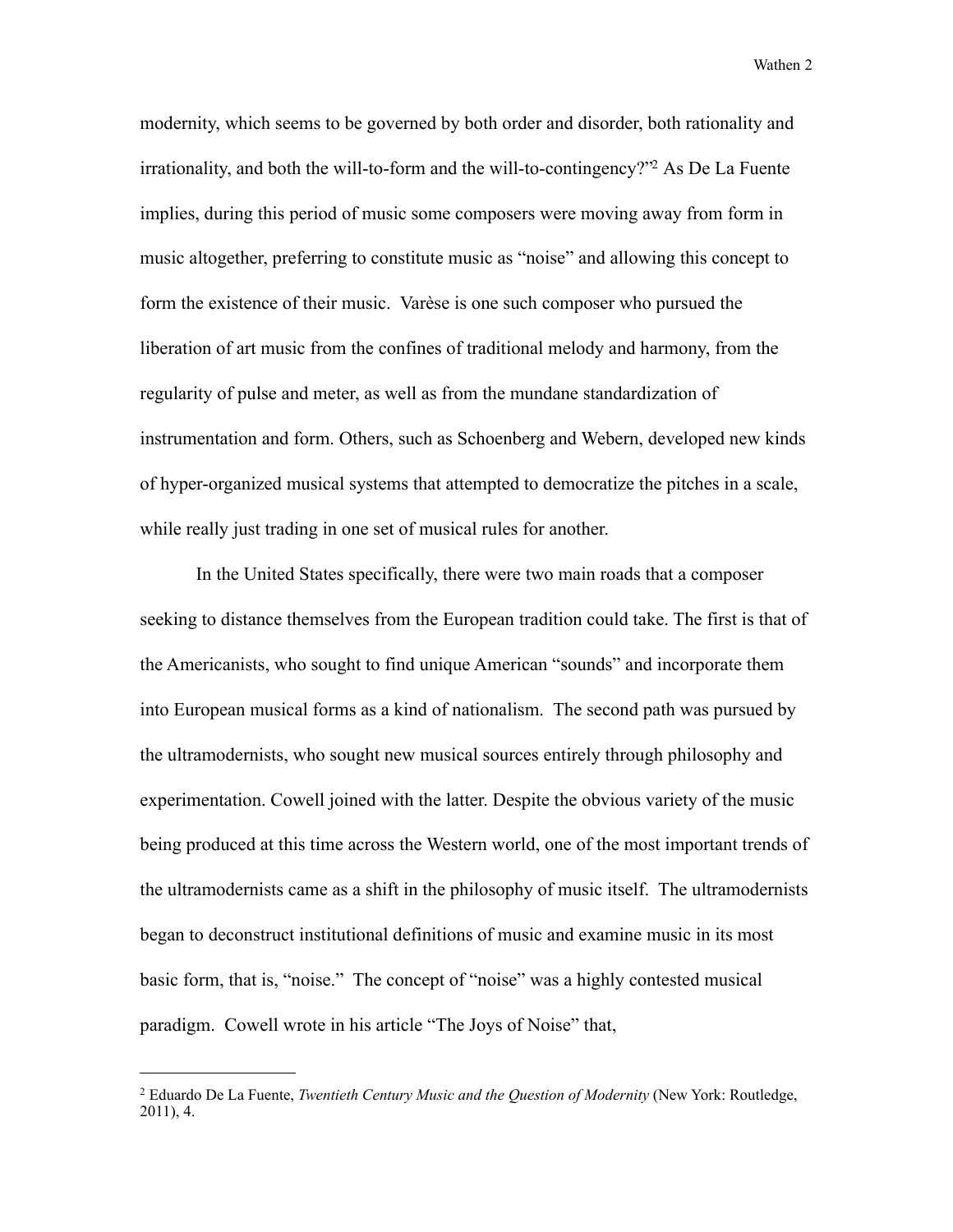modernity, which seems to be governed by both order and disorder, both rationality and irrationality, and both the will-to-form and the will-to-contingency?["2](#page-7-0) As De La Fuente implies, during this period of music some composers were moving away from form in music altogether, preferring to constitute music as "noise" and allowing this concept to form the existence of their music. Varèse is one such composer who pursued the liberation of art music from the confines of traditional melody and harmony, from the regularity of pulse and meter, as well as from the mundane standardization of instrumentation and form. Others, such as Schoenberg and Webern, developed new kinds of hyper-organized musical systems that attempted to democratize the pitches in a scale, while really just trading in one set of musical rules for another.

 In the United States specifically, there were two main roads that a composer seeking to distance themselves from the European tradition could take. The first is that of the Americanists, who sought to find unique American "sounds" and incorporate them into European musical forms as a kind of nationalism. The second path was pursued by the ultramodernists, who sought new musical sources entirely through philosophy and experimentation. Cowell joined with the latter. Despite the obvious variety of the music being produced at this time across the Western world, one of the most important trends of the ultramodernists came as a shift in the philosophy of music itself. The ultramodernists began to deconstruct institutional definitions of music and examine music in its most basic form, that is, "noise." The concept of "noise" was a highly contested musical paradigm. Cowell wrote in his article "The Joys of Noise" that,

<span id="page-7-0"></span><sup>2</sup> Eduardo De La Fuente, *Twentieth Century Music and the Question of Modernity* (New York: Routledge, 2011), 4.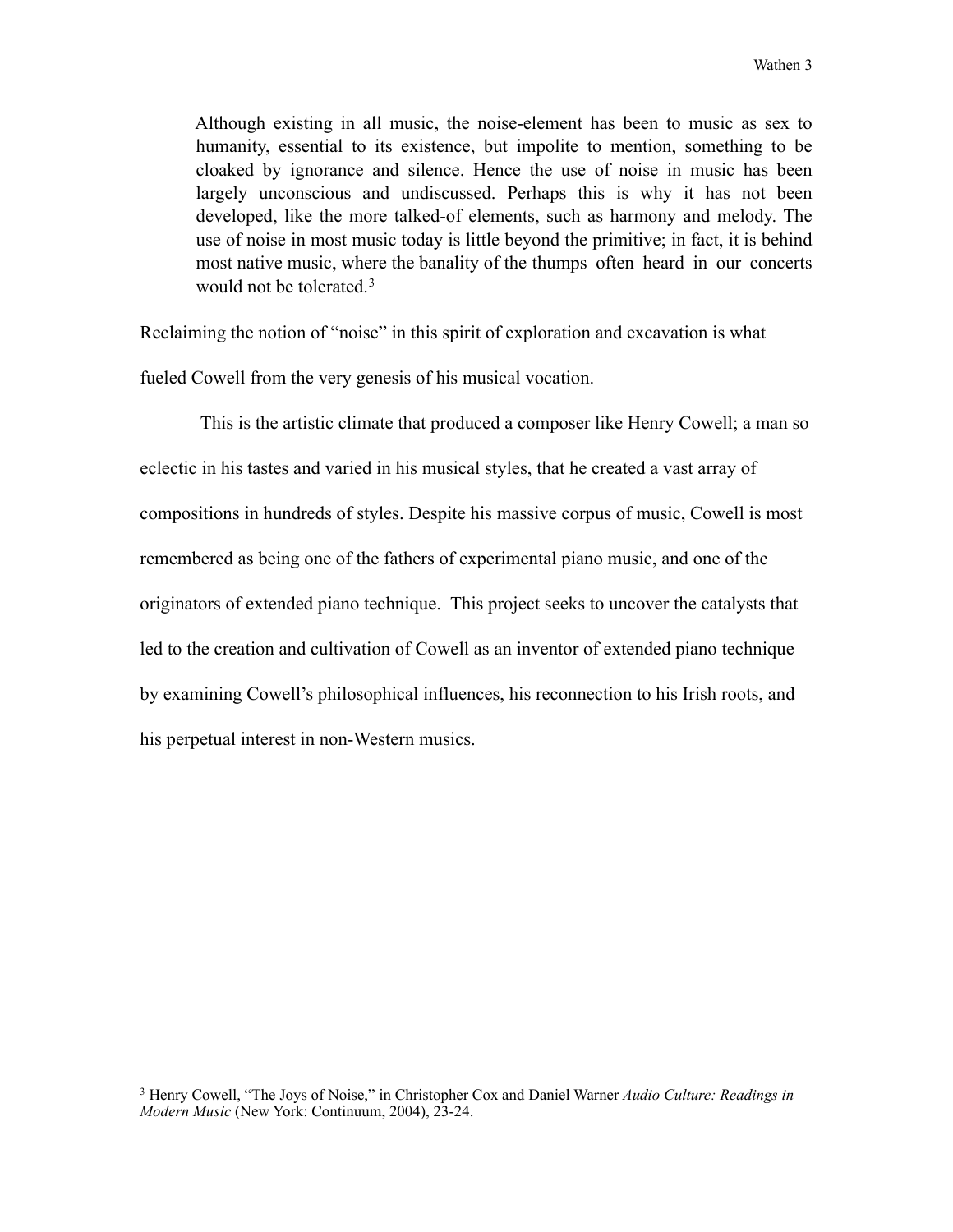Although existing in all music, the noise-element has been to music as sex to humanity, essential to its existence, but impolite to mention, something to be cloaked by ignorance and silence. Hence the use of noise in music has been largely unconscious and undiscussed. Perhaps this is why it has not been developed, like the more talked-of elements, such as harmony and melody. The use of noise in most music today is little beyond the primitive; in fact, it is behind most native music, where the banality of the thumps often heard in our concerts would not be tolerated.[3](#page-8-0)

Reclaiming the notion of "noise" in this spirit of exploration and excavation is what

fueled Cowell from the very genesis of his musical vocation.

 This is the artistic climate that produced a composer like Henry Cowell; a man so eclectic in his tastes and varied in his musical styles, that he created a vast array of compositions in hundreds of styles. Despite his massive corpus of music, Cowell is most remembered as being one of the fathers of experimental piano music, and one of the originators of extended piano technique. This project seeks to uncover the catalysts that led to the creation and cultivation of Cowell as an inventor of extended piano technique by examining Cowell's philosophical influences, his reconnection to his Irish roots, and his perpetual interest in non-Western musics.

<span id="page-8-0"></span><sup>3</sup> Henry Cowell, "The Joys of Noise," in Christopher Cox and Daniel Warner *Audio Culture: Readings in Modern Music* (New York: Continuum, 2004), 23-24.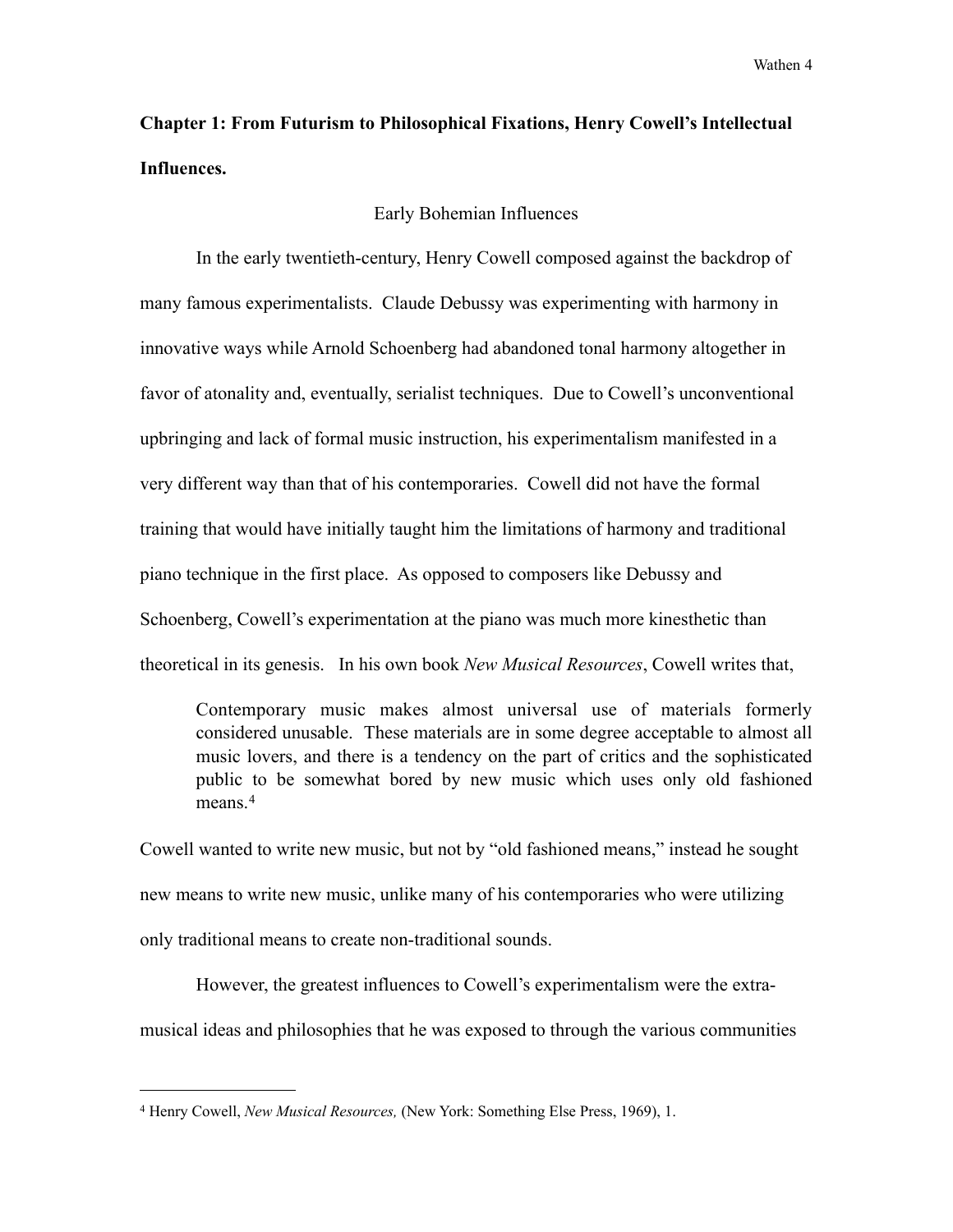## **Chapter 1: From Futurism to Philosophical Fixations, Henry Cowell's Intellectual Influences.**

#### Early Bohemian Influences

 In the early twentieth-century, Henry Cowell composed against the backdrop of many famous experimentalists. Claude Debussy was experimenting with harmony in innovative ways while Arnold Schoenberg had abandoned tonal harmony altogether in favor of atonality and, eventually, serialist techniques. Due to Cowell's unconventional upbringing and lack of formal music instruction, his experimentalism manifested in a very different way than that of his contemporaries. Cowell did not have the formal training that would have initially taught him the limitations of harmony and traditional piano technique in the first place. As opposed to composers like Debussy and Schoenberg, Cowell's experimentation at the piano was much more kinesthetic than theoretical in its genesis. In his own book *New Musical Resources*, Cowell writes that,

 Contemporary music makes almost universal use of materials formerly considered unusable. These materials are in some degree acceptable to almost all music lovers, and there is a tendency on the part of critics and the sophisticated public to be somewhat bored by new music which uses only old fashioned means<sup>[4](#page-9-0)</sup>

Cowell wanted to write new music, but not by "old fashioned means," instead he sought new means to write new music, unlike many of his contemporaries who were utilizing only traditional means to create non-traditional sounds.

 However, the greatest influences to Cowell's experimentalism were the extramusical ideas and philosophies that he was exposed to through the various communities

<span id="page-9-0"></span><sup>4</sup> Henry Cowell, *New Musical Resources,* (New York: Something Else Press, 1969), 1.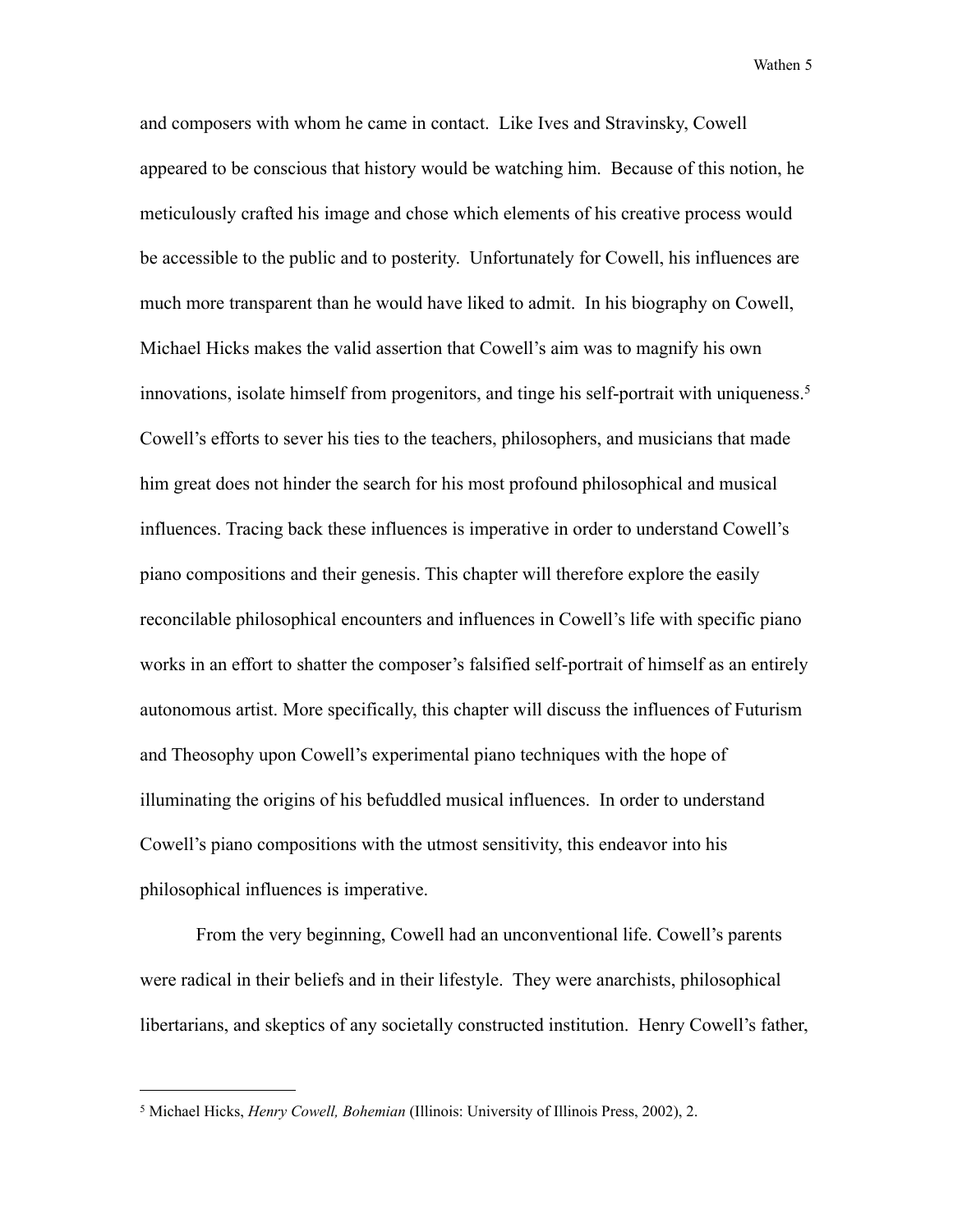and composers with whom he came in contact. Like Ives and Stravinsky, Cowell appeared to be conscious that history would be watching him. Because of this notion, he meticulously crafted his image and chose which elements of his creative process would be accessible to the public and to posterity. Unfortunately for Cowell, his influences are much more transparent than he would have liked to admit. In his biography on Cowell, Michael Hicks makes the valid assertion that Cowell's aim was to magnify his own innovations, isolate himself from progenitors, and tinge his self-portrait with uniqueness.<sup>[5](#page-10-0)</sup> Cowell's efforts to sever his ties to the teachers, philosophers, and musicians that made him great does not hinder the search for his most profound philosophical and musical influences. Tracing back these influences is imperative in order to understand Cowell's piano compositions and their genesis. This chapter will therefore explore the easily reconcilable philosophical encounters and influences in Cowell's life with specific piano works in an effort to shatter the composer's falsified self-portrait of himself as an entirely autonomous artist. More specifically, this chapter will discuss the influences of Futurism and Theosophy upon Cowell's experimental piano techniques with the hope of illuminating the origins of his befuddled musical influences. In order to understand Cowell's piano compositions with the utmost sensitivity, this endeavor into his philosophical influences is imperative.

 From the very beginning, Cowell had an unconventional life. Cowell's parents were radical in their beliefs and in their lifestyle. They were anarchists, philosophical libertarians, and skeptics of any societally constructed institution. Henry Cowell's father,

<span id="page-10-0"></span><sup>5</sup> Michael Hicks, *Henry Cowell, Bohemian* (Illinois: University of Illinois Press, 2002), 2.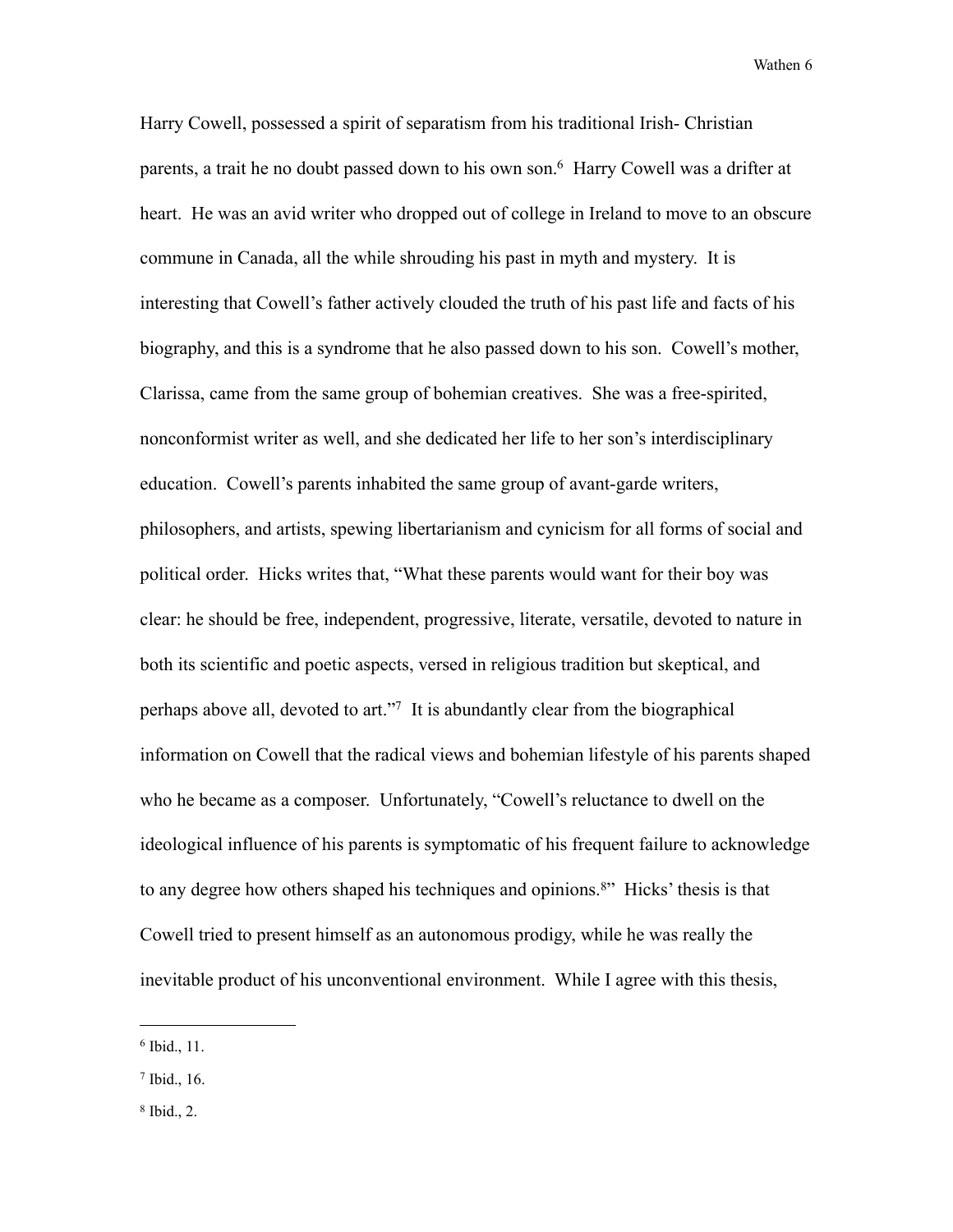Harry Cowell, possessed a spirit of separatism from his traditional Irish- Christian parents, a trait he no doubt passed down to his own son.<sup>6</sup> Harry Cowell was a drifter at heart. He was an avid writer who dropped out of college in Ireland to move to an obscure commune in Canada, all the while shrouding his past in myth and mystery. It is interesting that Cowell's father actively clouded the truth of his past life and facts of his biography, and this is a syndrome that he also passed down to his son. Cowell's mother, Clarissa, came from the same group of bohemian creatives. She was a free-spirited, nonconformist writer as well, and she dedicated her life to her son's interdisciplinary education. Cowell's parents inhabited the same group of avant-garde writers, philosophers, and artists, spewing libertarianism and cynicism for all forms of social and political order. Hicks writes that, "What these parents would want for their boy was clear: he should be free, independent, progressive, literate, versatile, devoted to nature in both its scientific and poetic aspects, versed in religious tradition but skeptical, and perhaps above all, devoted to art.["7](#page-11-1) It is abundantly clear from the biographical information on Cowell that the radical views and bohemian lifestyle of his parents shaped who he became as a composer. Unfortunately, "Cowell's reluctance to dwell on the ideological influence of his parents is symptomatic of his frequent failure to acknowledge to any degree how others shaped his techniques and opinions.<sup>[8"](#page-11-2)</sup> Hicks' thesis is that Cowell tried to present himself as an autonomous prodigy, while he was really the inevitable product of his unconventional environment. While I agree with this thesis,

<span id="page-11-0"></span><sup>6</sup> Ibid., 11.

<span id="page-11-1"></span><sup>7</sup> Ibid., 16.

<span id="page-11-2"></span><sup>8</sup> Ibid., 2.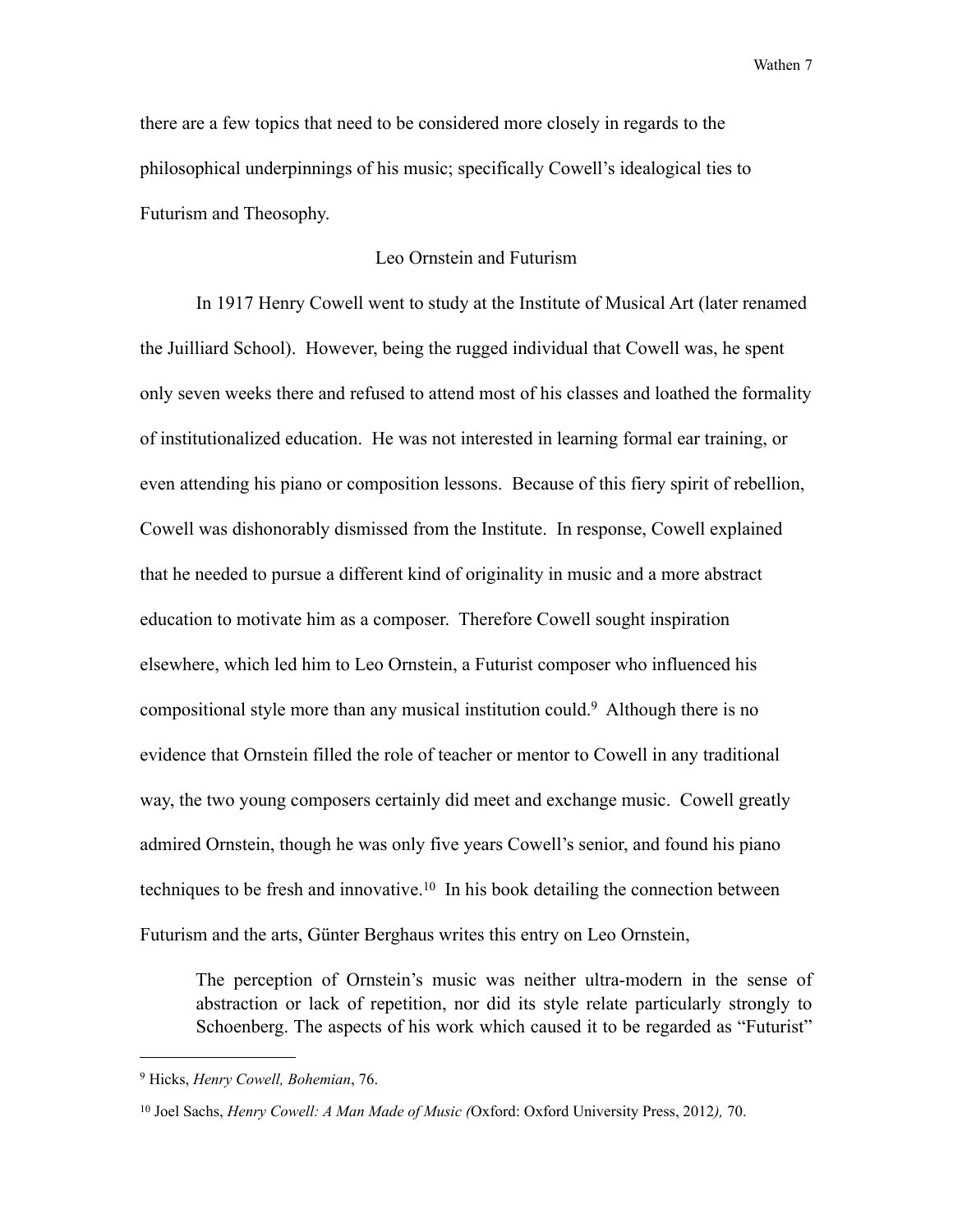there are a few topics that need to be considered more closely in regards to the philosophical underpinnings of his music; specifically Cowell's idealogical ties to Futurism and Theosophy.

#### Leo Ornstein and Futurism

 In 1917 Henry Cowell went to study at the Institute of Musical Art (later renamed the Juilliard School). However, being the rugged individual that Cowell was, he spent only seven weeks there and refused to attend most of his classes and loathed the formality of institutionalized education. He was not interested in learning formal ear training, or even attending his piano or composition lessons. Because of this fiery spirit of rebellion, Cowell was dishonorably dismissed from the Institute. In response, Cowell explained that he needed to pursue a different kind of originality in music and a more abstract education to motivate him as a composer. Therefore Cowell sought inspiration elsewhere, which led him to Leo Ornstein, a Futurist composer who influenced his compositional style more than any musical institution could.[9](#page-12-0) Although there is no evidence that Ornstein filled the role of teacher or mentor to Cowell in any traditional way, the two young composers certainly did meet and exchange music. Cowell greatly admired Ornstein, though he was only five years Cowell's senior, and found his piano techniques to be fresh and innovative.<sup>10</sup> In his book detailing the connection between Futurism and the arts, Günter Berghaus writes this entry on Leo Ornstein,

 The perception of Ornstein's music was neither ultra-modern in the sense of abstraction or lack of repetition, nor did its style relate particularly strongly to Schoenberg. The aspects of his work which caused it to be regarded as "Futurist"

<span id="page-12-0"></span><sup>9</sup> Hicks, *Henry Cowell, Bohemian*, 76.

<span id="page-12-1"></span><sup>10</sup> Joel Sachs, *Henry Cowell: A Man Made of Music (*Oxford: Oxford University Press, 2012*),* 70.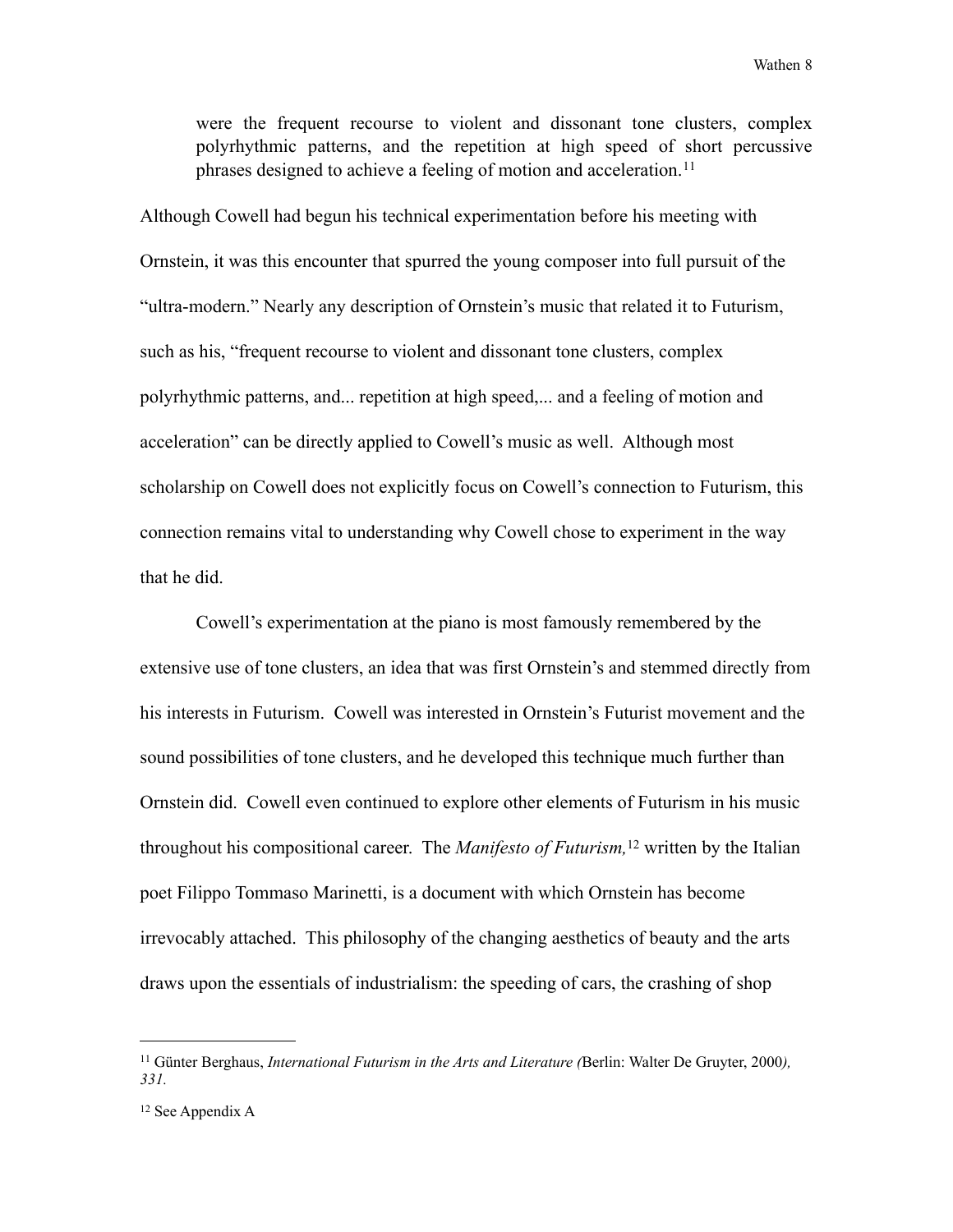were the frequent recourse to violent and dissonant tone clusters, complex polyrhythmic patterns, and the repetition at high speed of short percussive phrases designed to achieve a feeling of motion and acceleration.<sup>[11](#page-13-0)</sup>

Although Cowell had begun his technical experimentation before his meeting with Ornstein, it was this encounter that spurred the young composer into full pursuit of the "ultra-modern." Nearly any description of Ornstein's music that related it to Futurism, such as his, "frequent recourse to violent and dissonant tone clusters, complex polyrhythmic patterns, and... repetition at high speed,... and a feeling of motion and acceleration" can be directly applied to Cowell's music as well. Although most scholarship on Cowell does not explicitly focus on Cowell's connection to Futurism, this connection remains vital to understanding why Cowell chose to experiment in the way that he did.

 Cowell's experimentation at the piano is most famously remembered by the extensive use of tone clusters, an idea that was first Ornstein's and stemmed directly from his interests in Futurism. Cowell was interested in Ornstein's Futurist movement and the sound possibilities of tone clusters, and he developed this technique much further than Ornstein did. Cowell even continued to explore other elements of Futurism in his music throughout his compositional career. The *Manifesto of Futurism,*[12](#page-13-1) written by the Italian poet Filippo Tommaso Marinetti, is a document with which Ornstein has become irrevocably attached. This philosophy of the changing aesthetics of beauty and the arts draws upon the essentials of industrialism: the speeding of cars, the crashing of shop

<span id="page-13-0"></span><sup>11</sup> Günter Berghaus, *International Futurism in the Arts and Literature (*Berlin: Walter De Gruyter, 2000*), 331.*

<span id="page-13-1"></span><sup>12</sup> See Appendix A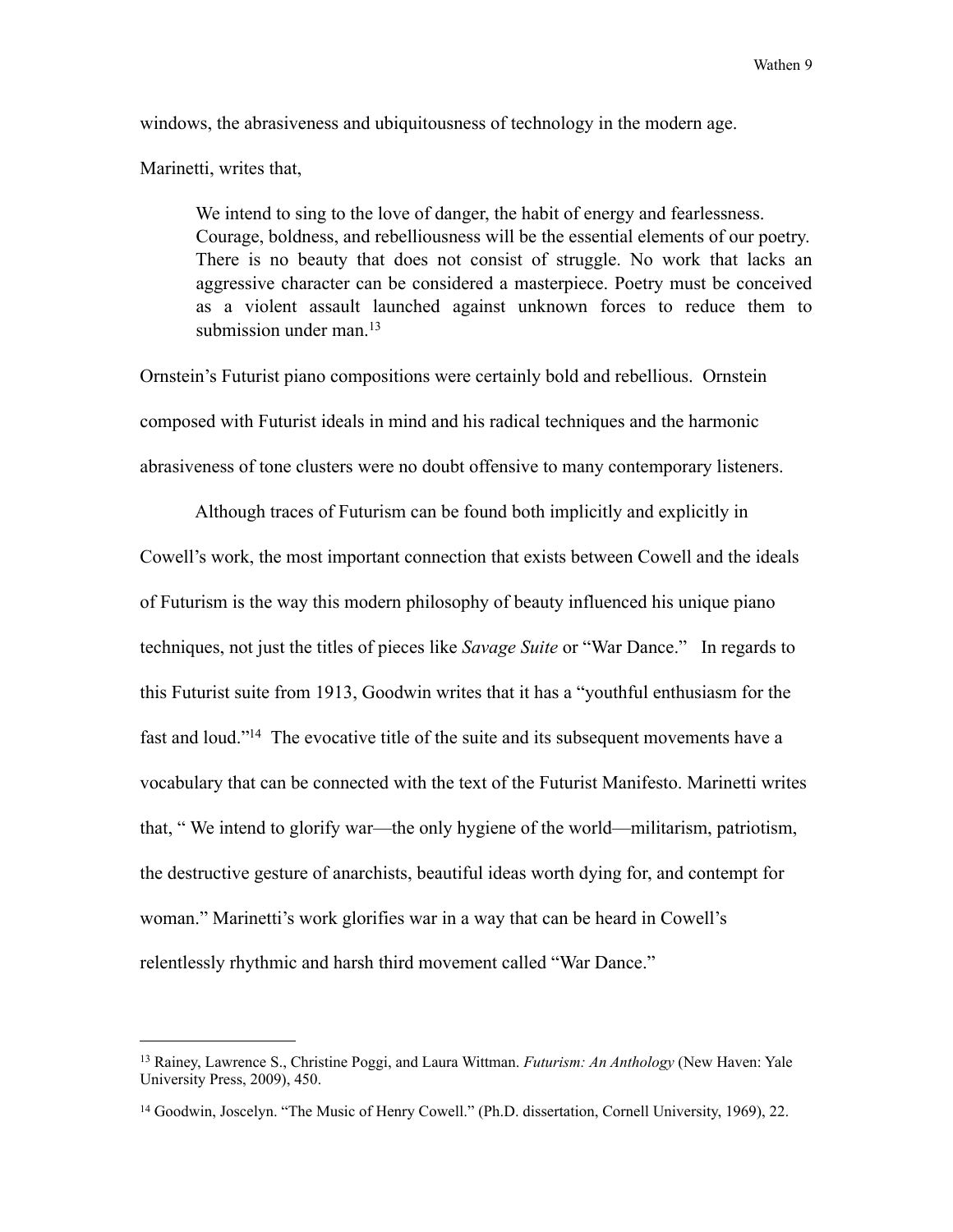windows, the abrasiveness and ubiquitousness of technology in the modern age.

Marinetti, writes that,

 We intend to sing to the love of danger, the habit of energy and fearlessness. Courage, boldness, and rebelliousness will be the essential elements of our poetry. There is no beauty that does not consist of struggle. No work that lacks an aggressive character can be considered a masterpiece. Poetry must be conceived as a violent assault launched against unknown forces to reduce them to submission under man  $13$ 

Ornstein's Futurist piano compositions were certainly bold and rebellious. Ornstein composed with Futurist ideals in mind and his radical techniques and the harmonic abrasiveness of tone clusters were no doubt offensive to many contemporary listeners.

 Although traces of Futurism can be found both implicitly and explicitly in Cowell's work, the most important connection that exists between Cowell and the ideals of Futurism is the way this modern philosophy of beauty influenced his unique piano techniques, not just the titles of pieces like *Savage Suite* or "War Dance." In regards to this Futurist suite from 1913, Goodwin writes that it has a "youthful enthusiasm for the fast and loud.["14](#page-14-1) The evocative title of the suite and its subsequent movements have a vocabulary that can be connected with the text of the Futurist Manifesto. Marinetti writes that, " We intend to glorify war—the only hygiene of the world—militarism, patriotism, the destructive gesture of anarchists, beautiful ideas worth dying for, and contempt for woman." Marinetti's work glorifies war in a way that can be heard in Cowell's relentlessly rhythmic and harsh third movement called "War Dance."

<span id="page-14-0"></span><sup>13</sup> Rainey, Lawrence S., Christine Poggi, and Laura Wittman. *Futurism: An Anthology* (New Haven: Yale University Press, 2009), 450.

<span id="page-14-1"></span><sup>14</sup> Goodwin, Joscelyn. "The Music of Henry Cowell." (Ph.D. dissertation, Cornell University, 1969), 22.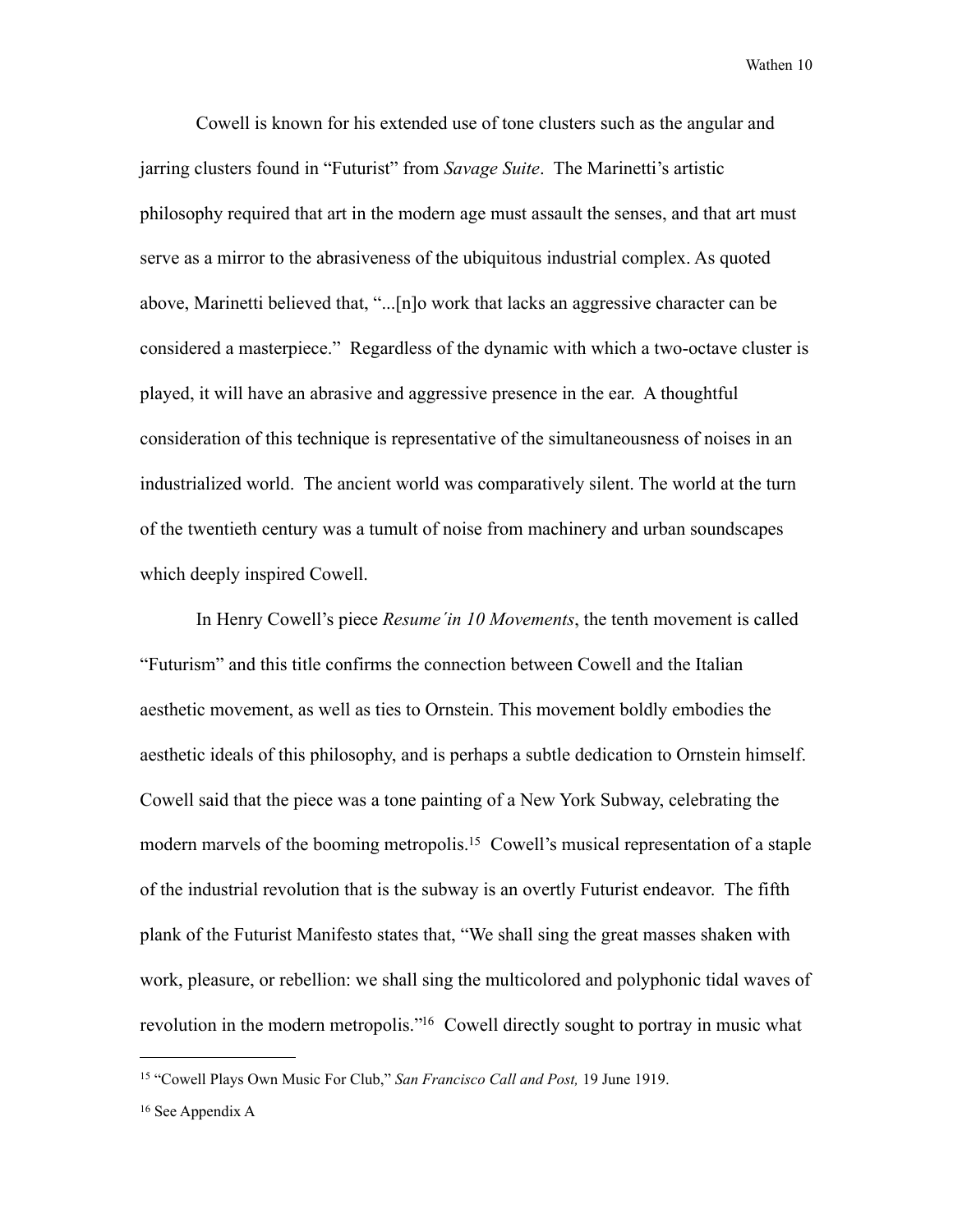Cowell is known for his extended use of tone clusters such as the angular and jarring clusters found in "Futurist" from *Savage Suite*. The Marinetti's artistic philosophy required that art in the modern age must assault the senses, and that art must serve as a mirror to the abrasiveness of the ubiquitous industrial complex. As quoted above, Marinetti believed that, "...[n]o work that lacks an aggressive character can be considered a masterpiece." Regardless of the dynamic with which a two-octave cluster is played, it will have an abrasive and aggressive presence in the ear. A thoughtful consideration of this technique is representative of the simultaneousness of noises in an industrialized world. The ancient world was comparatively silent. The world at the turn of the twentieth century was a tumult of noise from machinery and urban soundscapes which deeply inspired Cowell.

 In Henry Cowell's piece *Resume´in 10 Movements*, the tenth movement is called "Futurism" and this title confirms the connection between Cowell and the Italian aesthetic movement, as well as ties to Ornstein. This movement boldly embodies the aesthetic ideals of this philosophy, and is perhaps a subtle dedication to Ornstein himself. Cowell said that the piece was a tone painting of a New York Subway, celebrating the modern marvels of the booming metropolis.<sup>15</sup> Cowell's musical representation of a staple of the industrial revolution that is the subway is an overtly Futurist endeavor. The fifth plank of the Futurist Manifesto states that, "We shall sing the great masses shaken with work, pleasure, or rebellion: we shall sing the multicolored and polyphonic tidal waves of revolution in the modern metropolis."<sup>16</sup> Cowell directly sought to portray in music what

<span id="page-15-0"></span><sup>15 &</sup>quot;Cowell Plays Own Music For Club," *San Francisco Call and Post,* 19 June 1919.

<span id="page-15-1"></span><sup>16</sup> See Appendix A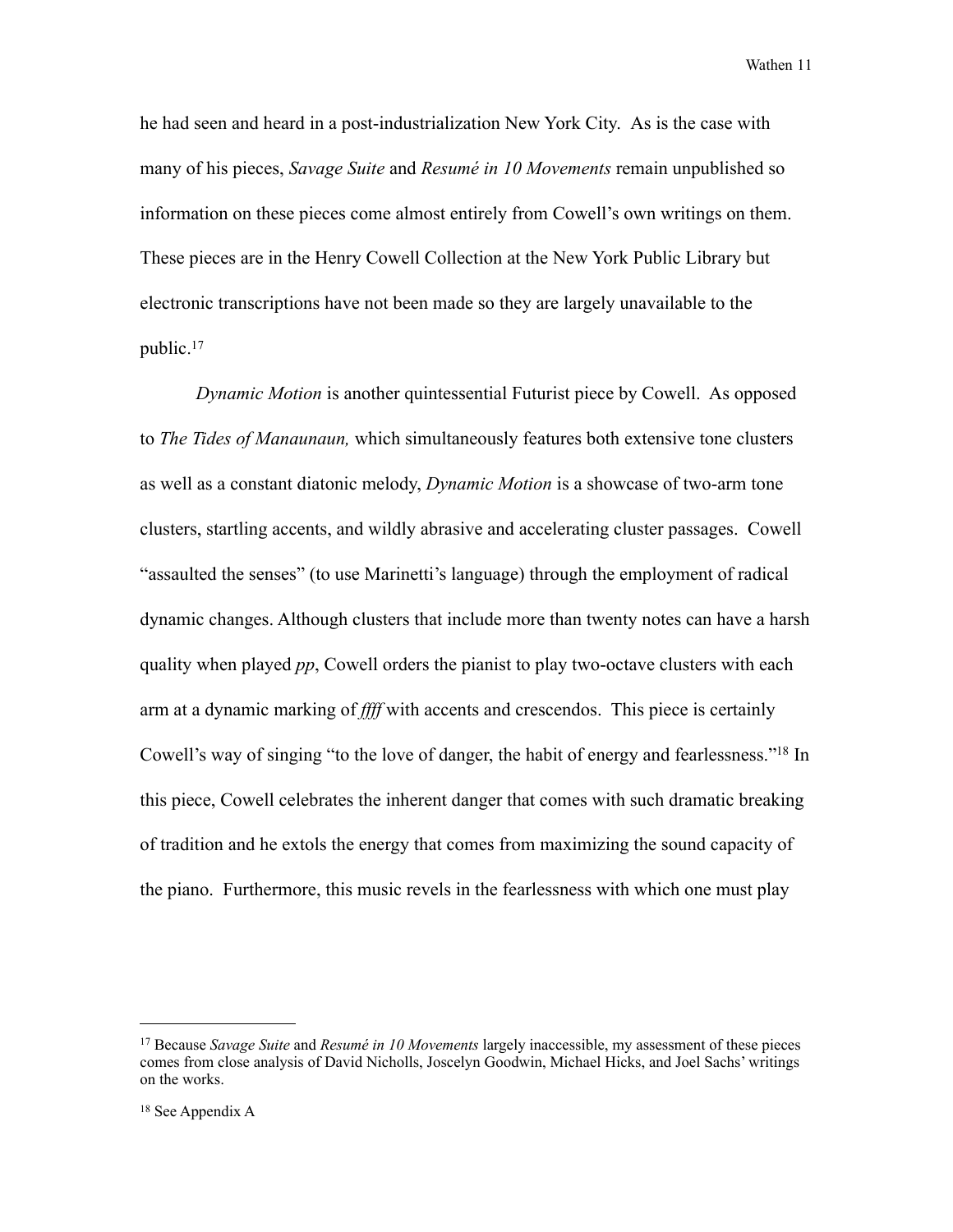he had seen and heard in a post-industrialization New York City. As is the case with many of his pieces, *Savage Suite* and *Resumé in 10 Movements* remain unpublished so information on these pieces come almost entirely from Cowell's own writings on them. These pieces are in the Henry Cowell Collection at the New York Public Library but electronic transcriptions have not been made so they are largely unavailable to the public.[17](#page-16-0)

*Dynamic Motion* is another quintessential Futurist piece by Cowell. As opposed to *The Tides of Manaunaun,* which simultaneously features both extensive tone clusters as well as a constant diatonic melody, *Dynamic Motion* is a showcase of two-arm tone clusters, startling accents, and wildly abrasive and accelerating cluster passages. Cowell "assaulted the senses" (to use Marinetti's language) through the employment of radical dynamic changes. Although clusters that include more than twenty notes can have a harsh quality when played *pp*, Cowell orders the pianist to play two-octave clusters with each arm at a dynamic marking of *ffff* with accents and crescendos. This piece is certainly Cowell's way of singing "to the love of danger, the habit of energy and fearlessness.["18](#page-16-1) In this piece, Cowell celebrates the inherent danger that comes with such dramatic breaking of tradition and he extols the energy that comes from maximizing the sound capacity of the piano. Furthermore, this music revels in the fearlessness with which one must play

<span id="page-16-0"></span><sup>17</sup> Because *Savage Suite* and *Resumé in 10 Movements* largely inaccessible, my assessment of these pieces comes from close analysis of David Nicholls, Joscelyn Goodwin, Michael Hicks, and Joel Sachs' writings on the works.

<span id="page-16-1"></span><sup>18</sup> See Appendix A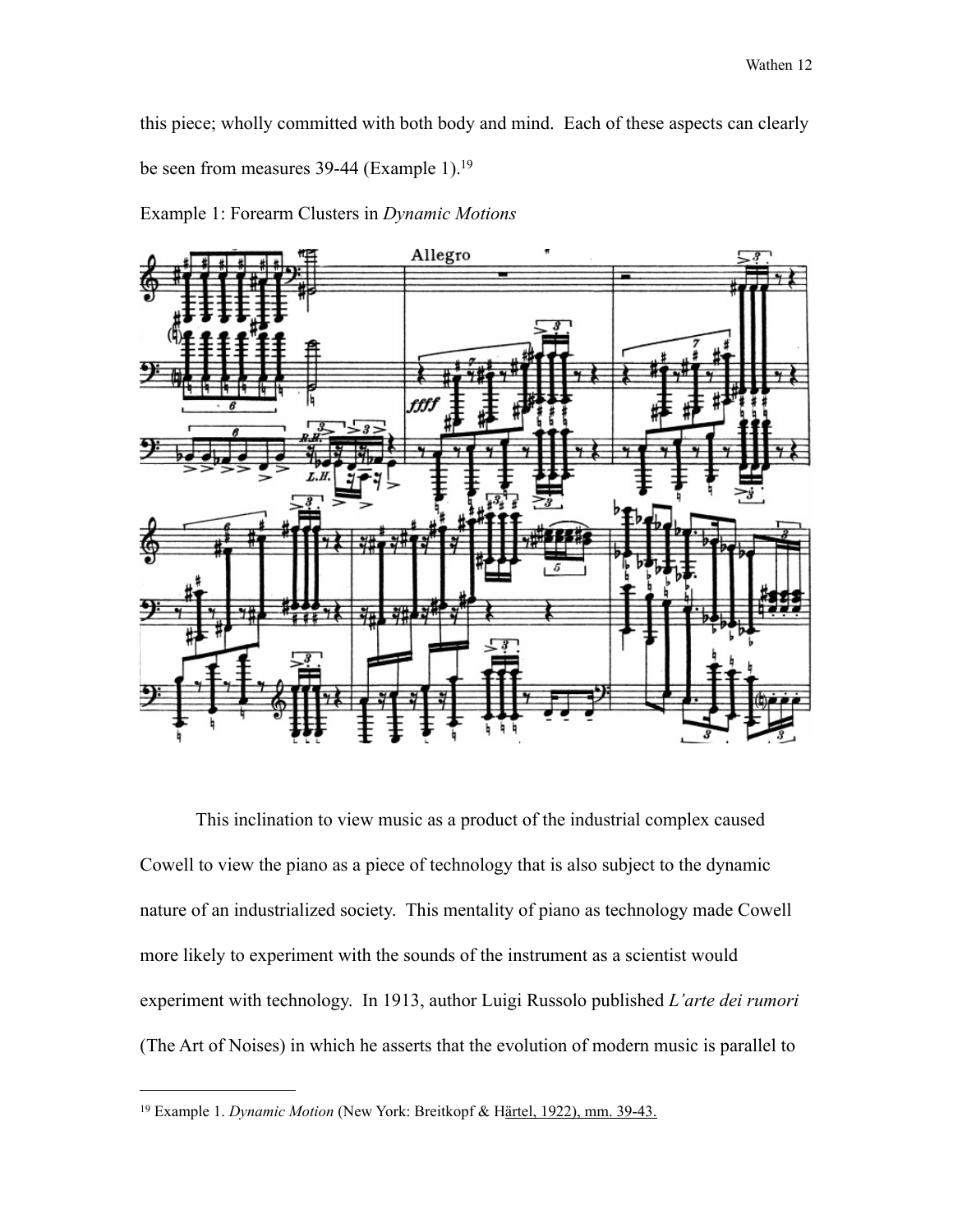this piece; wholly committed with both body and mind. Each of these aspects can clearly be seen from measures 39-44 (Example 1).<sup>19</sup>

Example 1: Forearm Clusters in *Dynamic Motions*



 This inclination to view music as a product of the industrial complex caused Cowell to view the piano as a piece of technology that is also subject to the dynamic nature of an industrialized society. This mentality of piano as technology made Cowell more likely to experiment with the sounds of the instrument as a scientist would experiment with technology. In 1913, author Luigi Russolo published *L'arte dei rumori* (The Art of Noises) in which he asserts that the evolution of modern music is parallel to

<span id="page-17-0"></span><sup>19</sup> Example 1. *Dynamic Motion* (New York: Breitkopf & Härtel, 1922), mm. 39-43.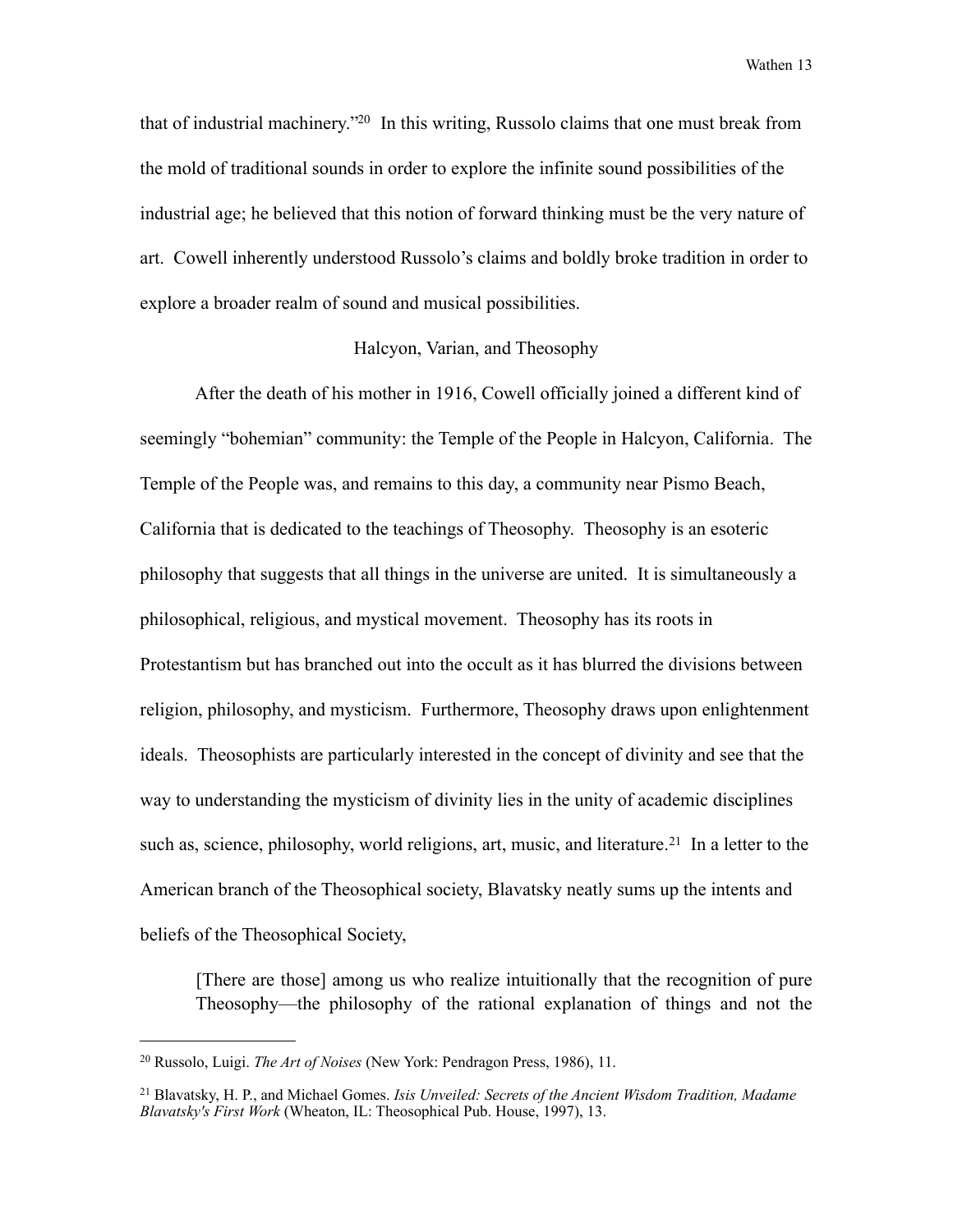that of industrial machinery.["20](#page-18-0) In this writing, Russolo claims that one must break from the mold of traditional sounds in order to explore the infinite sound possibilities of the industrial age; he believed that this notion of forward thinking must be the very nature of art. Cowell inherently understood Russolo's claims and boldly broke tradition in order to explore a broader realm of sound and musical possibilities.

#### Halcyon, Varian, and Theosophy

 After the death of his mother in 1916, Cowell officially joined a different kind of seemingly "bohemian" community: the Temple of the People in Halcyon, California. The Temple of the People was, and remains to this day, a community near Pismo Beach, California that is dedicated to the teachings of Theosophy. Theosophy is an esoteric philosophy that suggests that all things in the universe are united. It is simultaneously a philosophical, religious, and mystical movement. Theosophy has its roots in Protestantism but has branched out into the occult as it has blurred the divisions between religion, philosophy, and mysticism. Furthermore, Theosophy draws upon enlightenment ideals. Theosophists are particularly interested in the concept of divinity and see that the way to understanding the mysticism of divinity lies in the unity of academic disciplines such as, science, philosophy, world religions, art, music, and literature.<sup>21</sup> In a letter to the American branch of the Theosophical society, Blavatsky neatly sums up the intents and beliefs of the Theosophical Society,

 [There are those] among us who realize intuitionally that the recognition of pure Theosophy—the philosophy of the rational explanation of things and not the

<span id="page-18-0"></span><sup>20</sup> Russolo, Luigi. *The Art of Noises* (New York: Pendragon Press, 1986), 11.

<span id="page-18-1"></span><sup>21</sup> Blavatsky, H. P., and Michael Gomes. *Isis Unveiled: Secrets of the Ancient Wisdom Tradition, Madame Blavatsky's First Work* (Wheaton, IL: Theosophical Pub. House, 1997), 13.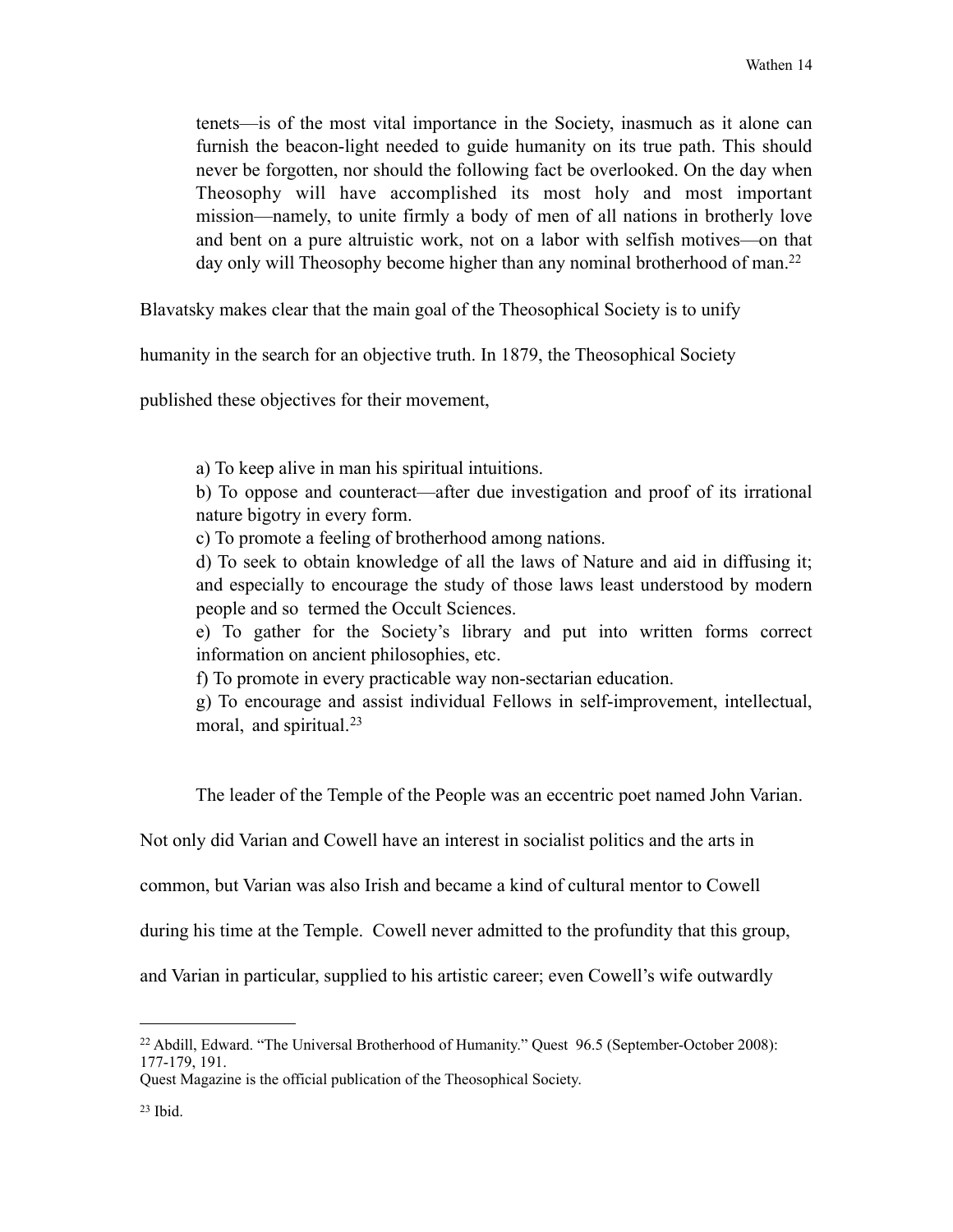tenets—is of the most vital importance in the Society, inasmuch as it alone can furnish the beacon-light needed to guide humanity on its true path. This should never be forgotten, nor should the following fact be overlooked. On the day when Theosophy will have accomplished its most holy and most important mission—namely, to unite firmly a body of men of all nations in brotherly love and bent on a pure altruistic work, not on a labor with selfish motives—on that day only will Theosophy become higher than any nominal brotherhood of man.<sup>22</sup>

Blavatsky makes clear that the main goal of the Theosophical Society is to unify

humanity in the search for an objective truth. In 1879, the Theosophical Society

published these objectives for their movement,

a) To keep alive in man his spiritual intuitions.

 b) To oppose and counteract—after due investigation and proof of its irrational nature bigotry in every form.

c) To promote a feeling of brotherhood among nations.

 d) To seek to obtain knowledge of all the laws of Nature and aid in diffusing it; and especially to encourage the study of those laws least understood by modern people and so termed the Occult Sciences.

 e) To gather for the Society's library and put into written forms correct information on ancient philosophies, etc.

f) To promote in every practicable way non-sectarian education.

 g) To encourage and assist individual Fellows in self-improvement, intellectual, moral, and spiritual.<sup>[23](#page-19-1)</sup>

The leader of the Temple of the People was an eccentric poet named John Varian.

Not only did Varian and Cowell have an interest in socialist politics and the arts in

common, but Varian was also Irish and became a kind of cultural mentor to Cowell

during his time at the Temple. Cowell never admitted to the profundity that this group,

and Varian in particular, supplied to his artistic career; even Cowell's wife outwardly

<span id="page-19-0"></span><sup>22</sup> Abdill, Edward. "The Universal Brotherhood of Humanity." Quest 96.5 (September-October 2008): 177-179, 191.

<span id="page-19-1"></span>Quest Magazine is the official publication of the Theosophical Society.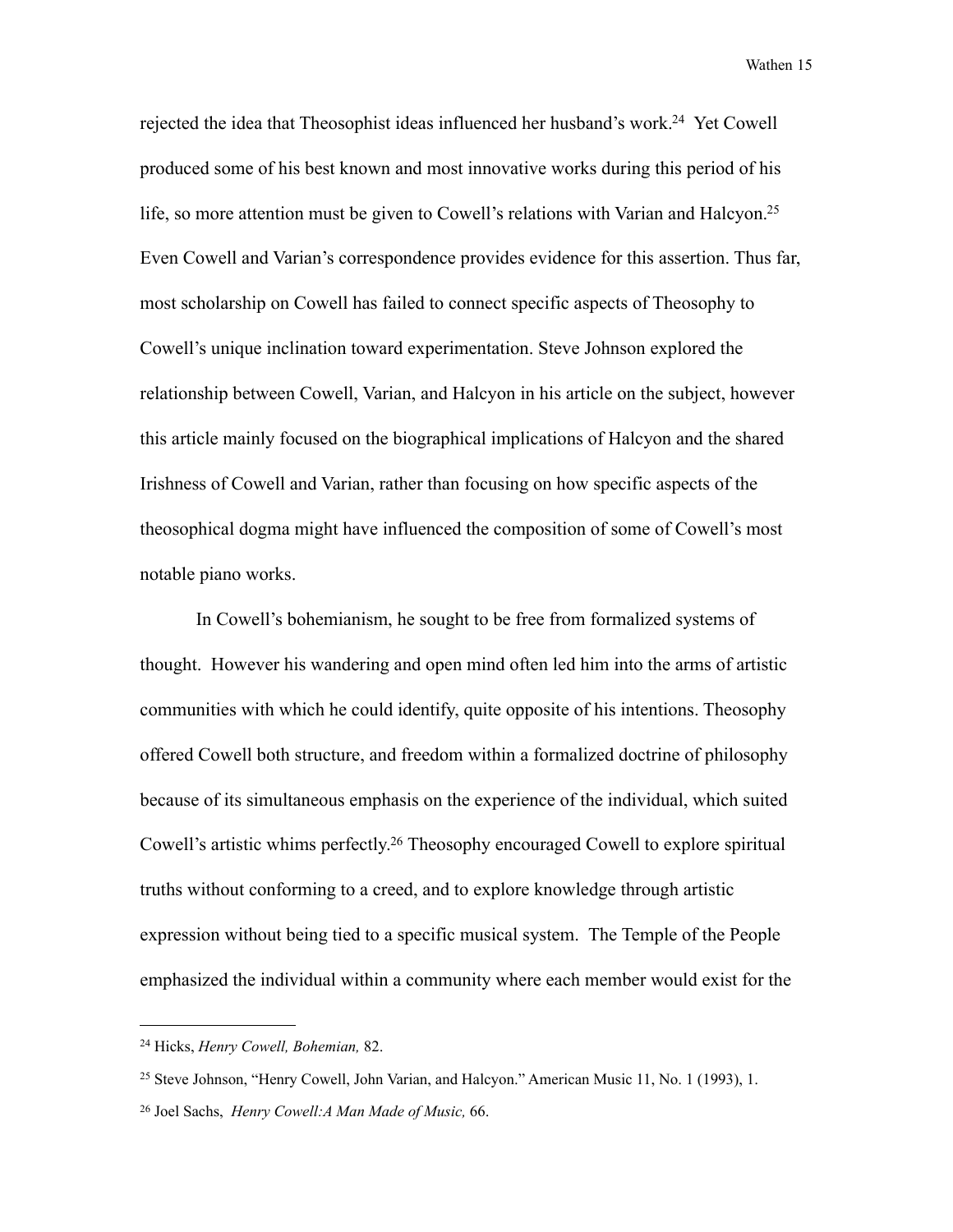rejected the idea that Theosophist ideas influenced her husband's work[.24](#page-20-0) Yet Cowell produced some of his best known and most innovative works during this period of his life, so more attention must be given to Cowell's relations with Varian and Halcyon.<sup>25</sup> Even Cowell and Varian's correspondence provides evidence for this assertion. Thus far, most scholarship on Cowell has failed to connect specific aspects of Theosophy to Cowell's unique inclination toward experimentation. Steve Johnson explored the relationship between Cowell, Varian, and Halcyon in his article on the subject, however this article mainly focused on the biographical implications of Halcyon and the shared Irishness of Cowell and Varian, rather than focusing on how specific aspects of the theosophical dogma might have influenced the composition of some of Cowell's most notable piano works.

 In Cowell's bohemianism, he sought to be free from formalized systems of thought. However his wandering and open mind often led him into the arms of artistic communities with which he could identify, quite opposite of his intentions. Theosophy offered Cowell both structure, and freedom within a formalized doctrine of philosophy because of its simultaneous emphasis on the experience of the individual, which suited Cowell's artistic whims perfectly[.26](#page-20-2) Theosophy encouraged Cowell to explore spiritual truths without conforming to a creed, and to explore knowledge through artistic expression without being tied to a specific musical system. The Temple of the People emphasized the individual within a community where each member would exist for the

<span id="page-20-0"></span><sup>24</sup> Hicks, *Henry Cowell, Bohemian,* 82.

<span id="page-20-1"></span><sup>&</sup>lt;sup>25</sup> Steve Johnson, "Henry Cowell, John Varian, and Halcyon." American Music 11, No. 1 (1993), 1.

<span id="page-20-2"></span><sup>26</sup> Joel Sachs, *Henry Cowell:A Man Made of Music,* 66.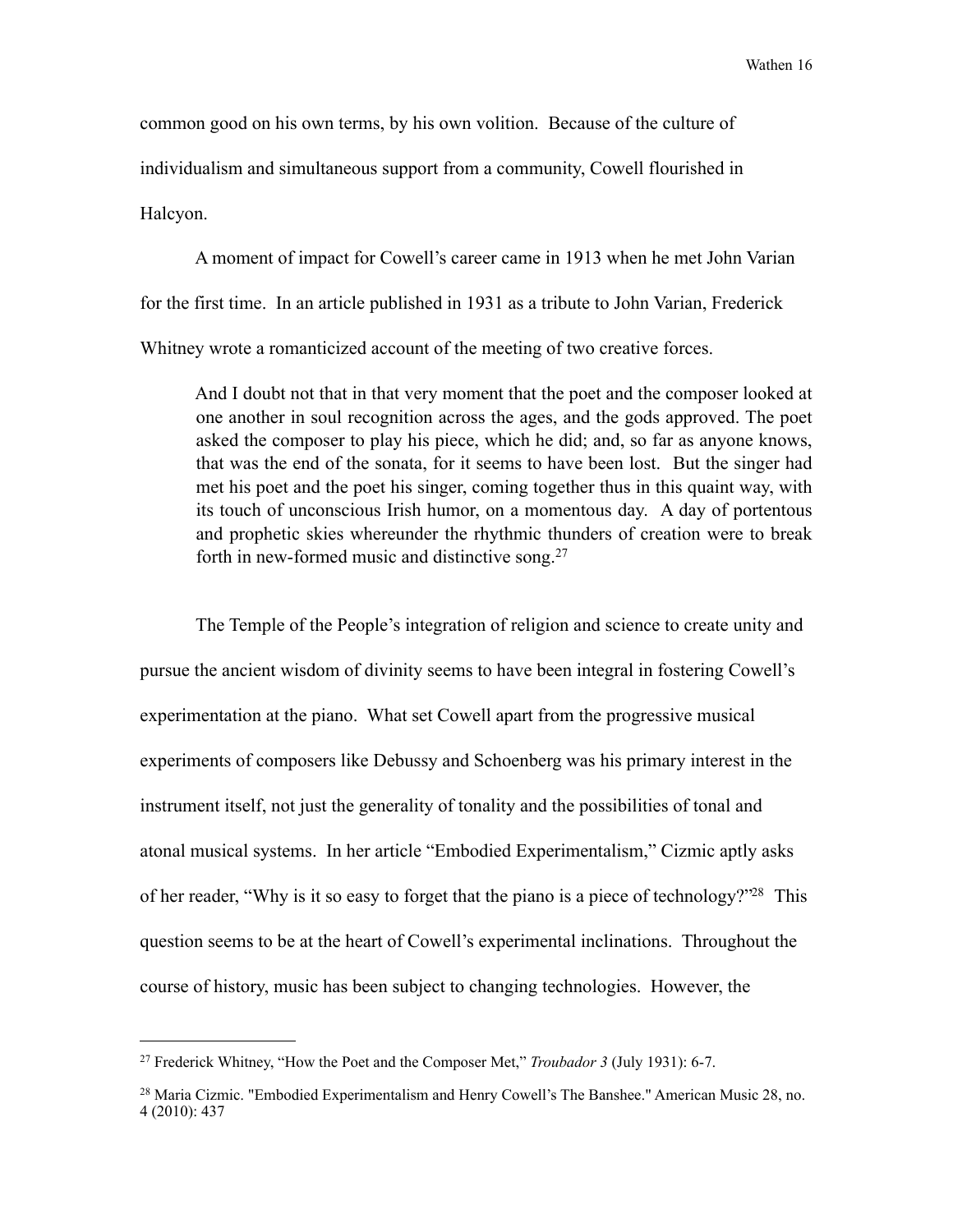common good on his own terms, by his own volition. Because of the culture of individualism and simultaneous support from a community, Cowell flourished in Halcyon.

 A moment of impact for Cowell's career came in 1913 when he met John Varian for the first time. In an article published in 1931 as a tribute to John Varian, Frederick Whitney wrote a romanticized account of the meeting of two creative forces.

 And I doubt not that in that very moment that the poet and the composer looked at one another in soul recognition across the ages, and the gods approved. The poet asked the composer to play his piece, which he did; and, so far as anyone knows, that was the end of the sonata, for it seems to have been lost. But the singer had met his poet and the poet his singer, coming together thus in this quaint way, with its touch of unconscious Irish humor, on a momentous day. A day of portentous and prophetic skies whereunder the rhythmic thunders of creation were to break forth in new-formed music and distinctive song.[27](#page-21-0)

 The Temple of the People's integration of religion and science to create unity and pursue the ancient wisdom of divinity seems to have been integral in fostering Cowell's experimentation at the piano. What set Cowell apart from the progressive musical experiments of composers like Debussy and Schoenberg was his primary interest in the instrument itself, not just the generality of tonality and the possibilities of tonal and atonal musical systems. In her article "Embodied Experimentalism," Cizmic aptly asks of her reader, "Why is it so easy to forget that the piano is a piece of technology?["28](#page-21-1) This question seems to be at the heart of Cowell's experimental inclinations. Throughout the course of history, music has been subject to changing technologies. However, the

<span id="page-21-0"></span><sup>27</sup> Frederick Whitney, "How the Poet and the Composer Met," *Troubador 3* (July 1931): 6-7.

<span id="page-21-1"></span><sup>&</sup>lt;sup>28</sup> Maria Cizmic. "Embodied Experimentalism and Henry Cowell's The Banshee." American Music 28, no. 4 (2010): 437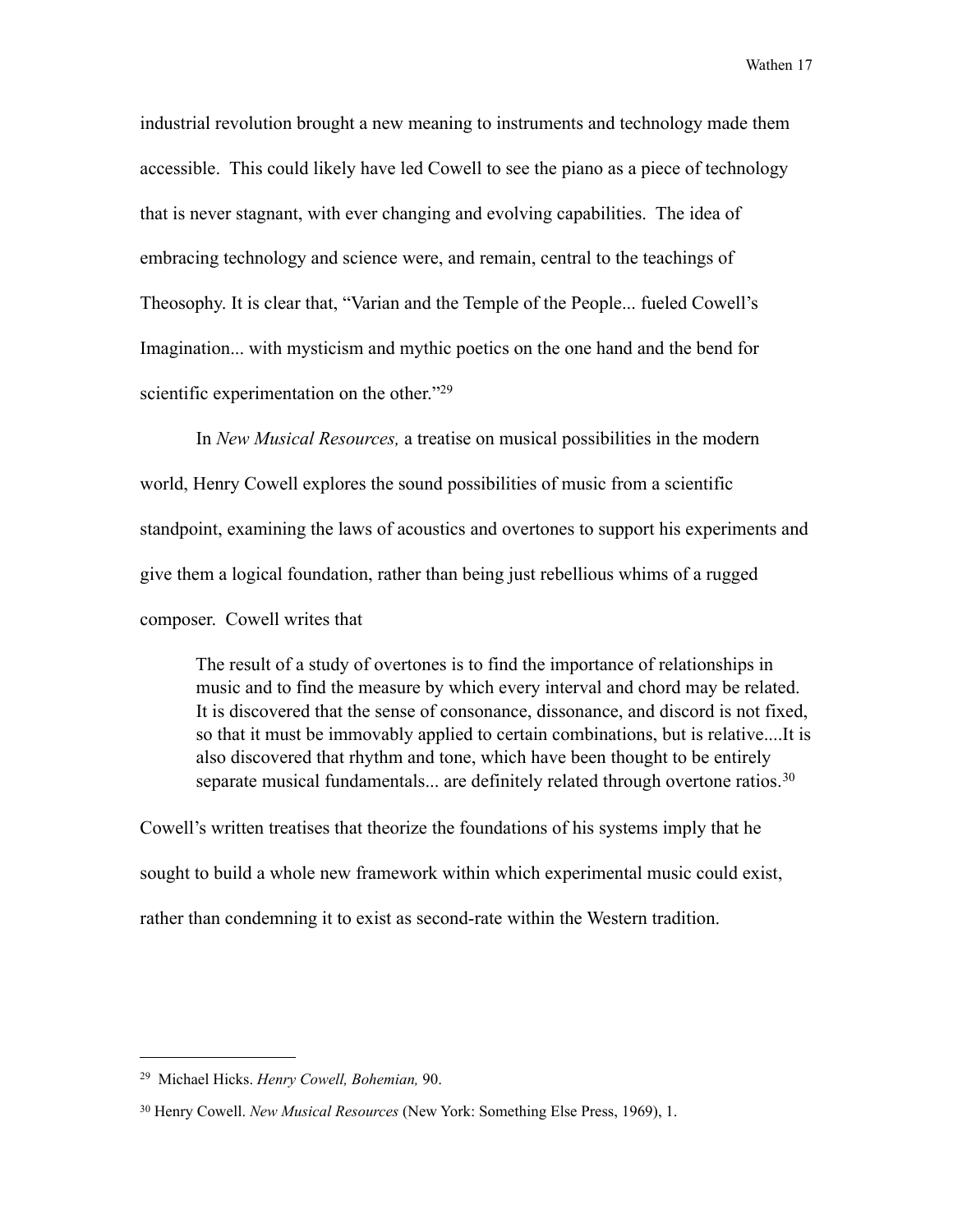industrial revolution brought a new meaning to instruments and technology made them accessible. This could likely have led Cowell to see the piano as a piece of technology that is never stagnant, with ever changing and evolving capabilities. The idea of embracing technology and science were, and remain, central to the teachings of Theosophy. It is clear that, "Varian and the Temple of the People... fueled Cowell's Imagination... with mysticism and mythic poetics on the one hand and the bend for scientific experimentation on the other."<sup>[29](#page-22-0)</sup>

 In *New Musical Resources,* a treatise on musical possibilities in the modern world, Henry Cowell explores the sound possibilities of music from a scientific standpoint, examining the laws of acoustics and overtones to support his experiments and give them a logical foundation, rather than being just rebellious whims of a rugged composer. Cowell writes that

 The result of a study of overtones is to find the importance of relationships in music and to find the measure by which every interval and chord may be related. It is discovered that the sense of consonance, dissonance, and discord is not fixed, so that it must be immovably applied to certain combinations, but is relative....It is also discovered that rhythm and tone, which have been thought to be entirely separate musical fundamentals... are definitely related through overtone ratios.<sup>[30](#page-22-1)</sup>

Cowell's written treatises that theorize the foundations of his systems imply that he sought to build a whole new framework within which experimental music could exist, rather than condemning it to exist as second-rate within the Western tradition.

<span id="page-22-0"></span><sup>29</sup> Michael Hicks. *Henry Cowell, Bohemian,* 90.

<span id="page-22-1"></span><sup>30</sup> Henry Cowell. *New Musical Resources* (New York: Something Else Press, 1969), 1.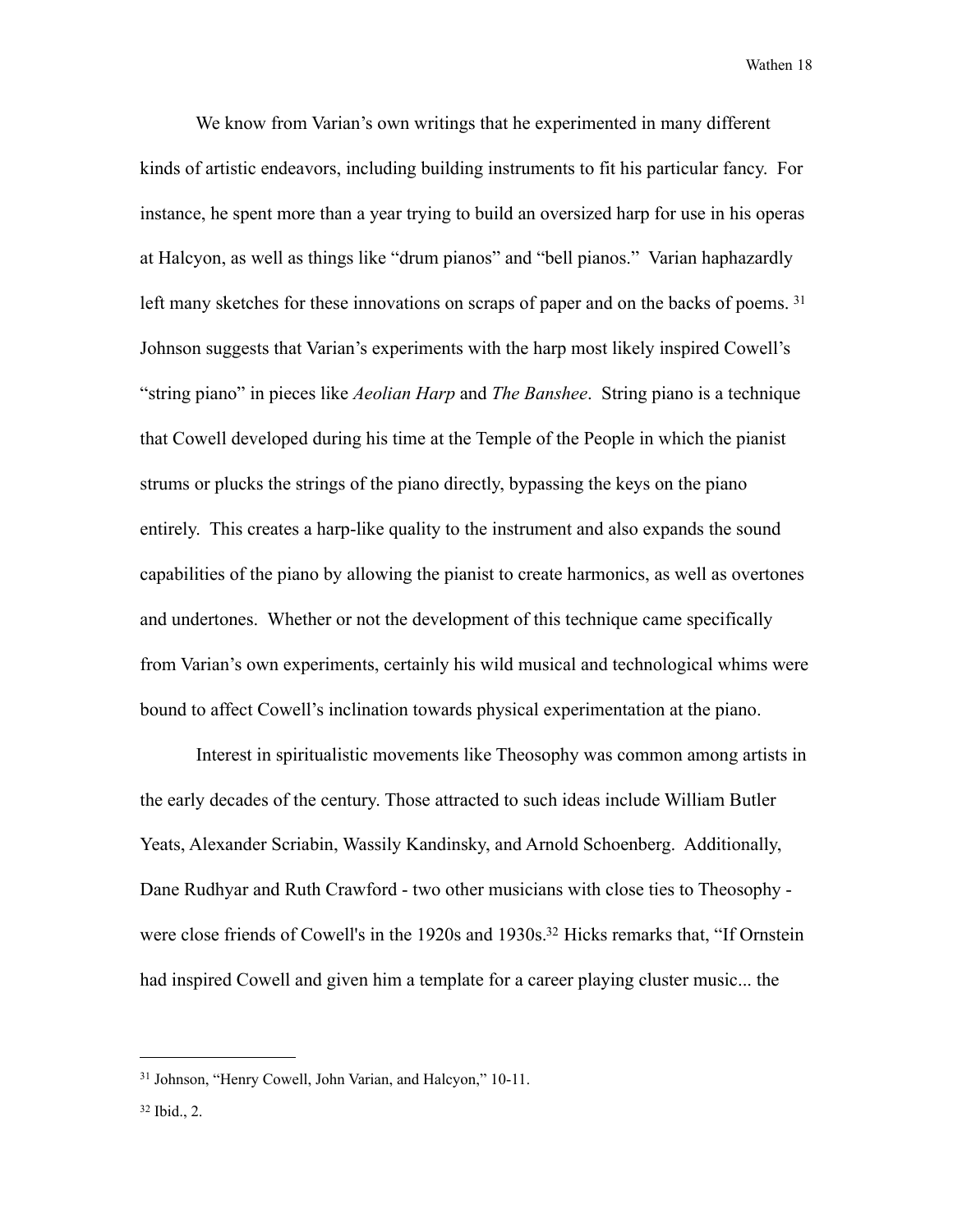We know from Varian's own writings that he experimented in many different kinds of artistic endeavors, including building instruments to fit his particular fancy. For instance, he spent more than a year trying to build an oversized harp for use in his operas at Halcyon, as well as things like "drum pianos" and "bell pianos." Varian haphazardly left many sketches for these innovations on scraps of paper and on the backs of poems. <sup>31</sup> Johnson suggests that Varian's experiments with the harp most likely inspired Cowell's "string piano" in pieces like *Aeolian Harp* and *The Banshee*. String piano is a technique that Cowell developed during his time at the Temple of the People in which the pianist strums or plucks the strings of the piano directly, bypassing the keys on the piano entirely. This creates a harp-like quality to the instrument and also expands the sound capabilities of the piano by allowing the pianist to create harmonics, as well as overtones and undertones. Whether or not the development of this technique came specifically from Varian's own experiments, certainly his wild musical and technological whims were bound to affect Cowell's inclination towards physical experimentation at the piano.

 Interest in spiritualistic movements like Theosophy was common among artists in the early decades of the century. Those attracted to such ideas include William Butler Yeats, Alexander Scriabin, Wassily Kandinsky, and Arnold Schoenberg. Additionally, Dane Rudhyar and Ruth Crawford - two other musicians with close ties to Theosophy were close friends of Cowell's in the 1920s and 1930s.<sup>32</sup> Hicks remarks that, "If Ornstein had inspired Cowell and given him a template for a career playing cluster music... the

<span id="page-23-0"></span><sup>31</sup> Johnson, "Henry Cowell, John Varian, and Halcyon," 10-11.

<span id="page-23-1"></span><sup>32</sup> Ibid., 2.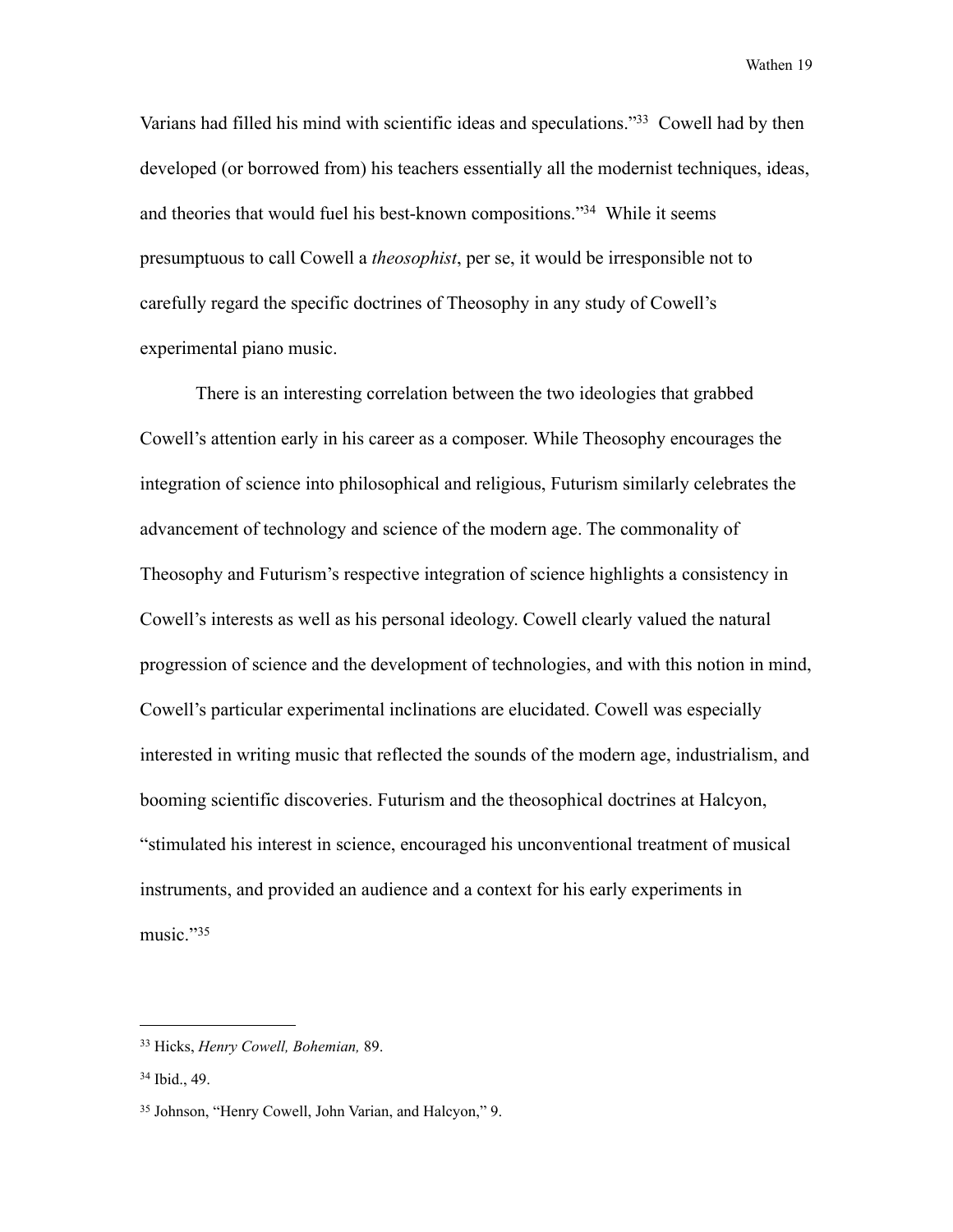Varians had filled his mind with scientific ideas and speculations.["33](#page-24-0) Cowell had by then developed (or borrowed from) his teachers essentially all the modernist techniques, ideas, and theories that would fuel his best-known compositions.["34](#page-24-1) While it seems presumptuous to call Cowell a *theosophist*, per se, it would be irresponsible not to carefully regard the specific doctrines of Theosophy in any study of Cowell's experimental piano music.

 There is an interesting correlation between the two ideologies that grabbed Cowell's attention early in his career as a composer. While Theosophy encourages the integration of science into philosophical and religious, Futurism similarly celebrates the advancement of technology and science of the modern age. The commonality of Theosophy and Futurism's respective integration of science highlights a consistency in Cowell's interests as well as his personal ideology. Cowell clearly valued the natural progression of science and the development of technologies, and with this notion in mind, Cowell's particular experimental inclinations are elucidated. Cowell was especially interested in writing music that reflected the sounds of the modern age, industrialism, and booming scientific discoveries. Futurism and the theosophical doctrines at Halcyon, "stimulated his interest in science, encouraged his unconventional treatment of musical instruments, and provided an audience and a context for his early experiments in music."[35](#page-24-2)

<span id="page-24-0"></span><sup>33</sup> Hicks, *Henry Cowell, Bohemian,* 89.

<span id="page-24-1"></span><sup>34</sup> Ibid., 49.

<span id="page-24-2"></span><sup>35</sup> Johnson, "Henry Cowell, John Varian, and Halcyon," 9.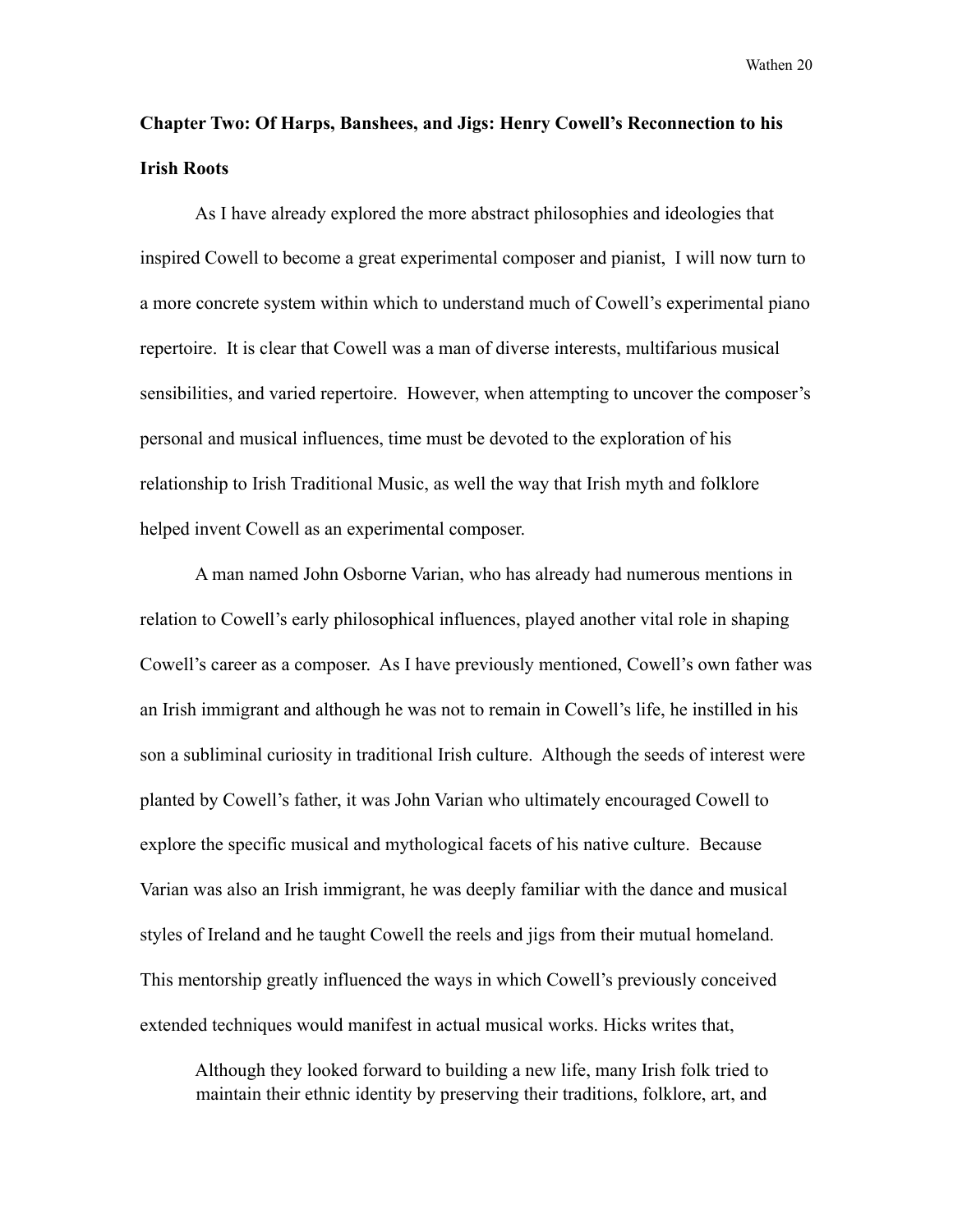## **Chapter Two: Of Harps, Banshees, and Jigs: Henry Cowell's Reconnection to his Irish Roots**

 As I have already explored the more abstract philosophies and ideologies that inspired Cowell to become a great experimental composer and pianist, I will now turn to a more concrete system within which to understand much of Cowell's experimental piano repertoire. It is clear that Cowell was a man of diverse interests, multifarious musical sensibilities, and varied repertoire. However, when attempting to uncover the composer's personal and musical influences, time must be devoted to the exploration of his relationship to Irish Traditional Music, as well the way that Irish myth and folklore helped invent Cowell as an experimental composer.

 A man named John Osborne Varian, who has already had numerous mentions in relation to Cowell's early philosophical influences, played another vital role in shaping Cowell's career as a composer. As I have previously mentioned, Cowell's own father was an Irish immigrant and although he was not to remain in Cowell's life, he instilled in his son a subliminal curiosity in traditional Irish culture. Although the seeds of interest were planted by Cowell's father, it was John Varian who ultimately encouraged Cowell to explore the specific musical and mythological facets of his native culture. Because Varian was also an Irish immigrant, he was deeply familiar with the dance and musical styles of Ireland and he taught Cowell the reels and jigs from their mutual homeland. This mentorship greatly influenced the ways in which Cowell's previously conceived extended techniques would manifest in actual musical works. Hicks writes that,

 Although they looked forward to building a new life, many Irish folk tried to maintain their ethnic identity by preserving their traditions, folklore, art, and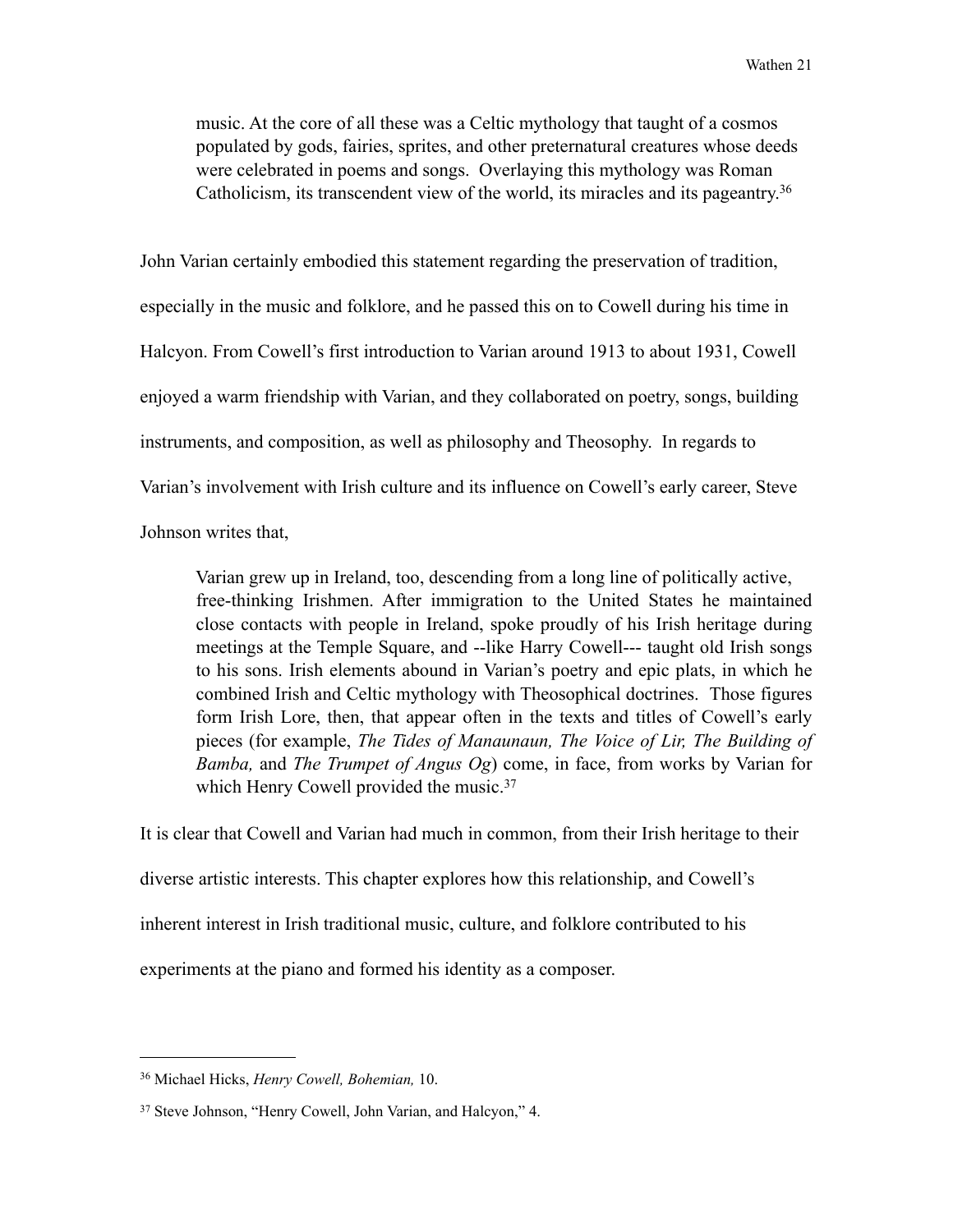music. At the core of all these was a Celtic mythology that taught of a cosmos populated by gods, fairies, sprites, and other preternatural creatures whose deeds were celebrated in poems and songs. Overlaying this mythology was Roman Catholicism, its transcendent view of the world, its miracles and its pageantry[.36](#page-26-0)

John Varian certainly embodied this statement regarding the preservation of tradition, especially in the music and folklore, and he passed this on to Cowell during his time in Halcyon. From Cowell's first introduction to Varian around 1913 to about 1931, Cowell enjoyed a warm friendship with Varian, and they collaborated on poetry, songs, building instruments, and composition, as well as philosophy and Theosophy. In regards to Varian's involvement with Irish culture and its influence on Cowell's early career, Steve Johnson writes that,

 Varian grew up in Ireland, too, descending from a long line of politically active, free-thinking Irishmen. After immigration to the United States he maintained close contacts with people in Ireland, spoke proudly of his Irish heritage during meetings at the Temple Square, and --like Harry Cowell--- taught old Irish songs to his sons. Irish elements abound in Varian's poetry and epic plats, in which he combined Irish and Celtic mythology with Theosophical doctrines. Those figures form Irish Lore, then, that appear often in the texts and titles of Cowell's early pieces (for example, *The Tides of Manaunaun, The Voice of Lir, The Building of Bamba,* and *The Trumpet of Angus Og*) come, in face, from works by Varian for which Henry Cowell provided the music.<sup>[37](#page-26-1)</sup>

It is clear that Cowell and Varian had much in common, from their Irish heritage to their diverse artistic interests. This chapter explores how this relationship, and Cowell's inherent interest in Irish traditional music, culture, and folklore contributed to his experiments at the piano and formed his identity as a composer.

<span id="page-26-0"></span><sup>36</sup> Michael Hicks, *Henry Cowell, Bohemian,* 10.

<span id="page-26-1"></span><sup>37</sup> Steve Johnson, "Henry Cowell, John Varian, and Halcyon," 4.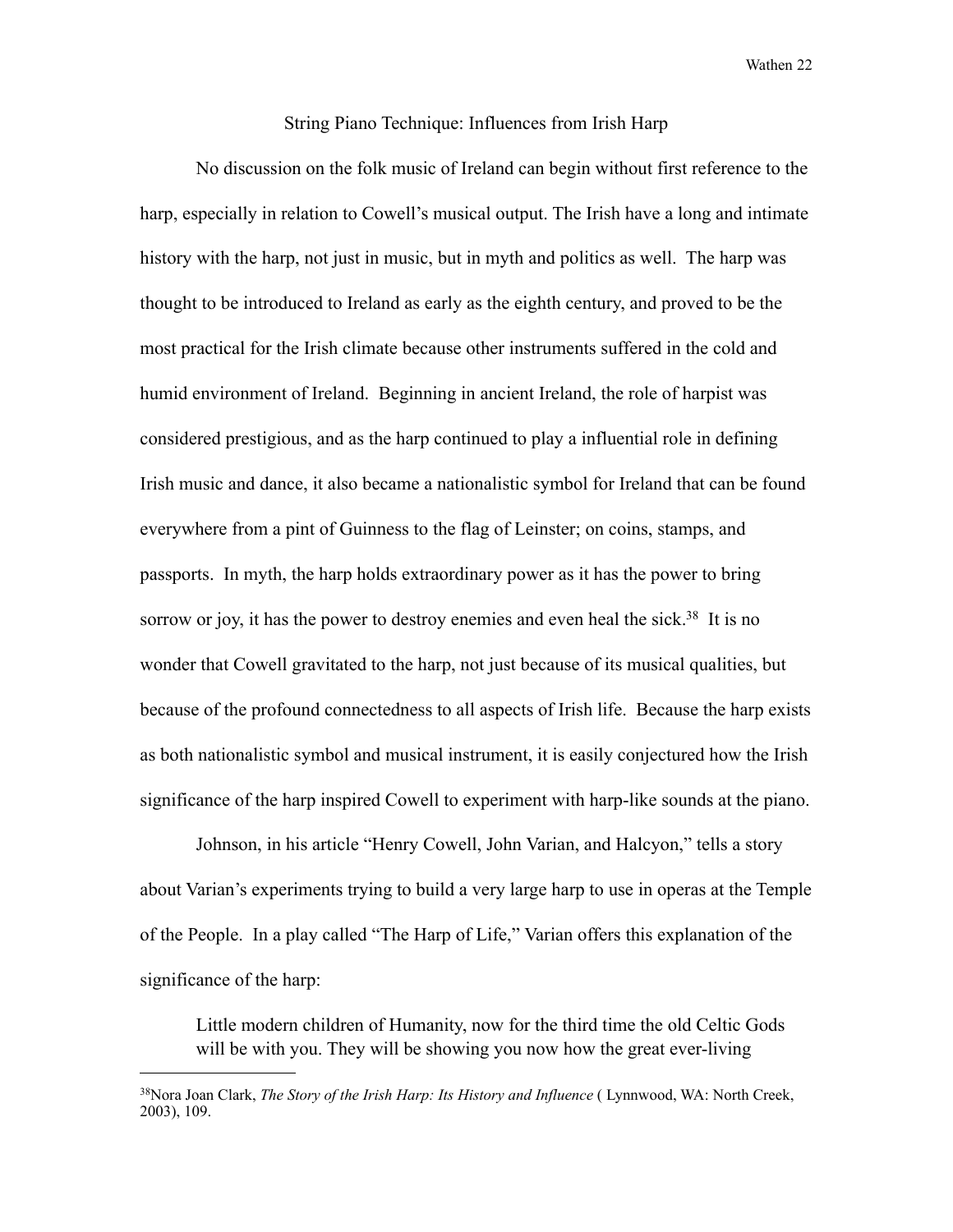#### String Piano Technique: Influences from Irish Harp

 No discussion on the folk music of Ireland can begin without first reference to the harp, especially in relation to Cowell's musical output. The Irish have a long and intimate history with the harp, not just in music, but in myth and politics as well. The harp was thought to be introduced to Ireland as early as the eighth century, and proved to be the most practical for the Irish climate because other instruments suffered in the cold and humid environment of Ireland. Beginning in ancient Ireland, the role of harpist was considered prestigious, and as the harp continued to play a influential role in defining Irish music and dance, it also became a nationalistic symbol for Ireland that can be found everywhere from a pint of Guinness to the flag of Leinster; on coins, stamps, and passports. In myth, the harp holds extraordinary power as it has the power to bring sorrow or joy, it has the power to destroy enemies and even heal the sick.<sup>38</sup> It is no wonder that Cowell gravitated to the harp, not just because of its musical qualities, but because of the profound connectedness to all aspects of Irish life. Because the harp exists as both nationalistic symbol and musical instrument, it is easily conjectured how the Irish significance of the harp inspired Cowell to experiment with harp-like sounds at the piano.

 Johnson, in his article "Henry Cowell, John Varian, and Halcyon," tells a story about Varian's experiments trying to build a very large harp to use in operas at the Temple of the People. In a play called "The Harp of Life," Varian offers this explanation of the significance of the harp:

 Little modern children of Humanity, now for the third time the old Celtic Gods will be with you. They will be showing you now how the great ever-living

<span id="page-27-0"></span><sup>38</sup>Nora Joan Clark, *The Story of the Irish Harp: Its History and Influence* ( Lynnwood, WA: North Creek, 2003), 109.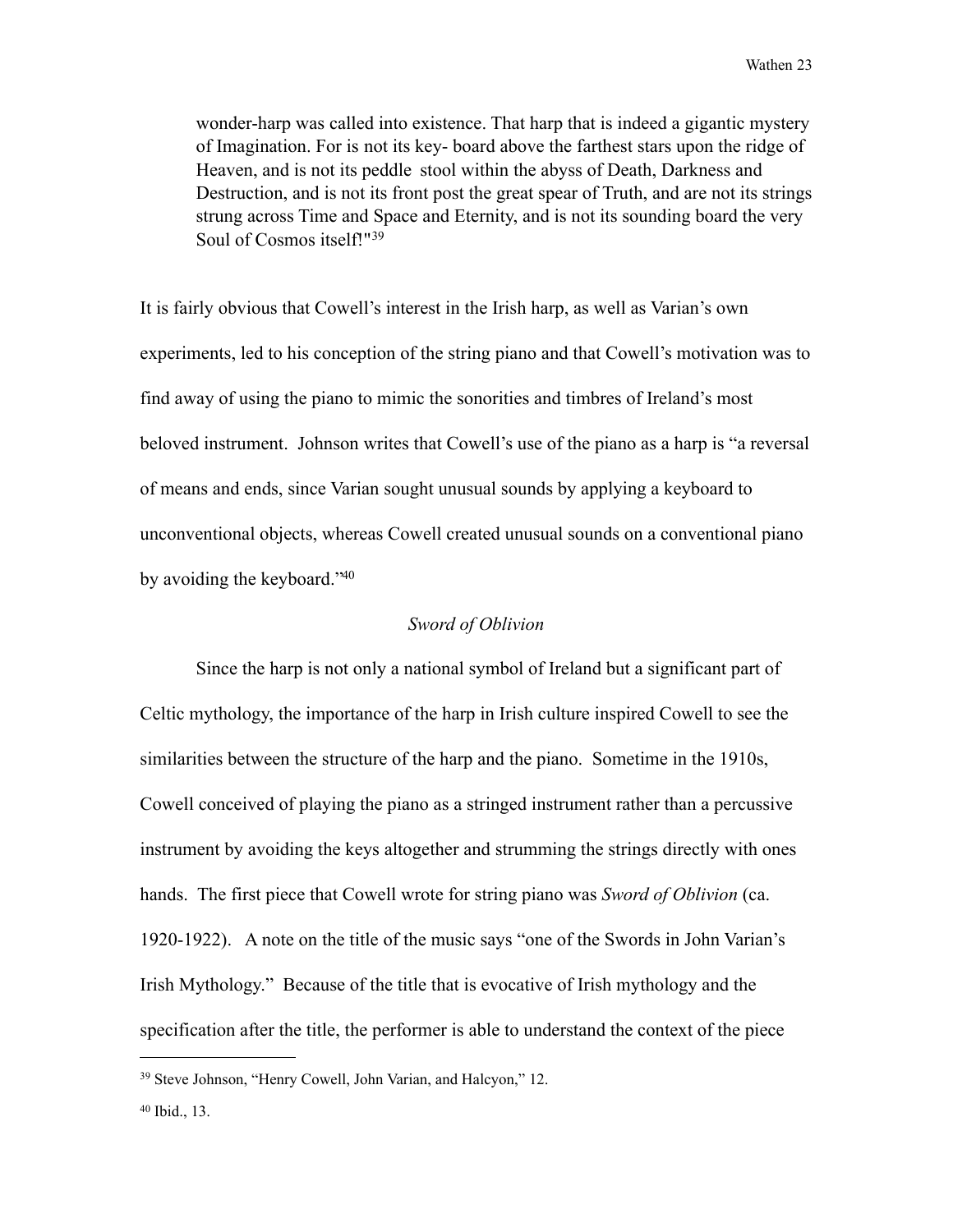wonder-harp was called into existence. That harp that is indeed a gigantic mystery of Imagination. For is not its key- board above the farthest stars upon the ridge of Heaven, and is not its peddle stool within the abyss of Death, Darkness and Destruction, and is not its front post the great spear of Truth, and are not its strings strung across Time and Space and Eternity, and is not its sounding board the very Soul of Cosmos itself!"[39](#page-28-0)

It is fairly obvious that Cowell's interest in the Irish harp, as well as Varian's own experiments, led to his conception of the string piano and that Cowell's motivation was to find away of using the piano to mimic the sonorities and timbres of Ireland's most beloved instrument. Johnson writes that Cowell's use of the piano as a harp is "a reversal of means and ends, since Varian sought unusual sounds by applying a keyboard to unconventional objects, whereas Cowell created unusual sounds on a conventional piano by avoiding the keyboard.["40](#page-28-1) 

#### *Sword of Oblivion*

Since the harp is not only a national symbol of Ireland but a significant part of Celtic mythology, the importance of the harp in Irish culture inspired Cowell to see the similarities between the structure of the harp and the piano. Sometime in the 1910s, Cowell conceived of playing the piano as a stringed instrument rather than a percussive instrument by avoiding the keys altogether and strumming the strings directly with ones hands. The first piece that Cowell wrote for string piano was *Sword of Oblivion* (ca. 1920-1922). A note on the title of the music says "one of the Swords in John Varian's Irish Mythology." Because of the title that is evocative of Irish mythology and the specification after the title, the performer is able to understand the context of the piece

<span id="page-28-0"></span><sup>39</sup> Steve Johnson, "Henry Cowell, John Varian, and Halcyon," 12.

<span id="page-28-1"></span><sup>40</sup> Ibid., 13.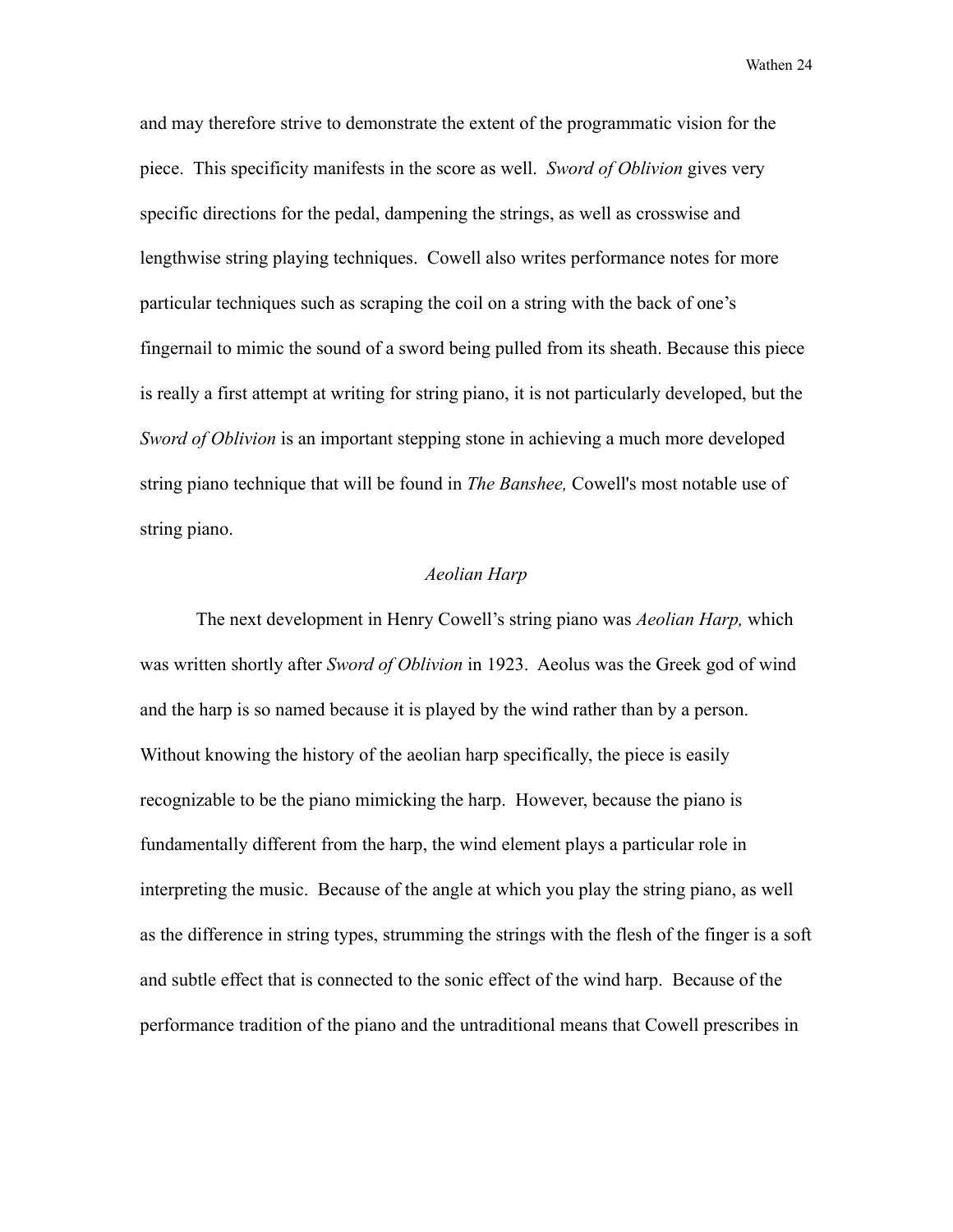and may therefore strive to demonstrate the extent of the programmatic vision for the piece. This specificity manifests in the score as well. *Sword of Oblivion* gives very specific directions for the pedal, dampening the strings, as well as crosswise and lengthwise string playing techniques. Cowell also writes performance notes for more particular techniques such as scraping the coil on a string with the back of one's fingernail to mimic the sound of a sword being pulled from its sheath. Because this piece is really a first attempt at writing for string piano, it is not particularly developed, but the *Sword of Oblivion* is an important stepping stone in achieving a much more developed string piano technique that will be found in *The Banshee,* Cowell's most notable use of string piano.

#### *Aeolian Harp*

The next development in Henry Cowell's string piano was *Aeolian Harp,* which was written shortly after *Sword of Oblivion* in 1923. Aeolus was the Greek god of wind and the harp is so named because it is played by the wind rather than by a person. Without knowing the history of the aeolian harp specifically, the piece is easily recognizable to be the piano mimicking the harp. However, because the piano is fundamentally different from the harp, the wind element plays a particular role in interpreting the music. Because of the angle at which you play the string piano, as well as the difference in string types, strumming the strings with the flesh of the finger is a soft and subtle effect that is connected to the sonic effect of the wind harp. Because of the performance tradition of the piano and the untraditional means that Cowell prescribes in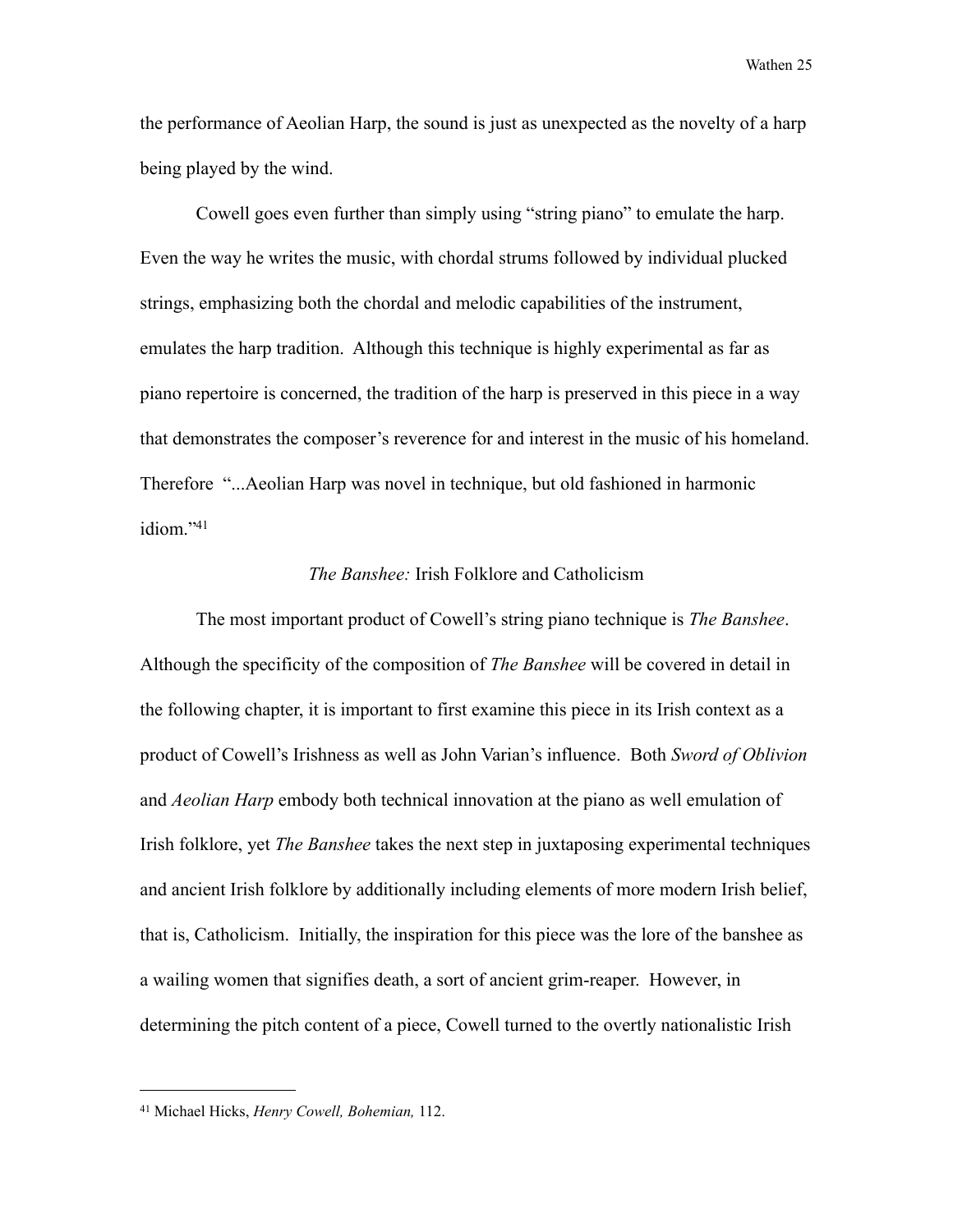the performance of Aeolian Harp, the sound is just as unexpected as the novelty of a harp being played by the wind.

 Cowell goes even further than simply using "string piano" to emulate the harp. Even the way he writes the music, with chordal strums followed by individual plucked strings, emphasizing both the chordal and melodic capabilities of the instrument, emulates the harp tradition. Although this technique is highly experimental as far as piano repertoire is concerned, the tradition of the harp is preserved in this piece in a way that demonstrates the composer's reverence for and interest in the music of his homeland. Therefore "...Aeolian Harp was novel in technique, but old fashioned in harmonic idiom.["41](#page-30-0)

#### *The Banshee:* Irish Folklore and Catholicism

The most important product of Cowell's string piano technique is *The Banshee*. Although the specificity of the composition of *The Banshee* will be covered in detail in the following chapter, it is important to first examine this piece in its Irish context as a product of Cowell's Irishness as well as John Varian's influence. Both *Sword of Oblivion*  and *Aeolian Harp* embody both technical innovation at the piano as well emulation of Irish folklore, yet *The Banshee* takes the next step in juxtaposing experimental techniques and ancient Irish folklore by additionally including elements of more modern Irish belief, that is, Catholicism. Initially, the inspiration for this piece was the lore of the banshee as a wailing women that signifies death, a sort of ancient grim-reaper. However, in determining the pitch content of a piece, Cowell turned to the overtly nationalistic Irish

<span id="page-30-0"></span><sup>41</sup> Michael Hicks, *Henry Cowell, Bohemian,* 112.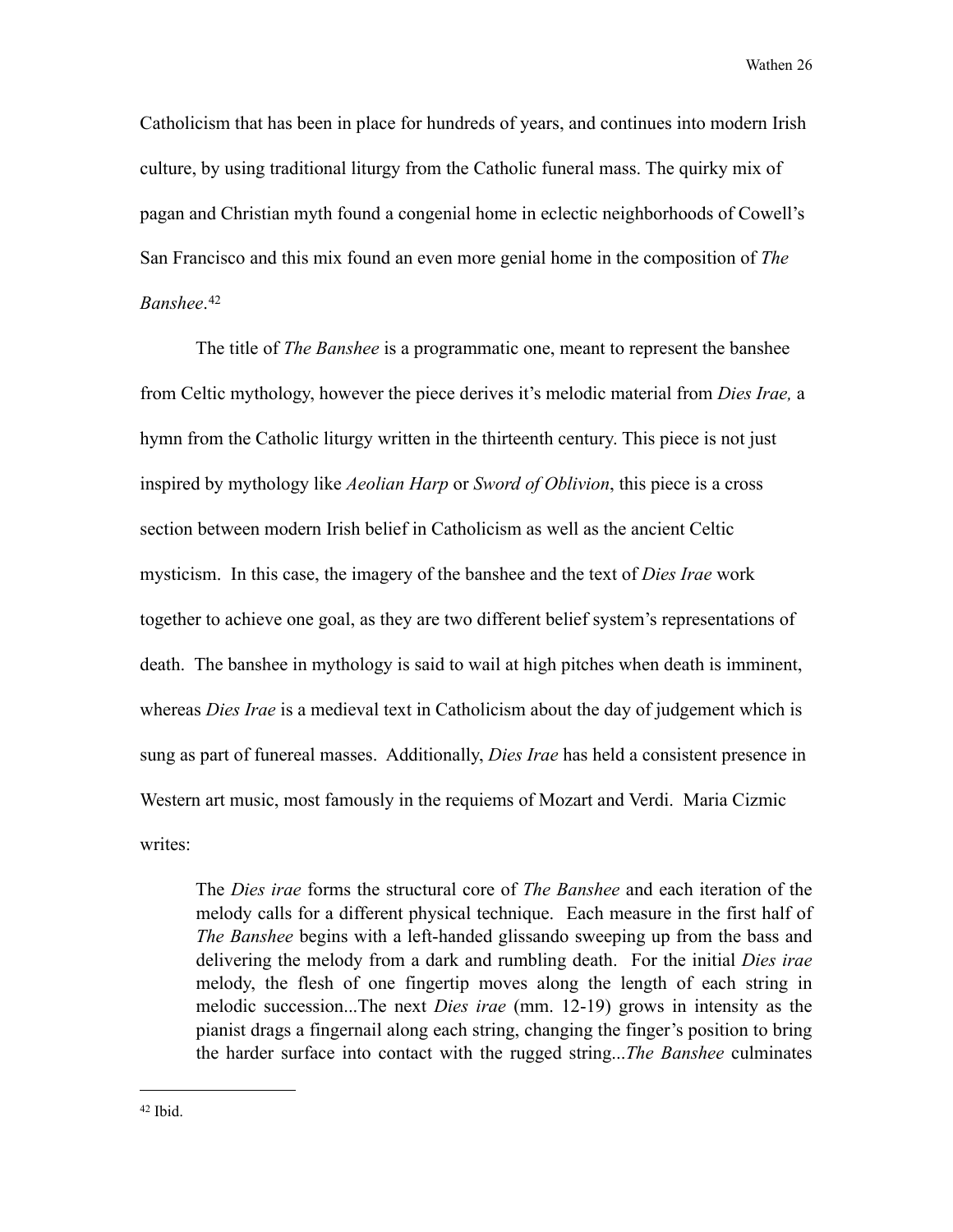Catholicism that has been in place for hundreds of years, and continues into modern Irish culture, by using traditional liturgy from the Catholic funeral mass. The quirky mix of pagan and Christian myth found a congenial home in eclectic neighborhoods of Cowell's San Francisco and this mix found an even more genial home in the composition of *The Banshee*. [42](#page-31-0) 

 The title of *The Banshee* is a programmatic one, meant to represent the banshee from Celtic mythology, however the piece derives it's melodic material from *Dies Irae,* a hymn from the Catholic liturgy written in the thirteenth century. This piece is not just inspired by mythology like *Aeolian Harp* or *Sword of Oblivion*, this piece is a cross section between modern Irish belief in Catholicism as well as the ancient Celtic mysticism. In this case, the imagery of the banshee and the text of *Dies Irae* work together to achieve one goal, as they are two different belief system's representations of death. The banshee in mythology is said to wail at high pitches when death is imminent, whereas *Dies Irae* is a medieval text in Catholicism about the day of judgement which is sung as part of funereal masses. Additionally, *Dies Irae* has held a consistent presence in Western art music, most famously in the requiems of Mozart and Verdi. Maria Cizmic writes:

 The *Dies irae* forms the structural core of *The Banshee* and each iteration of the melody calls for a different physical technique. Each measure in the first half of *The Banshee* begins with a left-handed glissando sweeping up from the bass and delivering the melody from a dark and rumbling death. For the initial *Dies irae* melody, the flesh of one fingertip moves along the length of each string in melodic succession...The next *Dies irae* (mm. 12-19) grows in intensity as the pianist drags a fingernail along each string, changing the finger's position to bring the harder surface into contact with the rugged string...*The Banshee* culminates

<span id="page-31-0"></span> $42$  Ibid.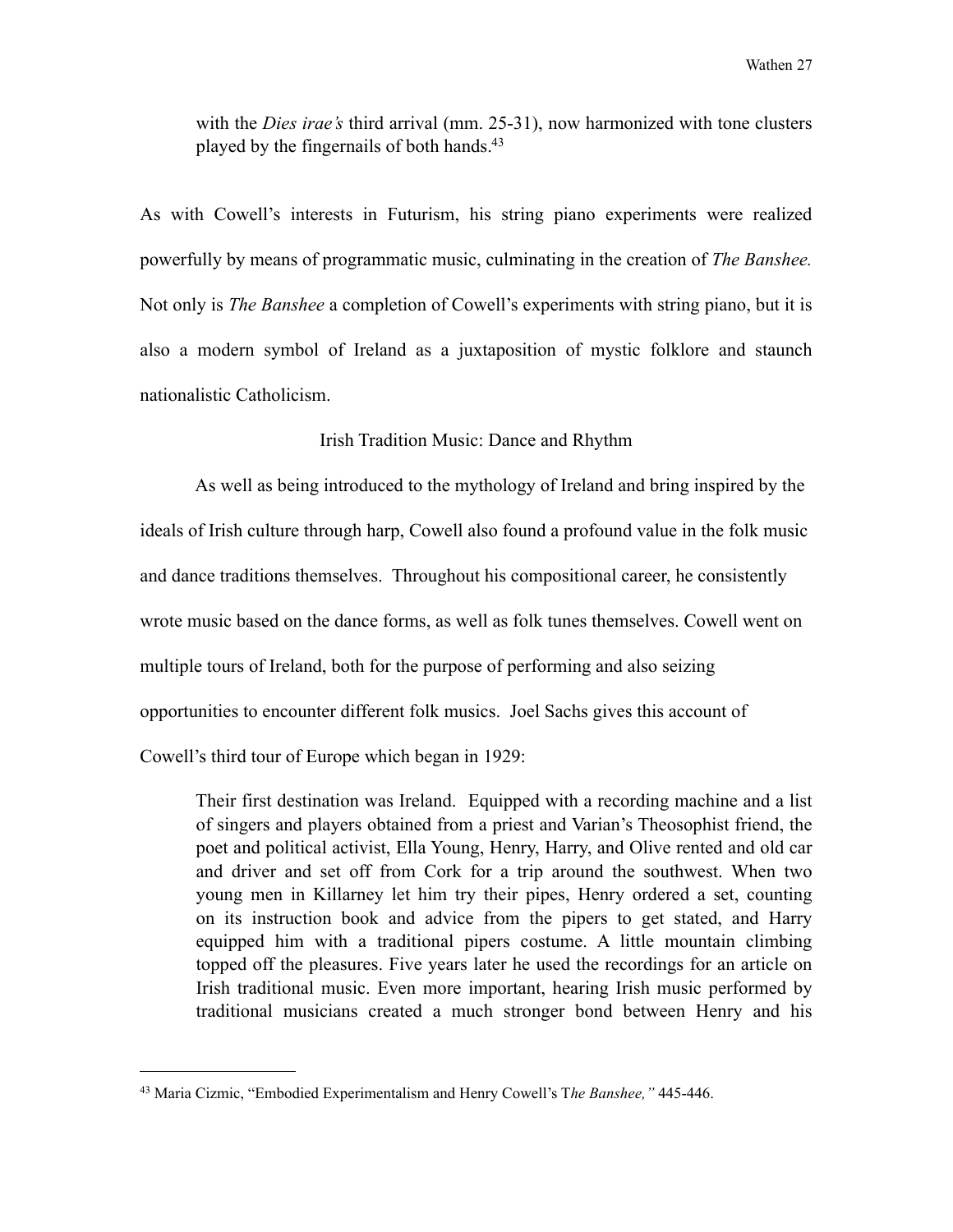with the *Dies irae's* third arrival (mm. 25-31), now harmonized with tone clusters played by the fingernails of both hands.<sup>43</sup>

As with Cowell's interests in Futurism, his string piano experiments were realized powerfully by means of programmatic music, culminating in the creation of *The Banshee.*  Not only is *The Banshee* a completion of Cowell's experiments with string piano, but it is also a modern symbol of Ireland as a juxtaposition of mystic folklore and staunch nationalistic Catholicism.

#### Irish Tradition Music: Dance and Rhythm

 As well as being introduced to the mythology of Ireland and bring inspired by the ideals of Irish culture through harp, Cowell also found a profound value in the folk music and dance traditions themselves. Throughout his compositional career, he consistently wrote music based on the dance forms, as well as folk tunes themselves. Cowell went on multiple tours of Ireland, both for the purpose of performing and also seizing opportunities to encounter different folk musics. Joel Sachs gives this account of Cowell's third tour of Europe which began in 1929:

 Their first destination was Ireland. Equipped with a recording machine and a list of singers and players obtained from a priest and Varian's Theosophist friend, the poet and political activist, Ella Young, Henry, Harry, and Olive rented and old car and driver and set off from Cork for a trip around the southwest. When two young men in Killarney let him try their pipes, Henry ordered a set, counting on its instruction book and advice from the pipers to get stated, and Harry equipped him with a traditional pipers costume. A little mountain climbing topped off the pleasures. Five years later he used the recordings for an article on Irish traditional music. Even more important, hearing Irish music performed by traditional musicians created a much stronger bond between Henry and his

<span id="page-32-0"></span><sup>43</sup> Maria Cizmic, "Embodied Experimentalism and Henry Cowell's T*he Banshee,"* 445-446.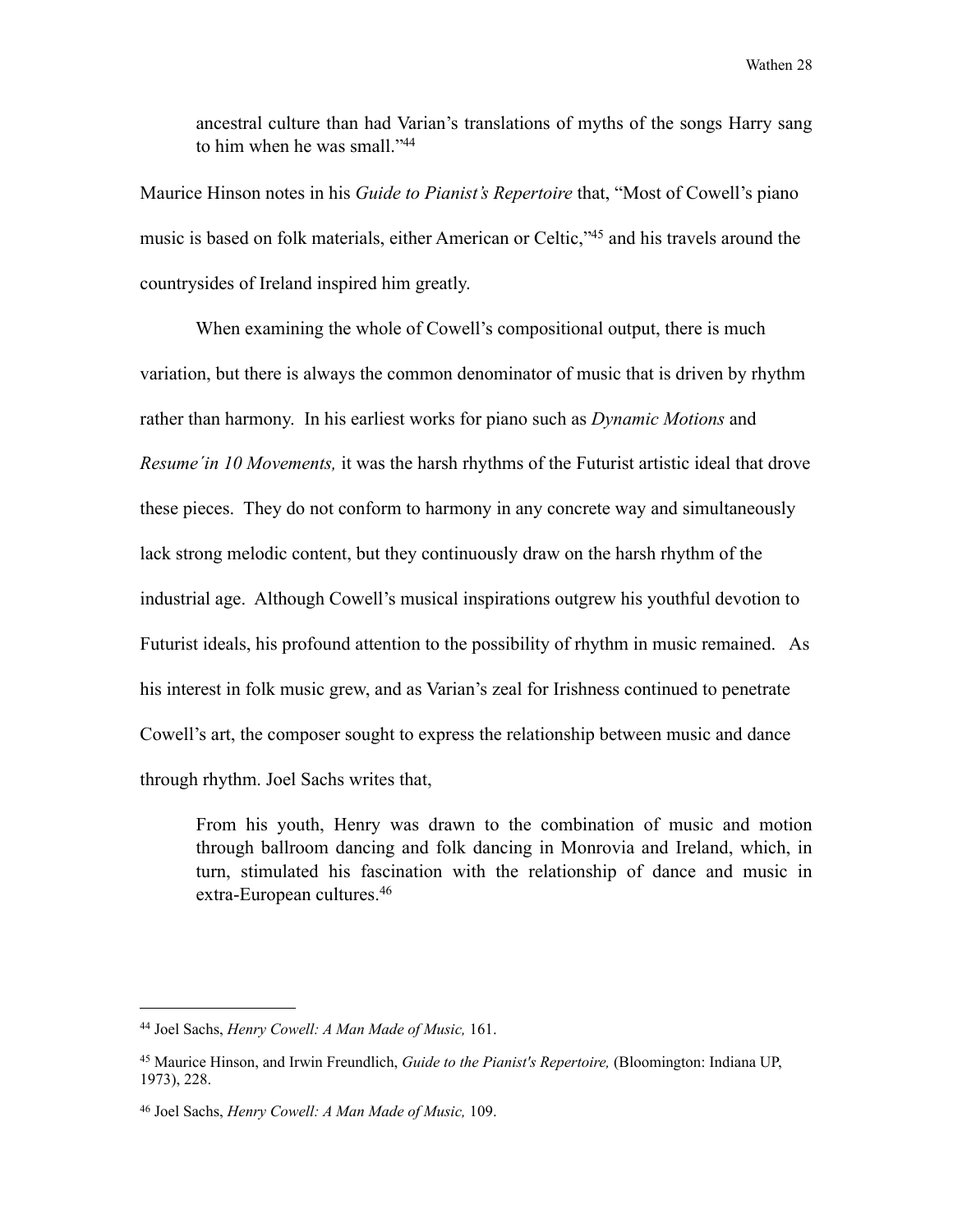ancestral culture than had Varian's translations of myths of the songs Harry sang to him when he was small.["44](#page-33-0)

Maurice Hinson notes in his *Guide to Pianist's Repertoire* that, "Most of Cowell's piano music is based on folk materials, either American or Celtic,["45](#page-33-1) and his travels around the countrysides of Ireland inspired him greatly.

 When examining the whole of Cowell's compositional output, there is much variation, but there is always the common denominator of music that is driven by rhythm rather than harmony. In his earliest works for piano such as *Dynamic Motions* and *Resume´in 10 Movements,* it was the harsh rhythms of the Futurist artistic ideal that drove these pieces. They do not conform to harmony in any concrete way and simultaneously lack strong melodic content, but they continuously draw on the harsh rhythm of the industrial age. Although Cowell's musical inspirations outgrew his youthful devotion to Futurist ideals, his profound attention to the possibility of rhythm in music remained. As his interest in folk music grew, and as Varian's zeal for Irishness continued to penetrate Cowell's art, the composer sought to express the relationship between music and dance through rhythm. Joel Sachs writes that,

 From his youth, Henry was drawn to the combination of music and motion through ballroom dancing and folk dancing in Monrovia and Ireland, which, in turn, stimulated his fascination with the relationship of dance and music in extra-European cultures.[46](#page-33-2) 

<span id="page-33-0"></span><sup>44</sup> Joel Sachs, *Henry Cowell: A Man Made of Music,* 161.

<span id="page-33-1"></span><sup>45</sup> Maurice Hinson, and Irwin Freundlich, *Guide to the Pianist's Repertoire,* (Bloomington: Indiana UP, 1973), 228.

<span id="page-33-2"></span><sup>46</sup> Joel Sachs, *Henry Cowell: A Man Made of Music,* 109.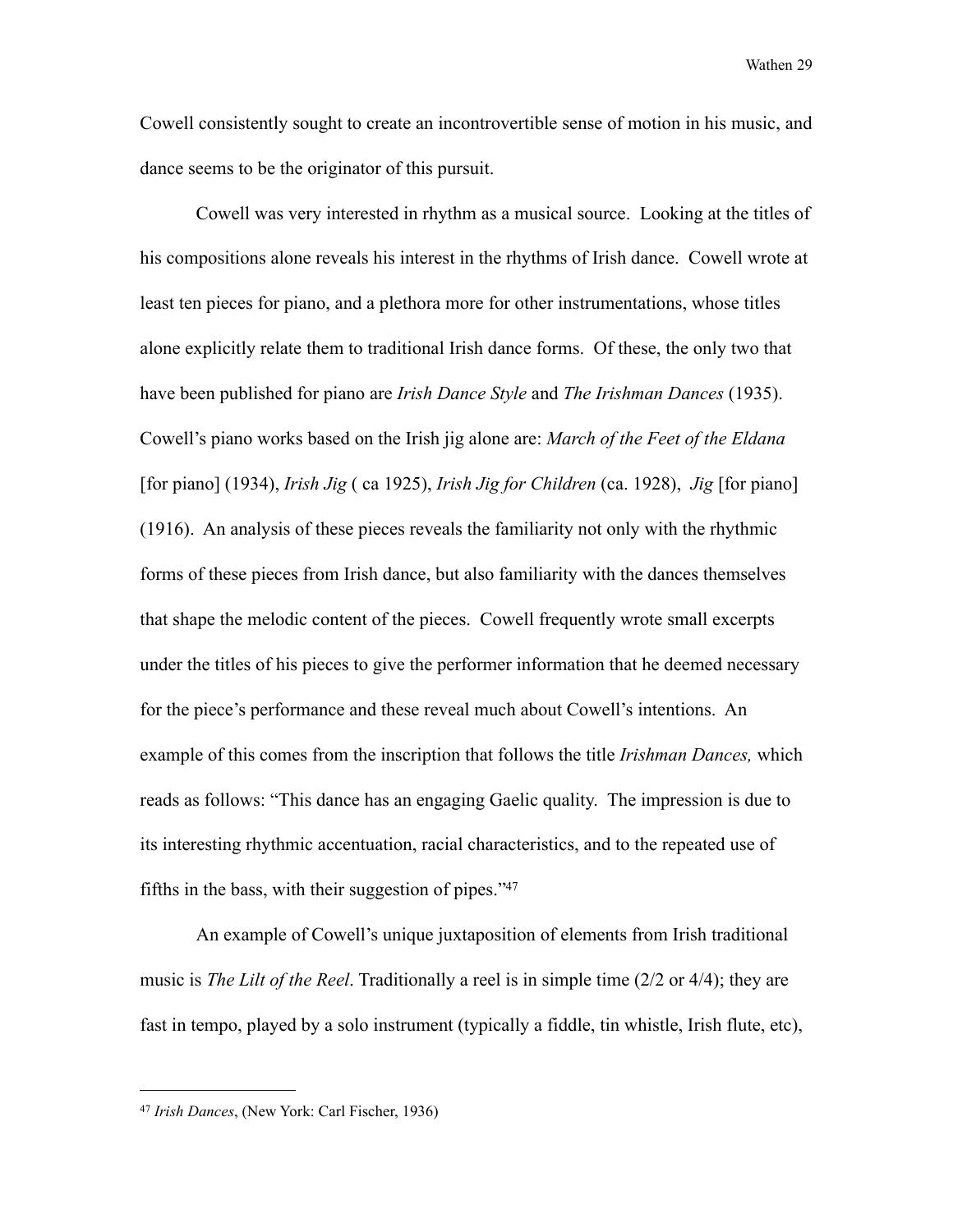Cowell consistently sought to create an incontrovertible sense of motion in his music, and dance seems to be the originator of this pursuit.

 Cowell was very interested in rhythm as a musical source. Looking at the titles of his compositions alone reveals his interest in the rhythms of Irish dance. Cowell wrote at least ten pieces for piano, and a plethora more for other instrumentations, whose titles alone explicitly relate them to traditional Irish dance forms. Of these, the only two that have been published for piano are *Irish Dance Style* and *The Irishman Dances* (1935). Cowell's piano works based on the Irish jig alone are: *March of the Feet of the Eldana* [for piano] (1934), *Irish Jig* ( ca 1925), *Irish Jig for Children* (ca. 1928), *Jig* [for piano] (1916). An analysis of these pieces reveals the familiarity not only with the rhythmic forms of these pieces from Irish dance, but also familiarity with the dances themselves that shape the melodic content of the pieces. Cowell frequently wrote small excerpts under the titles of his pieces to give the performer information that he deemed necessary for the piece's performance and these reveal much about Cowell's intentions. An example of this comes from the inscription that follows the title *Irishman Dances,* which reads as follows: "This dance has an engaging Gaelic quality. The impression is due to its interesting rhythmic accentuation, racial characteristics, and to the repeated use of fifths in the bass, with their suggestion of pipes.["47](#page-34-0)

An example of Cowell's unique juxtaposition of elements from Irish traditional music is *The Lilt of the Reel*. Traditionally a reel is in simple time (2/2 or 4/4); they are fast in tempo, played by a solo instrument (typically a fiddle, tin whistle, Irish flute, etc),

<span id="page-34-0"></span><sup>47</sup> *Irish Dances*, (New York: Carl Fischer, 1936)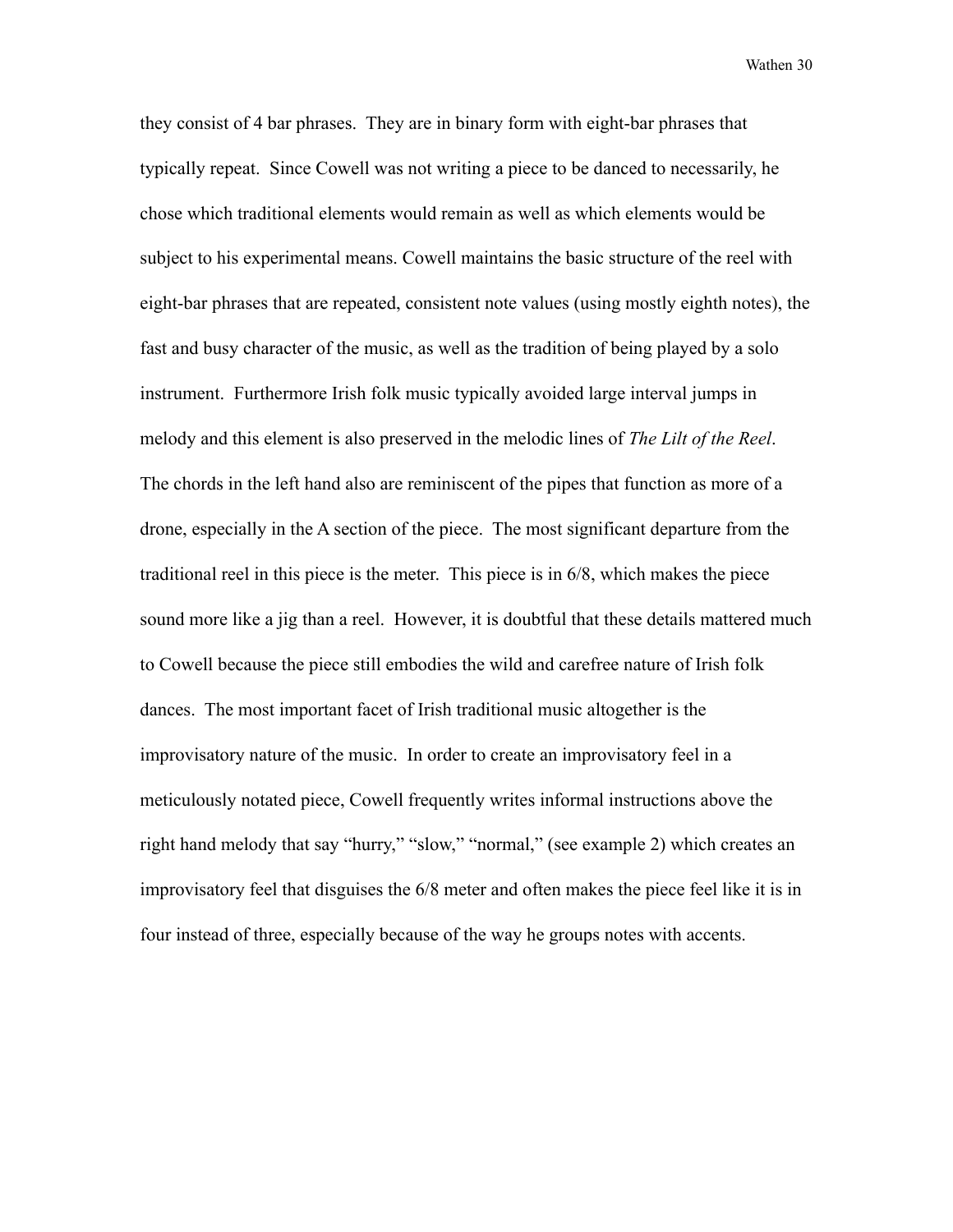they consist of 4 bar phrases. They are in binary form with eight-bar phrases that typically repeat. Since Cowell was not writing a piece to be danced to necessarily, he chose which traditional elements would remain as well as which elements would be subject to his experimental means. Cowell maintains the basic structure of the reel with eight-bar phrases that are repeated, consistent note values (using mostly eighth notes), the fast and busy character of the music, as well as the tradition of being played by a solo instrument. Furthermore Irish folk music typically avoided large interval jumps in melody and this element is also preserved in the melodic lines of *The Lilt of the Reel*. The chords in the left hand also are reminiscent of the pipes that function as more of a drone, especially in the A section of the piece. The most significant departure from the traditional reel in this piece is the meter. This piece is in 6/8, which makes the piece sound more like a jig than a reel. However, it is doubtful that these details mattered much to Cowell because the piece still embodies the wild and carefree nature of Irish folk dances. The most important facet of Irish traditional music altogether is the improvisatory nature of the music. In order to create an improvisatory feel in a meticulously notated piece, Cowell frequently writes informal instructions above the right hand melody that say "hurry," "slow," "normal," (see example 2) which creates an improvisatory feel that disguises the 6/8 meter and often makes the piece feel like it is in four instead of three, especially because of the way he groups notes with accents.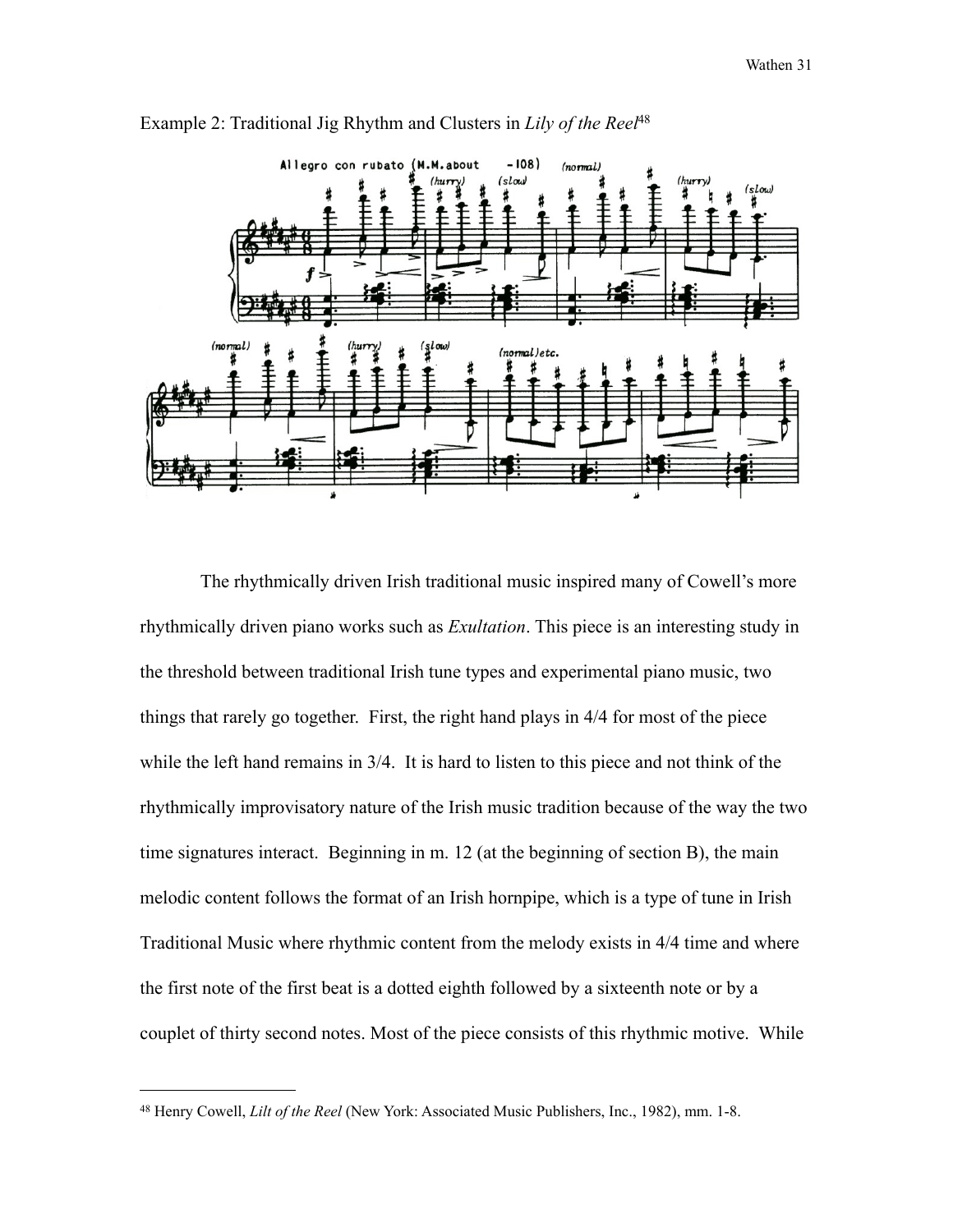

Example 2: Traditional Jig Rhythm and Clusters in *Lily of the Reel*[48](#page-36-0)

 The rhythmically driven Irish traditional music inspired many of Cowell's more rhythmically driven piano works such as *Exultation*. This piece is an interesting study in the threshold between traditional Irish tune types and experimental piano music, two things that rarely go together. First, the right hand plays in 4/4 for most of the piece while the left hand remains in 3/4. It is hard to listen to this piece and not think of the rhythmically improvisatory nature of the Irish music tradition because of the way the two time signatures interact. Beginning in m. 12 (at the beginning of section B), the main melodic content follows the format of an Irish hornpipe, which is a type of tune in Irish Traditional Music where rhythmic content from the melody exists in 4/4 time and where the first note of the first beat is a dotted eighth followed by a sixteenth note or by a couplet of thirty second notes. Most of the piece consists of this rhythmic motive. While

<span id="page-36-0"></span><sup>48</sup> Henry Cowell, *Lilt of the Reel* (New York: Associated Music Publishers, Inc., 1982), mm. 1-8.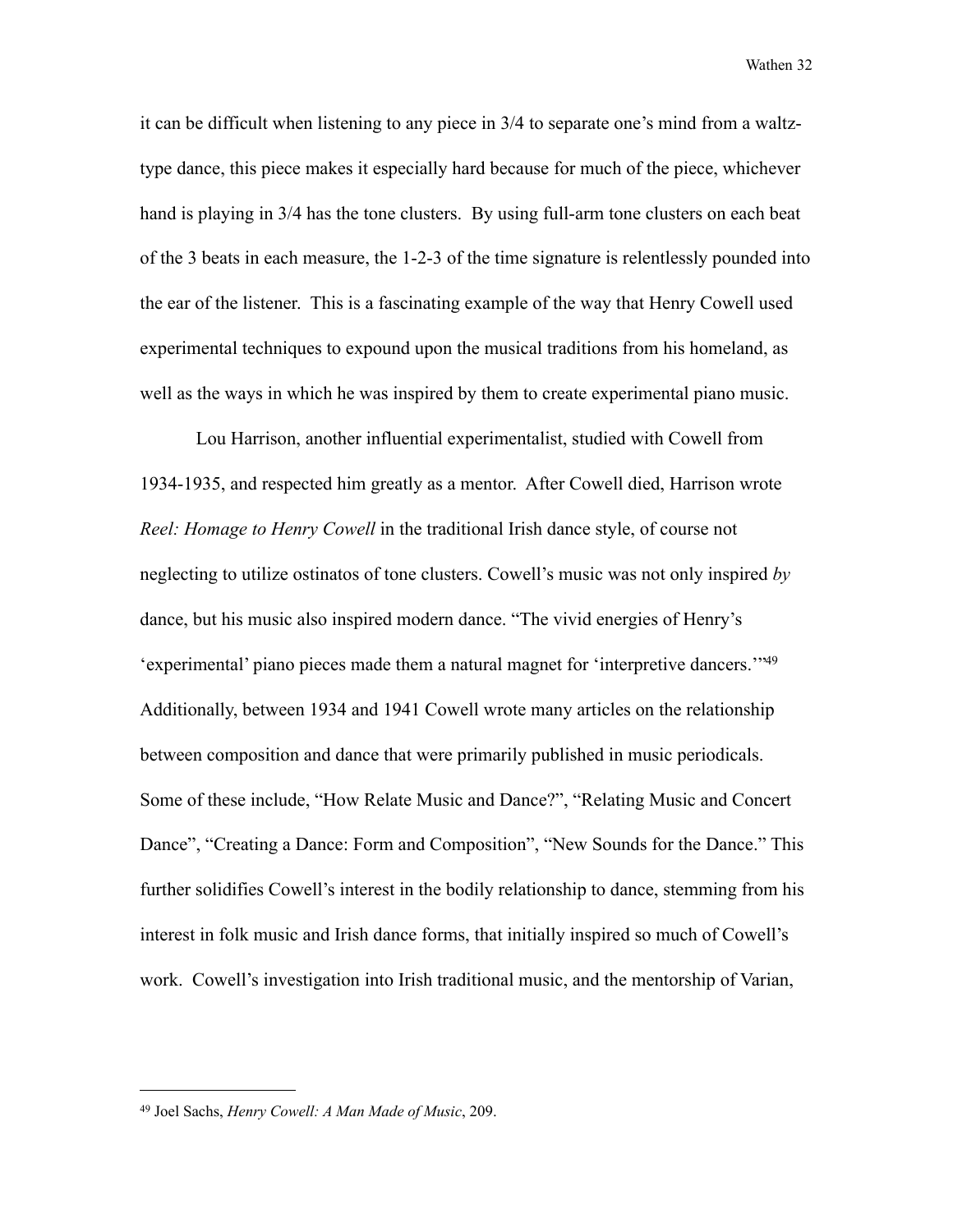it can be difficult when listening to any piece in 3/4 to separate one's mind from a waltztype dance, this piece makes it especially hard because for much of the piece, whichever hand is playing in 3/4 has the tone clusters. By using full-arm tone clusters on each beat of the 3 beats in each measure, the 1-2-3 of the time signature is relentlessly pounded into the ear of the listener. This is a fascinating example of the way that Henry Cowell used experimental techniques to expound upon the musical traditions from his homeland, as well as the ways in which he was inspired by them to create experimental piano music.

Lou Harrison, another influential experimentalist, studied with Cowell from 1934-1935, and respected him greatly as a mentor. After Cowell died, Harrison wrote *Reel: Homage to Henry Cowell* in the traditional Irish dance style, of course not neglecting to utilize ostinatos of tone clusters. Cowell's music was not only inspired *by* dance, but his music also inspired modern dance. "The vivid energies of Henry's 'experimental' piano pieces made them a natural magnet for 'interpretive dancers.'["49](#page-37-0)  Additionally, between 1934 and 1941 Cowell wrote many articles on the relationship between composition and dance that were primarily published in music periodicals. Some of these include, "How Relate Music and Dance?", "Relating Music and Concert Dance", "Creating a Dance: Form and Composition", "New Sounds for the Dance." This further solidifies Cowell's interest in the bodily relationship to dance, stemming from his interest in folk music and Irish dance forms, that initially inspired so much of Cowell's work. Cowell's investigation into Irish traditional music, and the mentorship of Varian,

<span id="page-37-0"></span><sup>49</sup> Joel Sachs, *Henry Cowell: A Man Made of Music*, 209.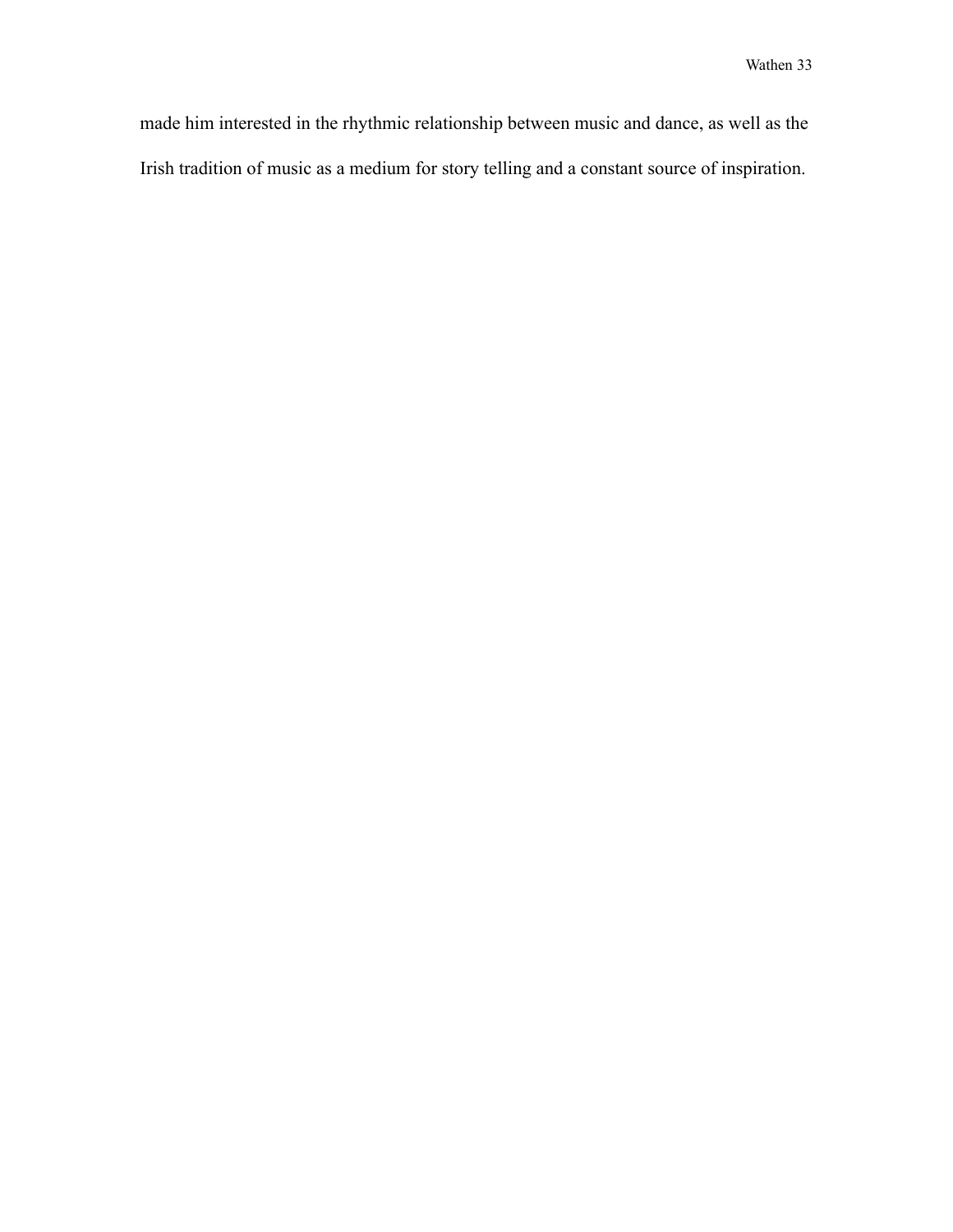made him interested in the rhythmic relationship between music and dance, as well as the Irish tradition of music as a medium for story telling and a constant source of inspiration.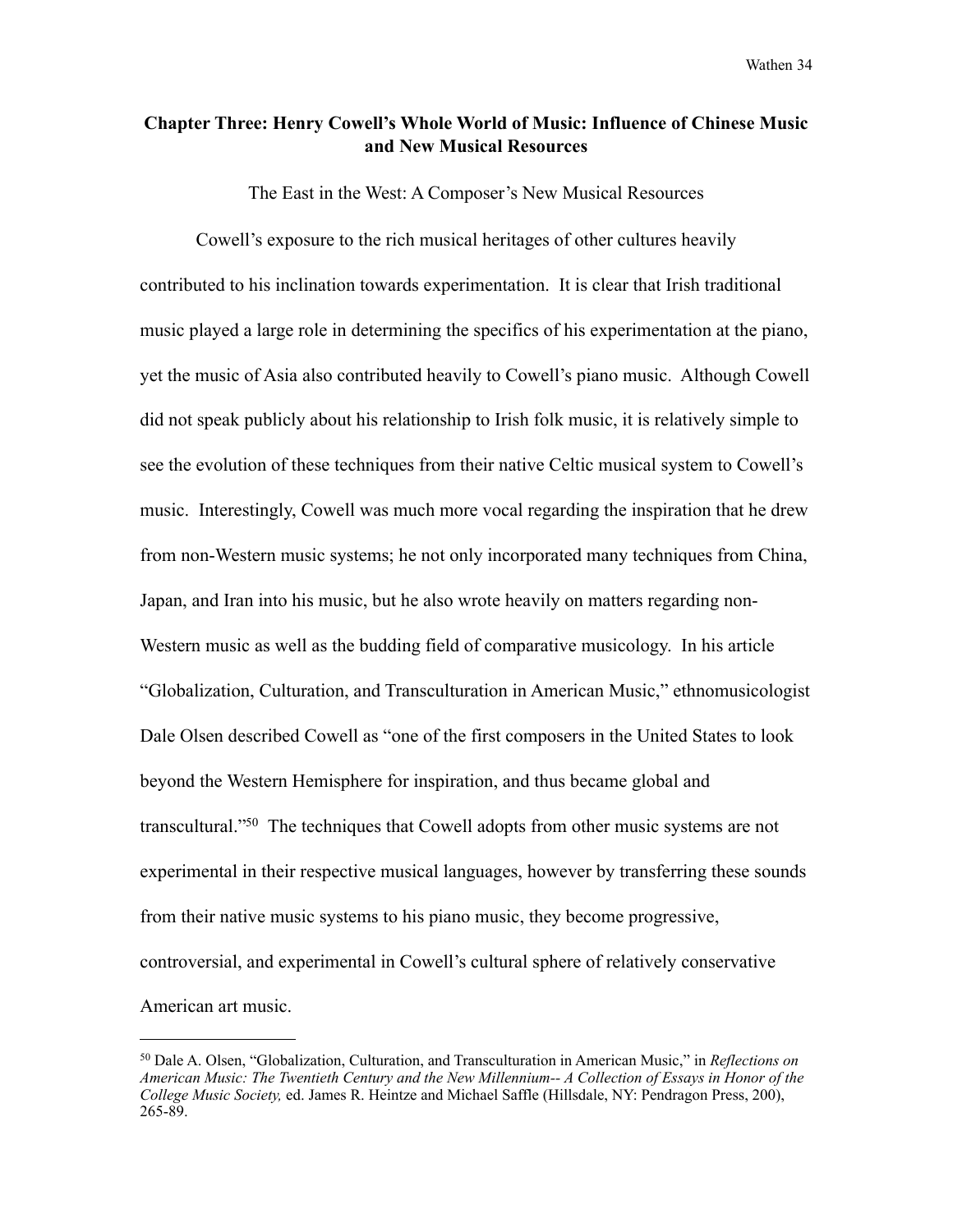#### **Chapter Three: Henry Cowell's Whole World of Music: Influence of Chinese Music and New Musical Resources**

The East in the West: A Composer's New Musical Resources

 Cowell's exposure to the rich musical heritages of other cultures heavily contributed to his inclination towards experimentation. It is clear that Irish traditional music played a large role in determining the specifics of his experimentation at the piano, yet the music of Asia also contributed heavily to Cowell's piano music. Although Cowell did not speak publicly about his relationship to Irish folk music, it is relatively simple to see the evolution of these techniques from their native Celtic musical system to Cowell's music. Interestingly, Cowell was much more vocal regarding the inspiration that he drew from non-Western music systems; he not only incorporated many techniques from China, Japan, and Iran into his music, but he also wrote heavily on matters regarding non-Western music as well as the budding field of comparative musicology. In his article "Globalization, Culturation, and Transculturation in American Music," ethnomusicologist Dale Olsen described Cowell as "one of the first composers in the United States to look beyond the Western Hemisphere for inspiration, and thus became global and transcultural.["50](#page-39-0) The techniques that Cowell adopts from other music systems are not experimental in their respective musical languages, however by transferring these sounds from their native music systems to his piano music, they become progressive, controversial, and experimental in Cowell's cultural sphere of relatively conservative American art music.

<span id="page-39-0"></span><sup>50</sup> Dale A. Olsen, "Globalization, Culturation, and Transculturation in American Music," in *Reflections on American Music: The Twentieth Century and the New Millennium-- A Collection of Essays in Honor of the College Music Society,* ed. James R. Heintze and Michael Saffle (Hillsdale, NY: Pendragon Press, 200), 265-89.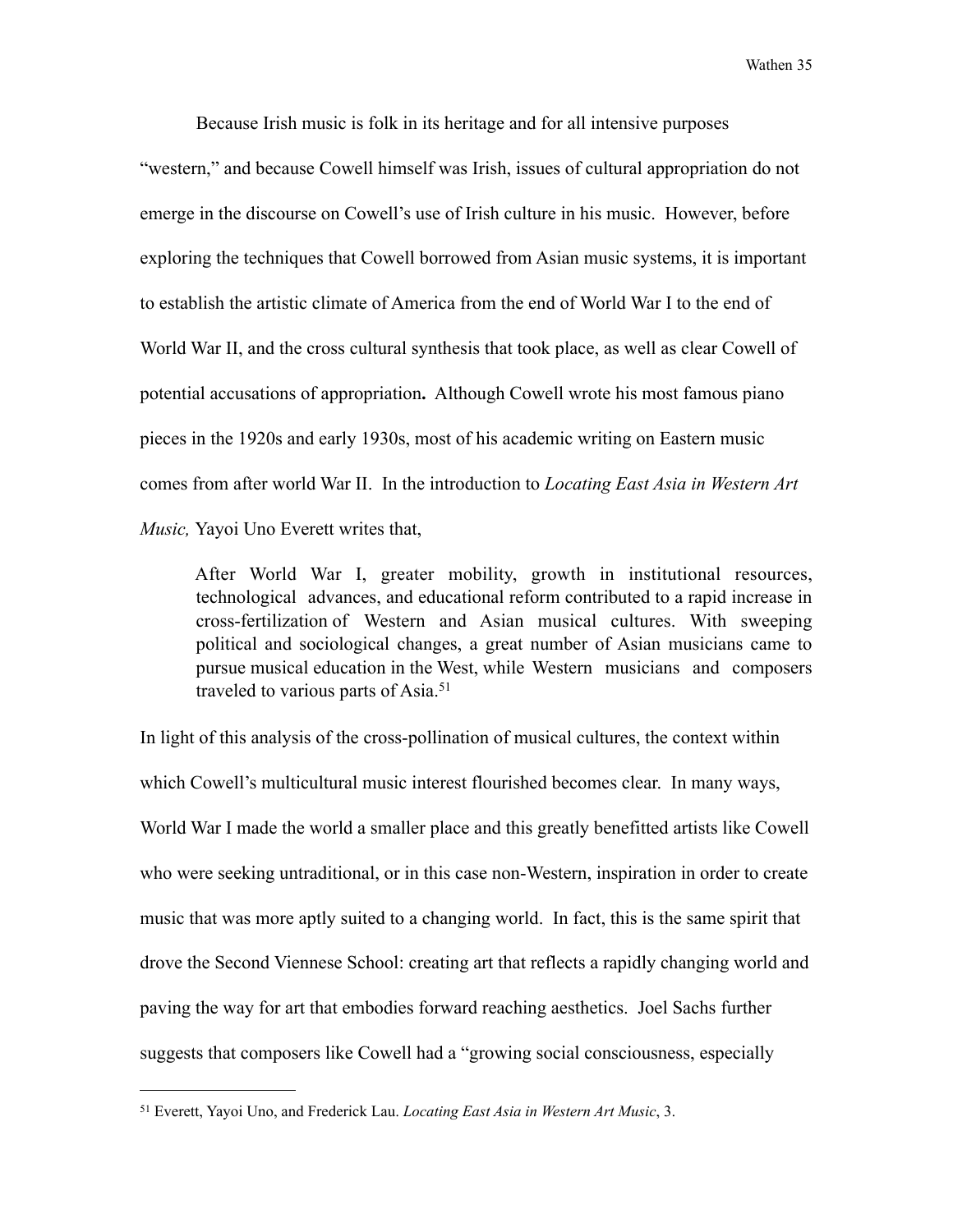Because Irish music is folk in its heritage and for all intensive purposes

"western," and because Cowell himself was Irish, issues of cultural appropriation do not emerge in the discourse on Cowell's use of Irish culture in his music. However, before exploring the techniques that Cowell borrowed from Asian music systems, it is important to establish the artistic climate of America from the end of World War I to the end of World War II, and the cross cultural synthesis that took place, as well as clear Cowell of potential accusations of appropriation**.** Although Cowell wrote his most famous piano pieces in the 1920s and early 1930s, most of his academic writing on Eastern music comes from after world War II. In the introduction to *Locating East Asia in Western Art Music,* Yayoi Uno Everett writes that,

 After World War I, greater mobility, growth in institutional resources, technological advances, and educational reform contributed to a rapid increase in cross-fertilization of Western and Asian musical cultures. With sweeping political and sociological changes, a great number of Asian musicians came to pursue musical education in the West, while Western musicians and composers traveled to various parts of Asia.<sup>[51](#page-40-0)</sup>

In light of this analysis of the cross-pollination of musical cultures, the context within which Cowell's multicultural music interest flourished becomes clear. In many ways, World War I made the world a smaller place and this greatly benefitted artists like Cowell who were seeking untraditional, or in this case non-Western, inspiration in order to create music that was more aptly suited to a changing world. In fact, this is the same spirit that drove the Second Viennese School: creating art that reflects a rapidly changing world and paving the way for art that embodies forward reaching aesthetics. Joel Sachs further suggests that composers like Cowell had a "growing social consciousness, especially

<span id="page-40-0"></span><sup>51</sup> Everett, Yayoi Uno, and Frederick Lau. *Locating East Asia in Western Art Music*, 3.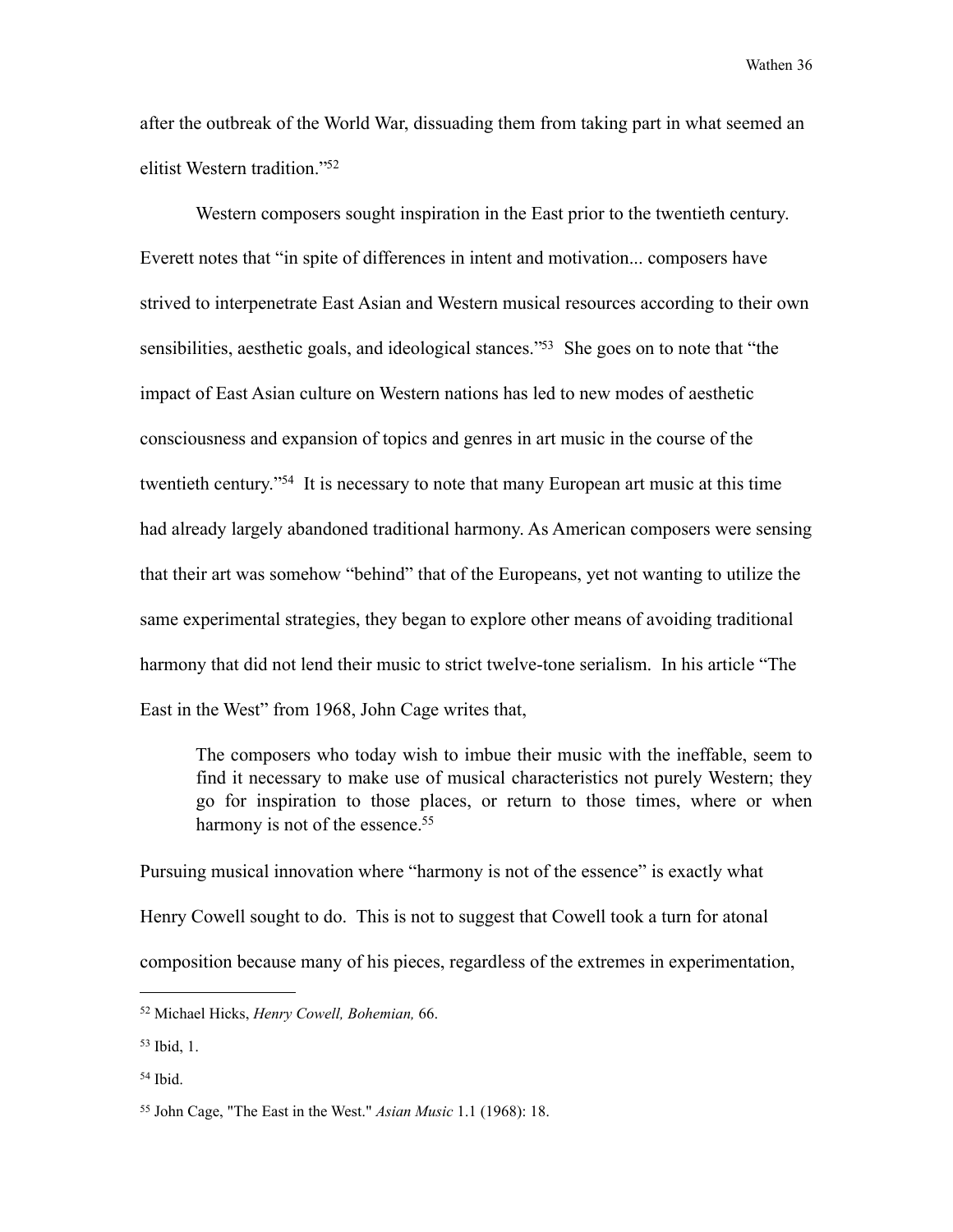after the outbreak of the World War, dissuading them from taking part in what seemed an elitist Western tradition.["52](#page-41-0)

 Western composers sought inspiration in the East prior to the twentieth century. Everett notes that "in spite of differences in intent and motivation... composers have strived to interpenetrate East Asian and Western musical resources according to their own sensibilities, aesthetic goals, and ideological stances.<sup>753</sup> She goes on to note that "the impact of East Asian culture on Western nations has led to new modes of aesthetic consciousness and expansion of topics and genres in art music in the course of the twentieth century.["54](#page-41-2) It is necessary to note that many European art music at this time had already largely abandoned traditional harmony. As American composers were sensing that their art was somehow "behind" that of the Europeans, yet not wanting to utilize the same experimental strategies, they began to explore other means of avoiding traditional harmony that did not lend their music to strict twelve-tone serialism. In his article "The East in the West" from 1968, John Cage writes that,

 The composers who today wish to imbue their music with the ineffable, seem to find it necessary to make use of musical characteristics not purely Western; they go for inspiration to those places, or return to those times, where or when harmony is not of the essence.<sup>55</sup>

Pursuing musical innovation where "harmony is not of the essence" is exactly what Henry Cowell sought to do. This is not to suggest that Cowell took a turn for atonal composition because many of his pieces, regardless of the extremes in experimentation,

<span id="page-41-0"></span><sup>52</sup> Michael Hicks, *Henry Cowell, Bohemian,* 66.

<span id="page-41-1"></span><sup>53</sup> Ibid, 1.

<span id="page-41-2"></span><sup>54</sup> Ibid.

<span id="page-41-3"></span><sup>55</sup> John Cage, "The East in the West." *Asian Music* 1.1 (1968): 18.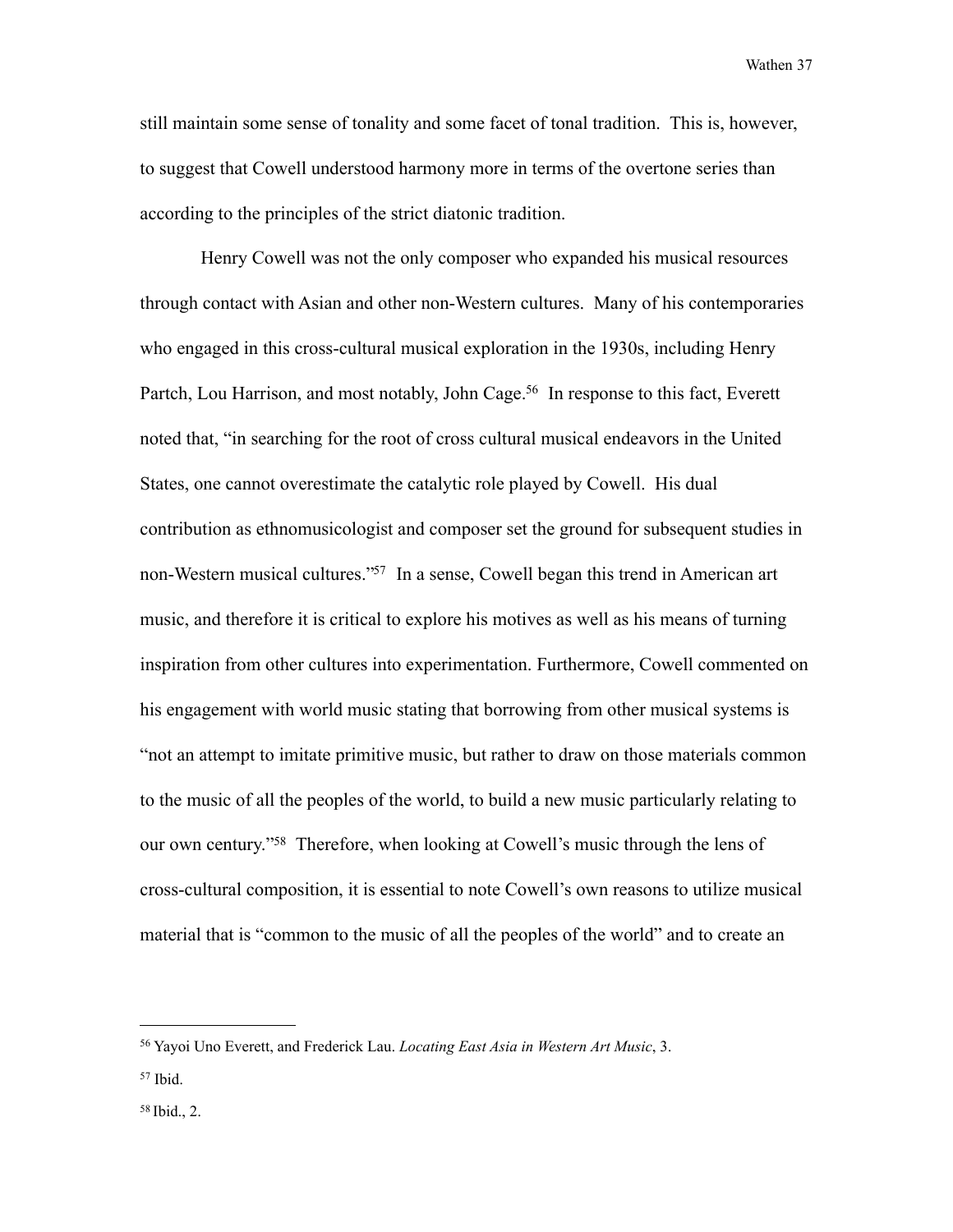still maintain some sense of tonality and some facet of tonal tradition. This is, however, to suggest that Cowell understood harmony more in terms of the overtone series than according to the principles of the strict diatonic tradition.

 Henry Cowell was not the only composer who expanded his musical resources through contact with Asian and other non-Western cultures. Many of his contemporaries who engaged in this cross-cultural musical exploration in the 1930s, including Henry Partch, Lou Harrison, and most notably, John Cage.<sup>56</sup> In response to this fact, Everett noted that, "in searching for the root of cross cultural musical endeavors in the United States, one cannot overestimate the catalytic role played by Cowell. His dual contribution as ethnomusicologist and composer set the ground for subsequent studies in non-Western musical cultures.["57](#page-42-1) In a sense, Cowell began this trend in American art music, and therefore it is critical to explore his motives as well as his means of turning inspiration from other cultures into experimentation. Furthermore, Cowell commented on his engagement with world music stating that borrowing from other musical systems is "not an attempt to imitate primitive music, but rather to draw on those materials common to the music of all the peoples of the world, to build a new music particularly relating to our own century.["58](#page-42-2) Therefore, when looking at Cowell's music through the lens of cross-cultural composition, it is essential to note Cowell's own reasons to utilize musical material that is "common to the music of all the peoples of the world" and to create an

<span id="page-42-0"></span><sup>56</sup> Yayoi Uno Everett, and Frederick Lau. *Locating East Asia in Western Art Music*, 3.

<span id="page-42-1"></span><sup>57</sup> Ibid.

<span id="page-42-2"></span><sup>58</sup> Ibid., 2.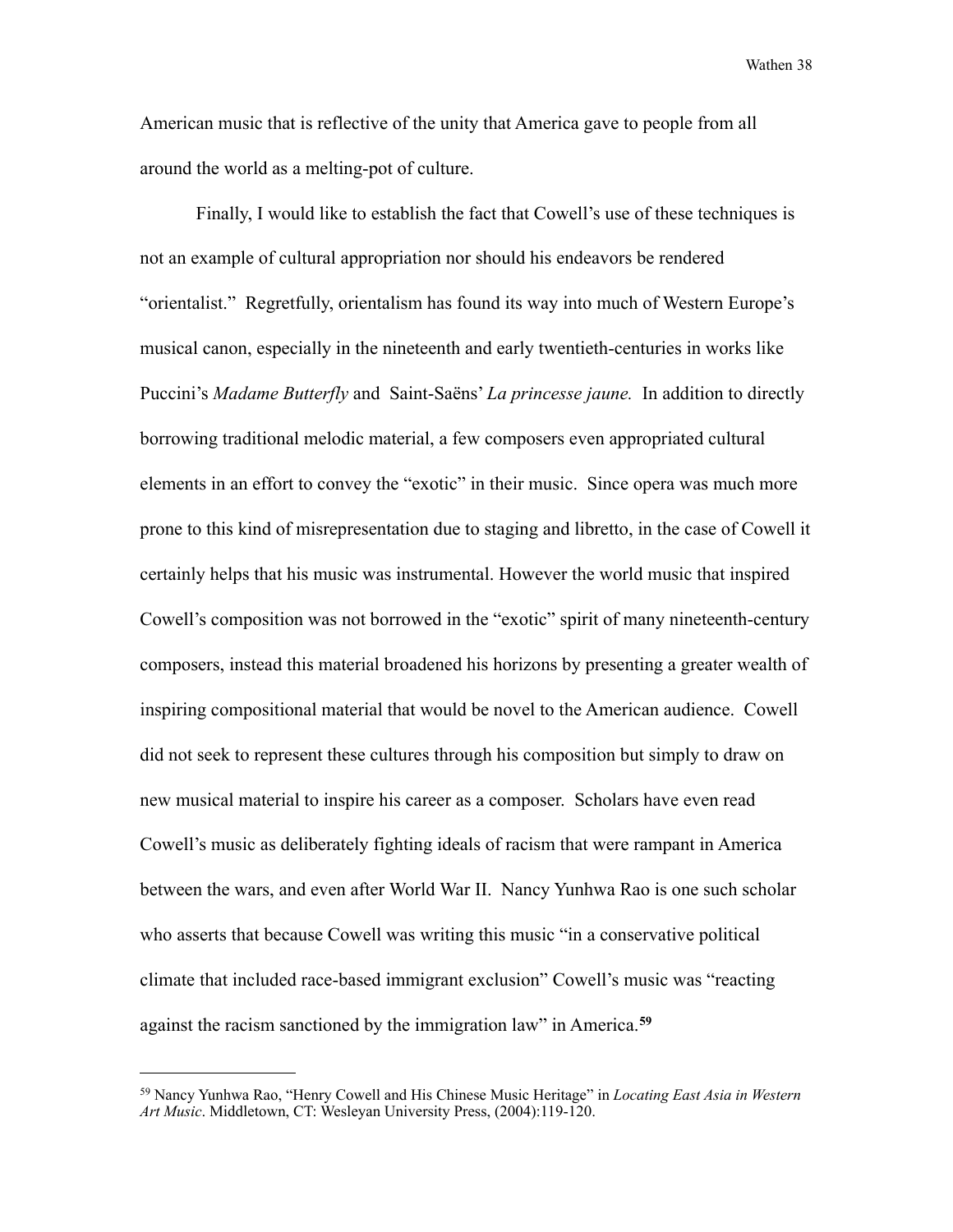American music that is reflective of the unity that America gave to people from all around the world as a melting-pot of culture.

 Finally, I would like to establish the fact that Cowell's use of these techniques is not an example of cultural appropriation nor should his endeavors be rendered "orientalist." Regretfully, orientalism has found its way into much of Western Europe's musical canon, especially in the nineteenth and early twentieth-centuries in works like Puccini's *Madame Butterfly* and Saint-Saëns' *La princesse jaune.* In addition to directly borrowing traditional melodic material, a few composers even appropriated cultural elements in an effort to convey the "exotic" in their music. Since opera was much more prone to this kind of misrepresentation due to staging and libretto, in the case of Cowell it certainly helps that his music was instrumental. However the world music that inspired Cowell's composition was not borrowed in the "exotic" spirit of many nineteenth-century composers, instead this material broadened his horizons by presenting a greater wealth of inspiring compositional material that would be novel to the American audience. Cowell did not seek to represent these cultures through his composition but simply to draw on new musical material to inspire his career as a composer. Scholars have even read Cowell's music as deliberately fighting ideals of racism that were rampant in America between the wars, and even after World War II. Nancy Yunhwa Rao is one such scholar who asserts that because Cowell was writing this music "in a conservative political climate that included race-based immigrant exclusion" Cowell's music was "reacting against the racism sanctioned by the immigration law" in America.**[59](#page-43-0)**

<span id="page-43-0"></span><sup>59</sup> Nancy Yunhwa Rao, "Henry Cowell and His Chinese Music Heritage" in *Locating East Asia in Western Art Music*. Middletown, CT: Wesleyan University Press, (2004):119-120.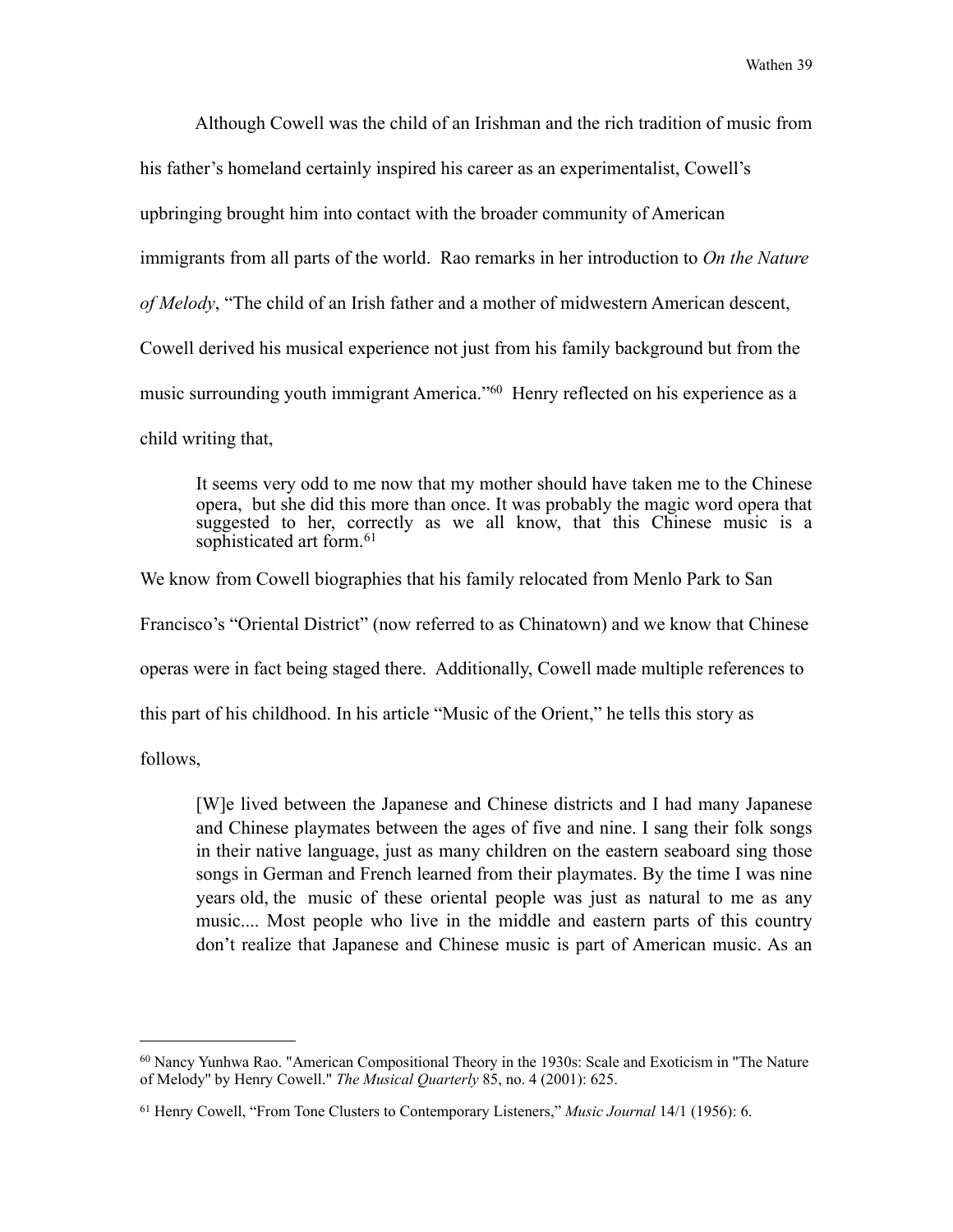Although Cowell was the child of an Irishman and the rich tradition of music from

his father's homeland certainly inspired his career as an experimentalist, Cowell's

upbringing brought him into contact with the broader community of American

immigrants from all parts of the world. Rao remarks in her introduction to *On the Nature* 

*of Melody*, "The child of an Irish father and a mother of midwestern American descent,

Cowell derived his musical experience not just from his family background but from the

music surrounding youth immigrant America."[60](#page-44-0) Henry reflected on his experience as a

child writing that,

 It seems very odd to me now that my mother should have taken me to the Chinese opera, but she did this more than once. It was probably the magic word opera that suggested to her, correctly as we all know, that this Chinese music is a sophisticated art form.<sup>[61](#page-44-1)</sup>

We know from Cowell biographies that his family relocated from Menlo Park to San

Francisco's "Oriental District" (now referred to as Chinatown) and we know that Chinese

operas were in fact being staged there. Additionally, Cowell made multiple references to

this part of his childhood. In his article "Music of the Orient," he tells this story as

follows,

 [W]e lived between the Japanese and Chinese districts and I had many Japanese and Chinese playmates between the ages of five and nine. I sang their folk songs in their native language, just as many children on the eastern seaboard sing those songs in German and French learned from their playmates. By the time I was nine years old, the music of these oriental people was just as natural to me as any music.... Most people who live in the middle and eastern parts of this country don't realize that Japanese and Chinese music is part of American music. As an

<span id="page-44-0"></span><sup>60</sup> Nancy Yunhwa Rao. "American Compositional Theory in the 1930s: Scale and Exoticism in ''The Nature of Melody'' by Henry Cowell." *The Musical Quarterly* 85, no. 4 (2001): 625.

<span id="page-44-1"></span><sup>61</sup> Henry Cowell, "From Tone Clusters to Contemporary Listeners," *Music Journal* 14/1 (1956): 6.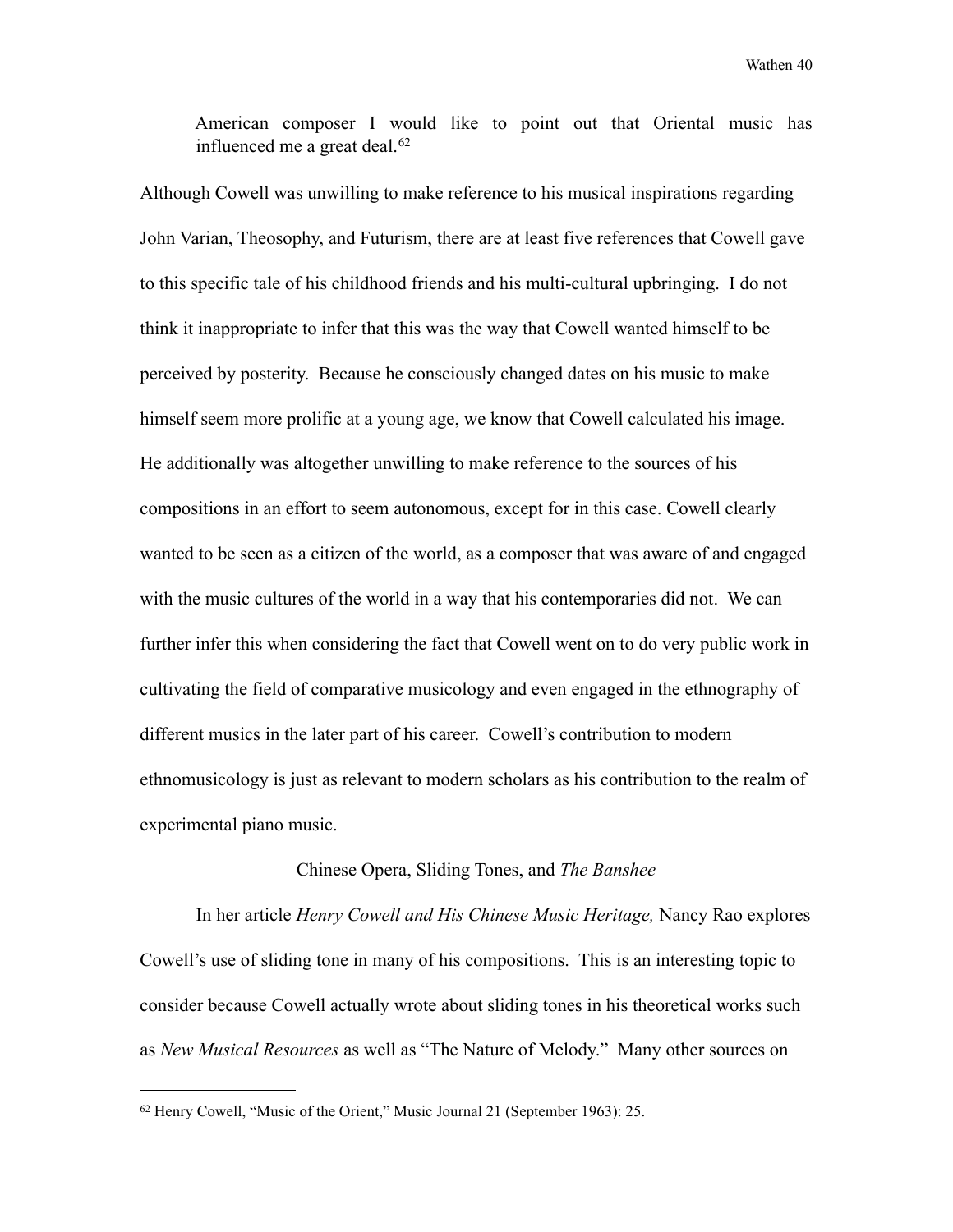American composer I would like to point out that Oriental music has influenced me a great deal.<sup>[62](#page-45-0)</sup>

Although Cowell was unwilling to make reference to his musical inspirations regarding John Varian, Theosophy, and Futurism, there are at least five references that Cowell gave to this specific tale of his childhood friends and his multi-cultural upbringing. I do not think it inappropriate to infer that this was the way that Cowell wanted himself to be perceived by posterity. Because he consciously changed dates on his music to make himself seem more prolific at a young age, we know that Cowell calculated his image. He additionally was altogether unwilling to make reference to the sources of his compositions in an effort to seem autonomous, except for in this case. Cowell clearly wanted to be seen as a citizen of the world, as a composer that was aware of and engaged with the music cultures of the world in a way that his contemporaries did not. We can further infer this when considering the fact that Cowell went on to do very public work in cultivating the field of comparative musicology and even engaged in the ethnography of different musics in the later part of his career. Cowell's contribution to modern ethnomusicology is just as relevant to modern scholars as his contribution to the realm of experimental piano music.

#### Chinese Opera, Sliding Tones, and *The Banshee*

In her article *Henry Cowell and His Chinese Music Heritage,* Nancy Rao explores Cowell's use of sliding tone in many of his compositions. This is an interesting topic to consider because Cowell actually wrote about sliding tones in his theoretical works such as *New Musical Resources* as well as "The Nature of Melody." Many other sources on

<span id="page-45-0"></span><sup>62</sup> Henry Cowell, "Music of the Orient," Music Journal 21 (September 1963): 25.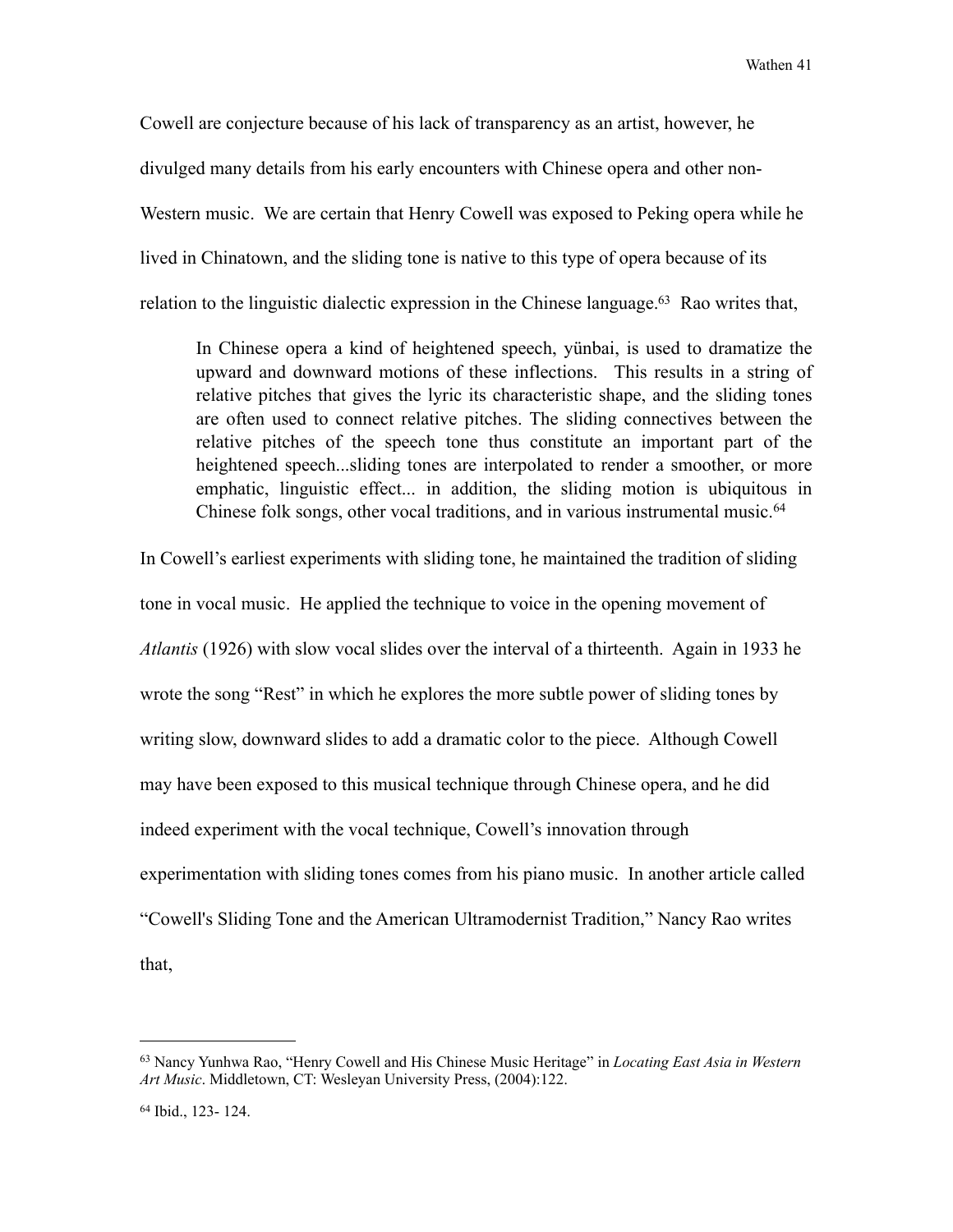Cowell are conjecture because of his lack of transparency as an artist, however, he divulged many details from his early encounters with Chinese opera and other non-Western music. We are certain that Henry Cowell was exposed to Peking opera while he lived in Chinatown, and the sliding tone is native to this type of opera because of its relation to the linguistic dialectic expression in the Chinese language.<sup>63</sup> Rao writes that,

 In Chinese opera a kind of heightened speech, yünbai, is used to dramatize the upward and downward motions of these inflections. This results in a string of relative pitches that gives the lyric its characteristic shape, and the sliding tones are often used to connect relative pitches. The sliding connectives between the relative pitches of the speech tone thus constitute an important part of the heightened speech...sliding tones are interpolated to render a smoother, or more emphatic, linguistic effect... in addition, the sliding motion is ubiquitous in Chinese folk songs, other vocal traditions, and in various instrumental music.<sup>[64](#page-46-1)</sup>

In Cowell's earliest experiments with sliding tone, he maintained the tradition of sliding tone in vocal music. He applied the technique to voice in the opening movement of *Atlantis* (1926) with slow vocal slides over the interval of a thirteenth. Again in 1933 he wrote the song "Rest" in which he explores the more subtle power of sliding tones by writing slow, downward slides to add a dramatic color to the piece. Although Cowell may have been exposed to this musical technique through Chinese opera, and he did indeed experiment with the vocal technique, Cowell's innovation through experimentation with sliding tones comes from his piano music. In another article called "Cowell's Sliding Tone and the American Ultramodernist Tradition," Nancy Rao writes that,

<span id="page-46-0"></span><sup>63</sup> Nancy Yunhwa Rao, "Henry Cowell and His Chinese Music Heritage" in *Locating East Asia in Western Art Music*. Middletown, CT: Wesleyan University Press, (2004):122.

<span id="page-46-1"></span><sup>64</sup> Ibid., 123- 124.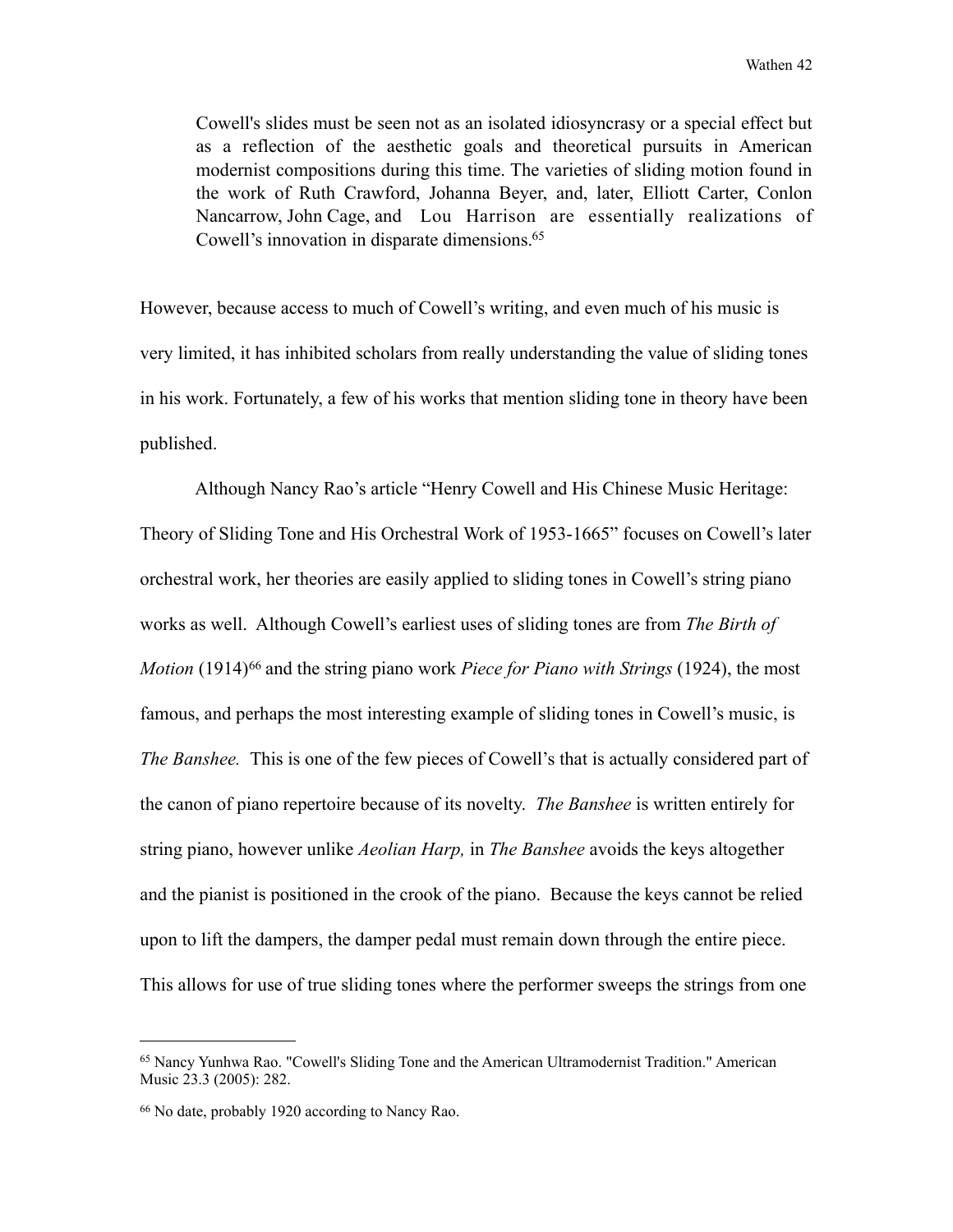Cowell's slides must be seen not as an isolated idiosyncrasy or a special effect but as a reflection of the aesthetic goals and theoretical pursuits in American modernist compositions during this time. The varieties of sliding motion found in the work of Ruth Crawford, Johanna Beyer, and, later, Elliott Carter, Conlon Nancarrow, John Cage, and Lou Harrison are essentially realizations of Cowell's innovation in disparate dimensions.<sup>65</sup>

However, because access to much of Cowell's writing, and even much of his music is very limited, it has inhibited scholars from really understanding the value of sliding tones in his work. Fortunately, a few of his works that mention sliding tone in theory have been published.

 Although Nancy Rao's article "Henry Cowell and His Chinese Music Heritage: Theory of Sliding Tone and His Orchestral Work of 1953-1665" focuses on Cowell's later orchestral work, her theories are easily applied to sliding tones in Cowell's string piano works as well. Although Cowell's earliest uses of sliding tones are from *The Birth of Motion* (1914)<sup>66</sup> and the string piano work *Piece for Piano with Strings* (1924), the most famous, and perhaps the most interesting example of sliding tones in Cowell's music, is *The Banshee.* This is one of the few pieces of Cowell's that is actually considered part of the canon of piano repertoire because of its novelty. *The Banshee* is written entirely for string piano, however unlike *Aeolian Harp,* in *The Banshee* avoids the keys altogether and the pianist is positioned in the crook of the piano. Because the keys cannot be relied upon to lift the dampers, the damper pedal must remain down through the entire piece. This allows for use of true sliding tones where the performer sweeps the strings from one

<span id="page-47-0"></span><sup>65</sup> Nancy Yunhwa Rao. "Cowell's Sliding Tone and the American Ultramodernist Tradition." American Music 23.3 (2005): 282.

<span id="page-47-1"></span><sup>66</sup> No date, probably 1920 according to Nancy Rao.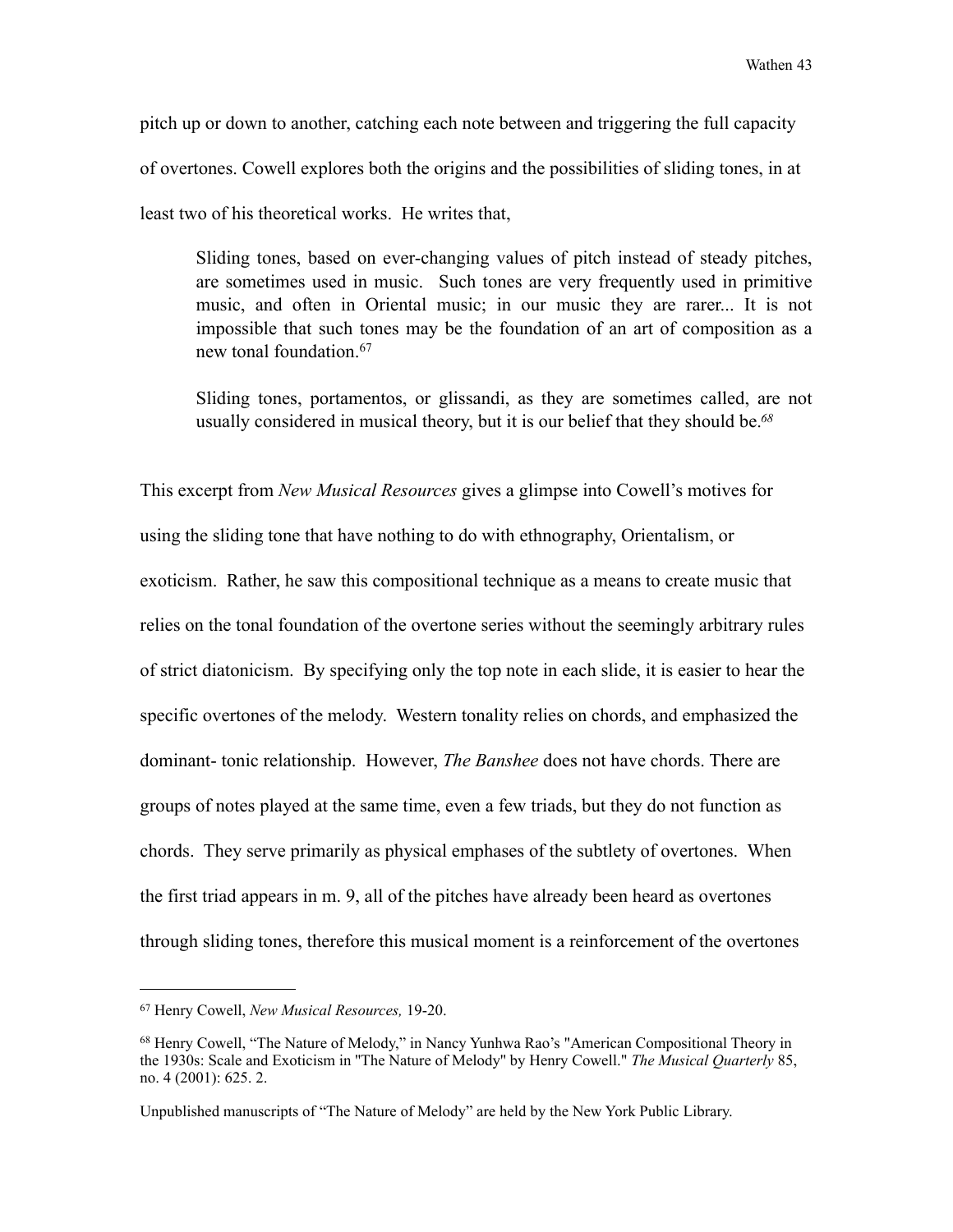pitch up or down to another, catching each note between and triggering the full capacity of overtones. Cowell explores both the origins and the possibilities of sliding tones, in at least two of his theoretical works. He writes that,

 Sliding tones, based on ever-changing values of pitch instead of steady pitches, are sometimes used in music. Such tones are very frequently used in primitive music, and often in Oriental music; in our music they are rarer... It is not impossible that such tones may be the foundation of an art of composition as a new tonal foundation.[67](#page-48-0)

 Sliding tones, portamentos, or glissandi, as they are sometimes called, are not usually considered in musical theory, but it is our belief that they should be.*[68](#page-48-1)*

This excerpt from *New Musical Resources* gives a glimpse into Cowell's motives for using the sliding tone that have nothing to do with ethnography, Orientalism, or exoticism. Rather, he saw this compositional technique as a means to create music that relies on the tonal foundation of the overtone series without the seemingly arbitrary rules of strict diatonicism. By specifying only the top note in each slide, it is easier to hear the specific overtones of the melody. Western tonality relies on chords, and emphasized the dominant- tonic relationship. However, *The Banshee* does not have chords. There are groups of notes played at the same time, even a few triads, but they do not function as chords. They serve primarily as physical emphases of the subtlety of overtones. When the first triad appears in m. 9, all of the pitches have already been heard as overtones through sliding tones, therefore this musical moment is a reinforcement of the overtones

<span id="page-48-0"></span><sup>67</sup> Henry Cowell, *New Musical Resources,* 19-20.

<span id="page-48-1"></span><sup>68</sup> Henry Cowell, "The Nature of Melody," in Nancy Yunhwa Rao's "American Compositional Theory in the 1930s: Scale and Exoticism in ''The Nature of Melody'' by Henry Cowell." *The Musical Quarterly* 85, no. 4 (2001): 625. 2.

Unpublished manuscripts of "The Nature of Melody" are held by the New York Public Library.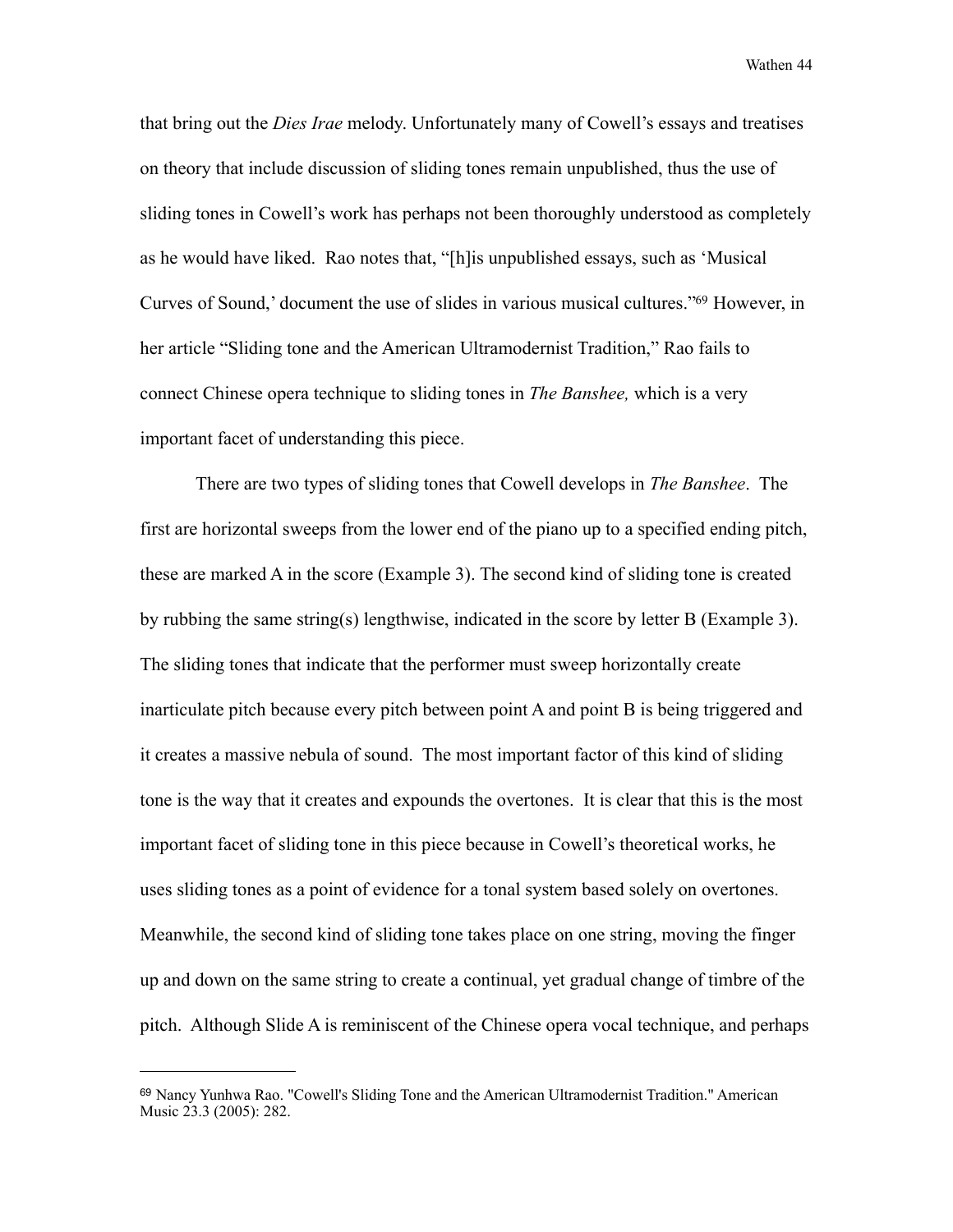that bring out the *Dies Irae* melody. Unfortunately many of Cowell's essays and treatises on theory that include discussion of sliding tones remain unpublished, thus the use of sliding tones in Cowell's work has perhaps not been thoroughly understood as completely as he would have liked. Rao notes that, "[h]is unpublished essays, such as 'Musical Curves of Sound,' document the use of slides in various musical cultures.["69](#page-49-0) However, in her article "Sliding tone and the American Ultramodernist Tradition," Rao fails to connect Chinese opera technique to sliding tones in *The Banshee,* which is a very important facet of understanding this piece.

 There are two types of sliding tones that Cowell develops in *The Banshee*. The first are horizontal sweeps from the lower end of the piano up to a specified ending pitch, these are marked A in the score (Example 3). The second kind of sliding tone is created by rubbing the same string(s) lengthwise, indicated in the score by letter B (Example 3). The sliding tones that indicate that the performer must sweep horizontally create inarticulate pitch because every pitch between point A and point B is being triggered and it creates a massive nebula of sound. The most important factor of this kind of sliding tone is the way that it creates and expounds the overtones. It is clear that this is the most important facet of sliding tone in this piece because in Cowell's theoretical works, he uses sliding tones as a point of evidence for a tonal system based solely on overtones. Meanwhile, the second kind of sliding tone takes place on one string, moving the finger up and down on the same string to create a continual, yet gradual change of timbre of the pitch. Although Slide A is reminiscent of the Chinese opera vocal technique, and perhaps

<span id="page-49-0"></span><sup>69</sup> Nancy Yunhwa Rao. "Cowell's Sliding Tone and the American Ultramodernist Tradition." American Music 23.3 (2005): 282.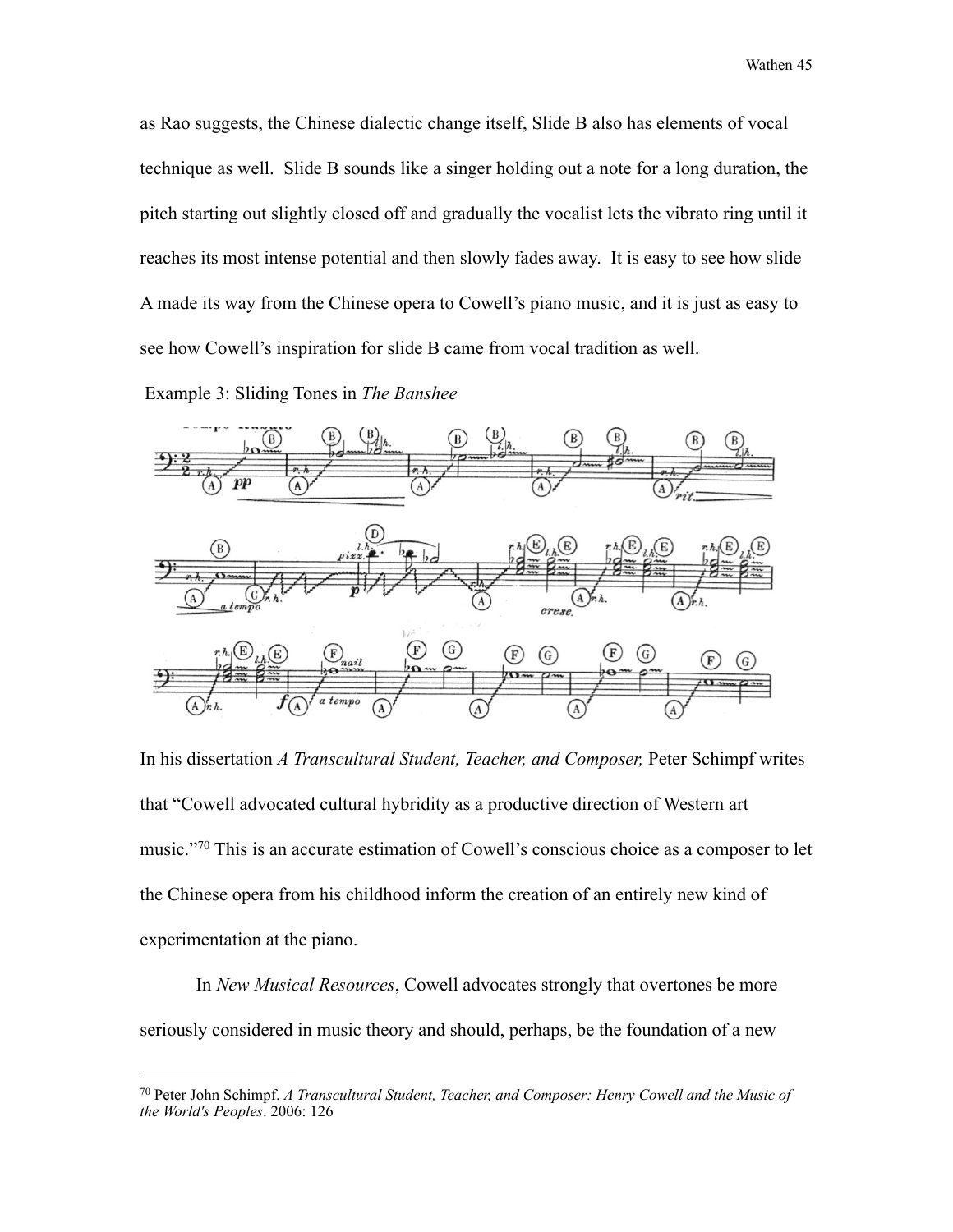as Rao suggests, the Chinese dialectic change itself, Slide B also has elements of vocal technique as well. Slide B sounds like a singer holding out a note for a long duration, the pitch starting out slightly closed off and gradually the vocalist lets the vibrato ring until it reaches its most intense potential and then slowly fades away. It is easy to see how slide A made its way from the Chinese opera to Cowell's piano music, and it is just as easy to see how Cowell's inspiration for slide B came from vocal tradition as well.

Example 3: Sliding Tones in *The Banshee*



In his dissertation *A Transcultural Student, Teacher, and Composer,* Peter Schimpf writes that "Cowell advocated cultural hybridity as a productive direction of Western art music."[70](#page-50-0) This is an accurate estimation of Cowell's conscious choice as a composer to let the Chinese opera from his childhood inform the creation of an entirely new kind of experimentation at the piano.

 In *New Musical Resources*, Cowell advocates strongly that overtones be more seriously considered in music theory and should, perhaps, be the foundation of a new

<span id="page-50-0"></span><sup>70</sup> Peter John Schimpf. *A Transcultural Student, Teacher, and Composer: Henry Cowell and the Music of the World's Peoples*. 2006: 126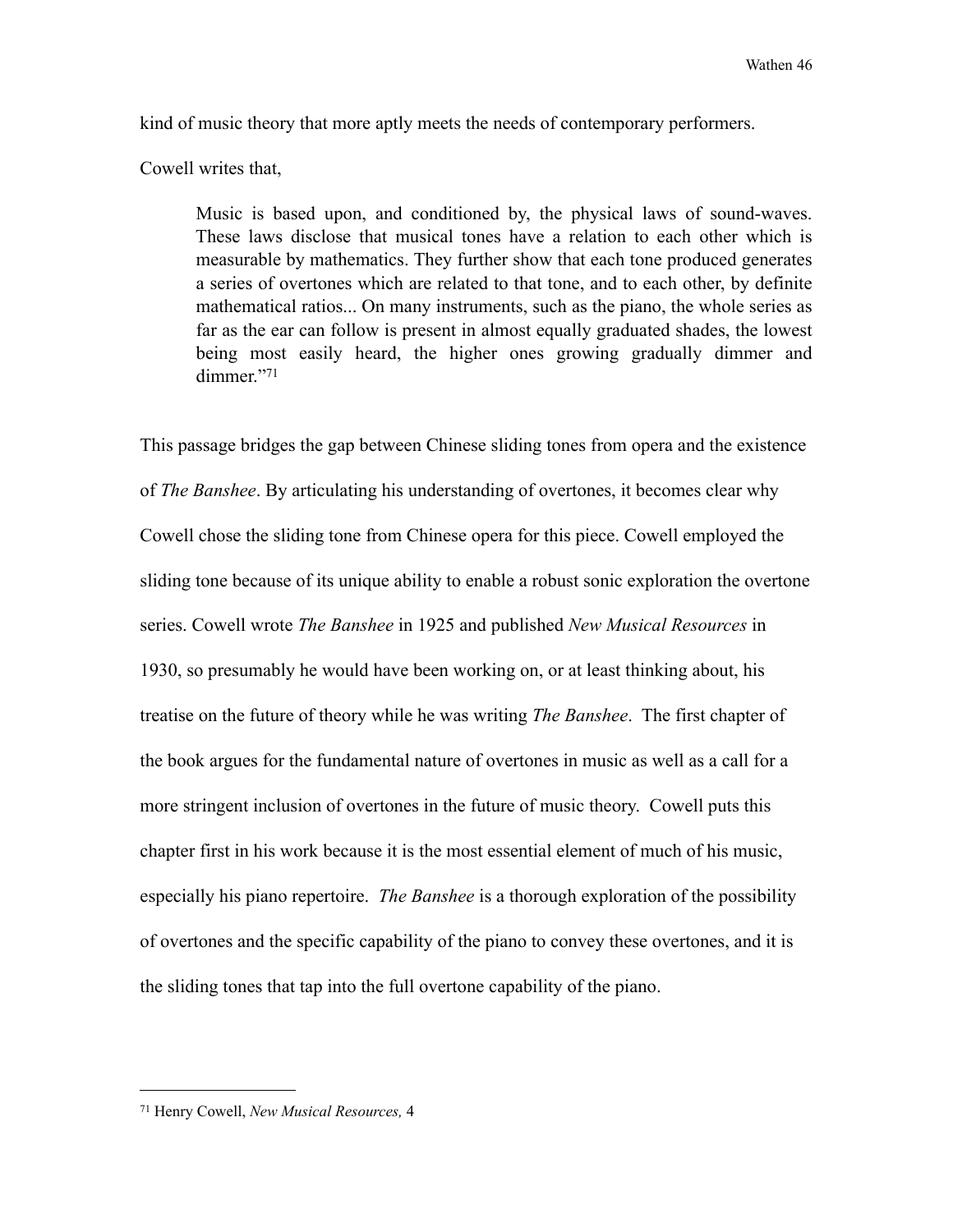kind of music theory that more aptly meets the needs of contemporary performers.

Cowell writes that,

 Music is based upon, and conditioned by, the physical laws of sound-waves. These laws disclose that musical tones have a relation to each other which is measurable by mathematics. They further show that each tone produced generates a series of overtones which are related to that tone, and to each other, by definite mathematical ratios... On many instruments, such as the piano, the whole series as far as the ear can follow is present in almost equally graduated shades, the lowest being most easily heard, the higher ones growing gradually dimmer and dimmer."[71](#page-51-0)

This passage bridges the gap between Chinese sliding tones from opera and the existence of *The Banshee*. By articulating his understanding of overtones, it becomes clear why Cowell chose the sliding tone from Chinese opera for this piece. Cowell employed the sliding tone because of its unique ability to enable a robust sonic exploration the overtone series. Cowell wrote *The Banshee* in 1925 and published *New Musical Resources* in 1930, so presumably he would have been working on, or at least thinking about, his treatise on the future of theory while he was writing *The Banshee*. The first chapter of the book argues for the fundamental nature of overtones in music as well as a call for a more stringent inclusion of overtones in the future of music theory. Cowell puts this chapter first in his work because it is the most essential element of much of his music, especially his piano repertoire. *The Banshee* is a thorough exploration of the possibility of overtones and the specific capability of the piano to convey these overtones, and it is the sliding tones that tap into the full overtone capability of the piano.

<span id="page-51-0"></span><sup>71</sup> Henry Cowell, *New Musical Resources,* 4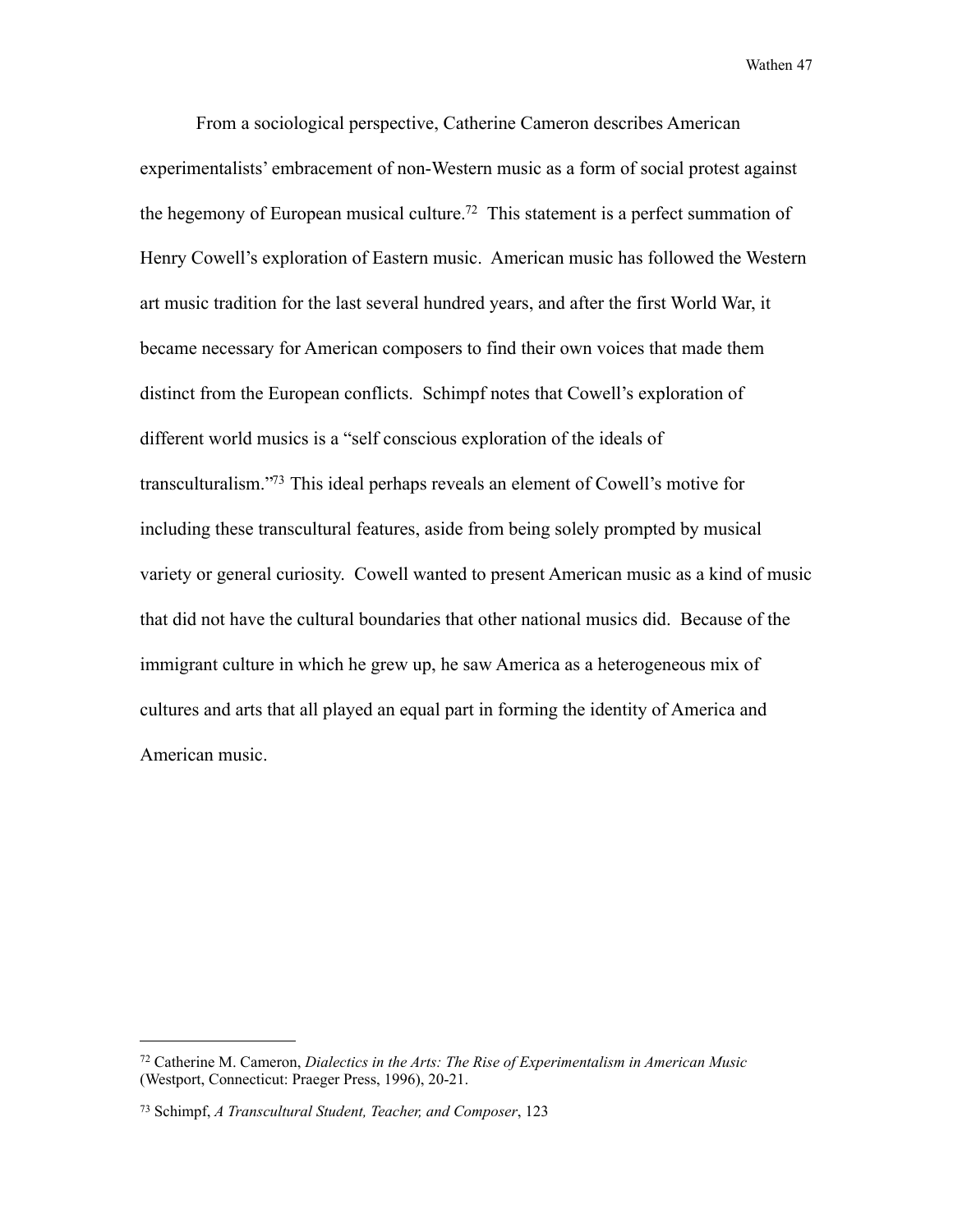From a sociological perspective, Catherine Cameron describes American experimentalists' embracement of non-Western music as a form of social protest against the hegemony of European musical culture[.72](#page-52-0) This statement is a perfect summation of Henry Cowell's exploration of Eastern music. American music has followed the Western art music tradition for the last several hundred years, and after the first World War, it became necessary for American composers to find their own voices that made them distinct from the European conflicts. Schimpf notes that Cowell's exploration of different world musics is a "self conscious exploration of the ideals of transculturalism.["73](#page-52-1) This ideal perhaps reveals an element of Cowell's motive for including these transcultural features, aside from being solely prompted by musical variety or general curiosity. Cowell wanted to present American music as a kind of music that did not have the cultural boundaries that other national musics did. Because of the immigrant culture in which he grew up, he saw America as a heterogeneous mix of cultures and arts that all played an equal part in forming the identity of America and American music.

<span id="page-52-0"></span><sup>72</sup> Catherine M. Cameron, *Dialectics in the Arts: The Rise of Experimentalism in American Music* (Westport, Connecticut: Praeger Press, 1996), 20-21.

<span id="page-52-1"></span><sup>73</sup> Schimpf, *A Transcultural Student, Teacher, and Composer*, 123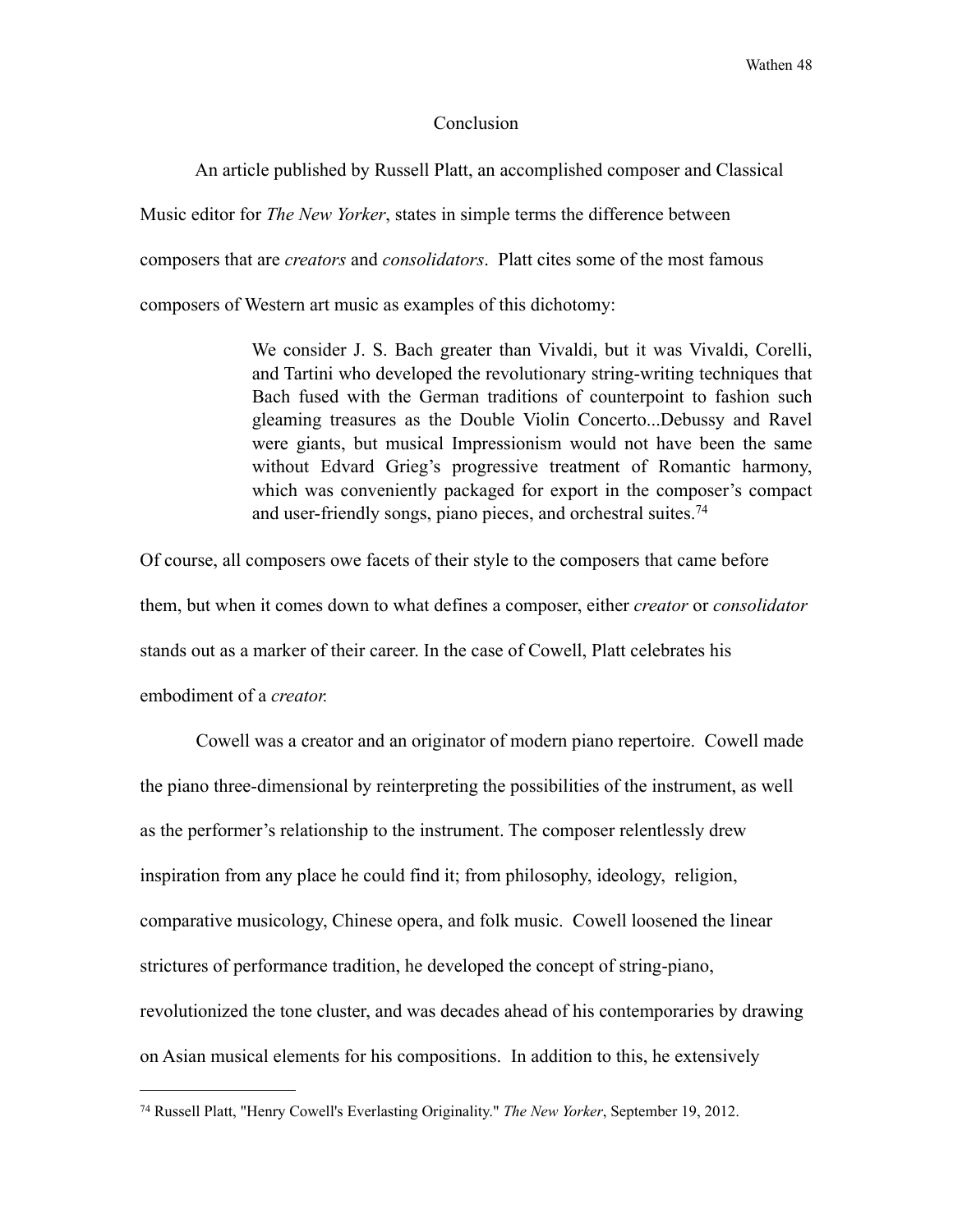#### **Conclusion**

An article published by Russell Platt, an accomplished composer and Classical

Music editor for *The New Yorker*, states in simple terms the difference between

composers that are *creators* and *consolidators*. Platt cites some of the most famous

composers of Western art music as examples of this dichotomy:

 We consider J. S. Bach greater than Vivaldi, but it was Vivaldi, Corelli, and Tartini who developed the revolutionary string-writing techniques that Bach fused with the German traditions of counterpoint to fashion such gleaming treasures as the Double Violin Concerto...Debussy and Ravel were giants, but musical Impressionism would not have been the same without Edvard Grieg's progressive treatment of Romantic harmony, which was conveniently packaged for export in the composer's compact and user-friendly songs, piano pieces, and orchestral suites[.74](#page-53-0)

Of course, all composers owe facets of their style to the composers that came before them, but when it comes down to what defines a composer, either *creator* or *consolidator*  stands out as a marker of their career. In the case of Cowell, Platt celebrates his embodiment of a *creator.*

 Cowell was a creator and an originator of modern piano repertoire. Cowell made the piano three-dimensional by reinterpreting the possibilities of the instrument, as well as the performer's relationship to the instrument. The composer relentlessly drew inspiration from any place he could find it; from philosophy, ideology, religion, comparative musicology, Chinese opera, and folk music. Cowell loosened the linear strictures of performance tradition, he developed the concept of string-piano, revolutionized the tone cluster, and was decades ahead of his contemporaries by drawing on Asian musical elements for his compositions. In addition to this, he extensively

<span id="page-53-0"></span><sup>74</sup> Russell Platt, "Henry Cowell's Everlasting Originality." *The New Yorker*, September 19, 2012.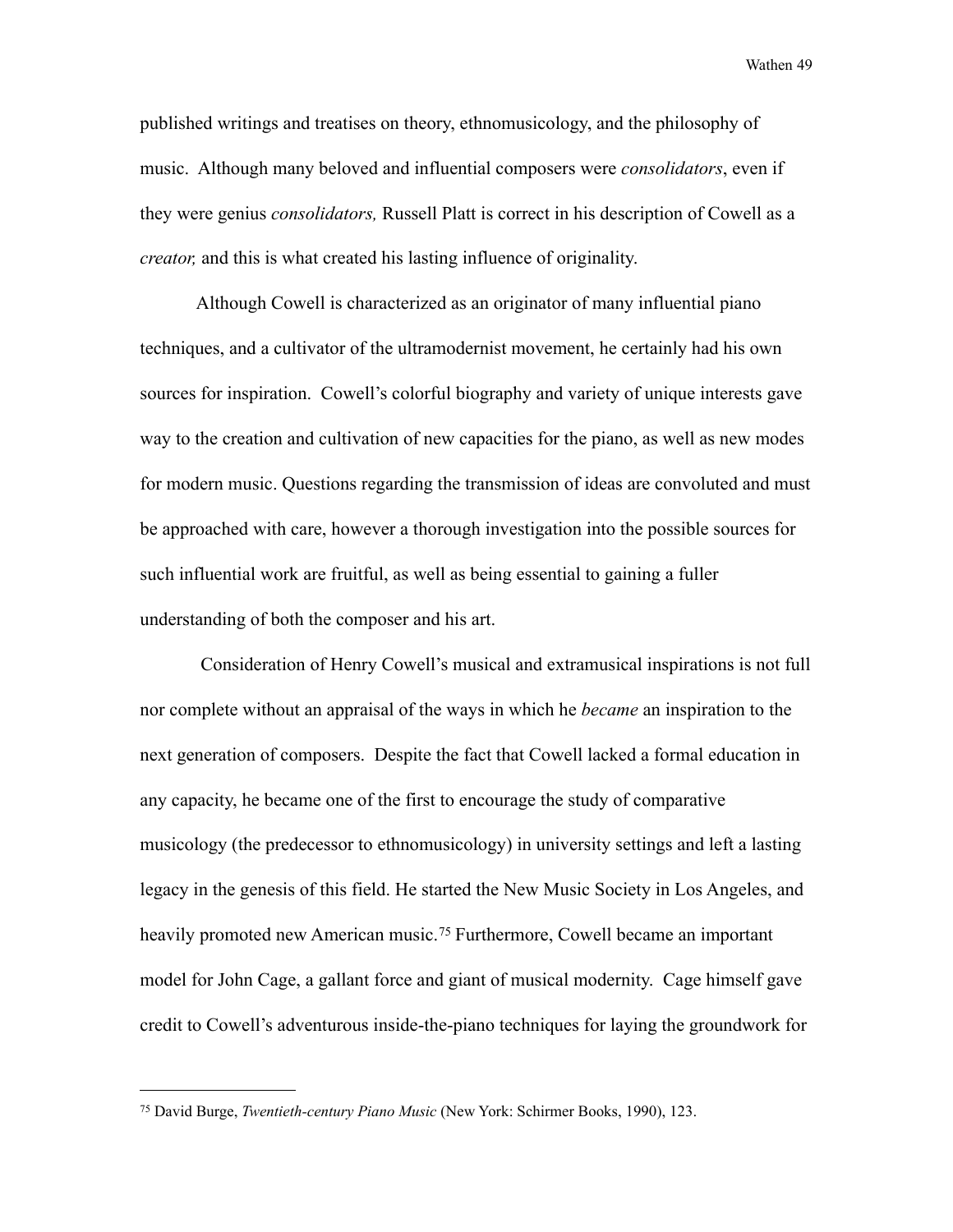published writings and treatises on theory, ethnomusicology, and the philosophy of music. Although many beloved and influential composers were *consolidators*, even if they were genius *consolidators,* Russell Platt is correct in his description of Cowell as a *creator,* and this is what created his lasting influence of originality.

Although Cowell is characterized as an originator of many influential piano techniques, and a cultivator of the ultramodernist movement, he certainly had his own sources for inspiration. Cowell's colorful biography and variety of unique interests gave way to the creation and cultivation of new capacities for the piano, as well as new modes for modern music. Questions regarding the transmission of ideas are convoluted and must be approached with care, however a thorough investigation into the possible sources for such influential work are fruitful, as well as being essential to gaining a fuller understanding of both the composer and his art.

 Consideration of Henry Cowell's musical and extramusical inspirations is not full nor complete without an appraisal of the ways in which he *became* an inspiration to the next generation of composers. Despite the fact that Cowell lacked a formal education in any capacity, he became one of the first to encourage the study of comparative musicology (the predecessor to ethnomusicology) in university settings and left a lasting legacy in the genesis of this field. He started the New Music Society in Los Angeles, and heavily promoted new American music.<sup>75</sup> Furthermore, Cowell became an important model for John Cage, a gallant force and giant of musical modernity. Cage himself gave credit to Cowell's adventurous inside-the-piano techniques for laying the groundwork for

<span id="page-54-0"></span><sup>75</sup> David Burge, *Twentieth-century Piano Music* (New York: Schirmer Books, 1990), 123.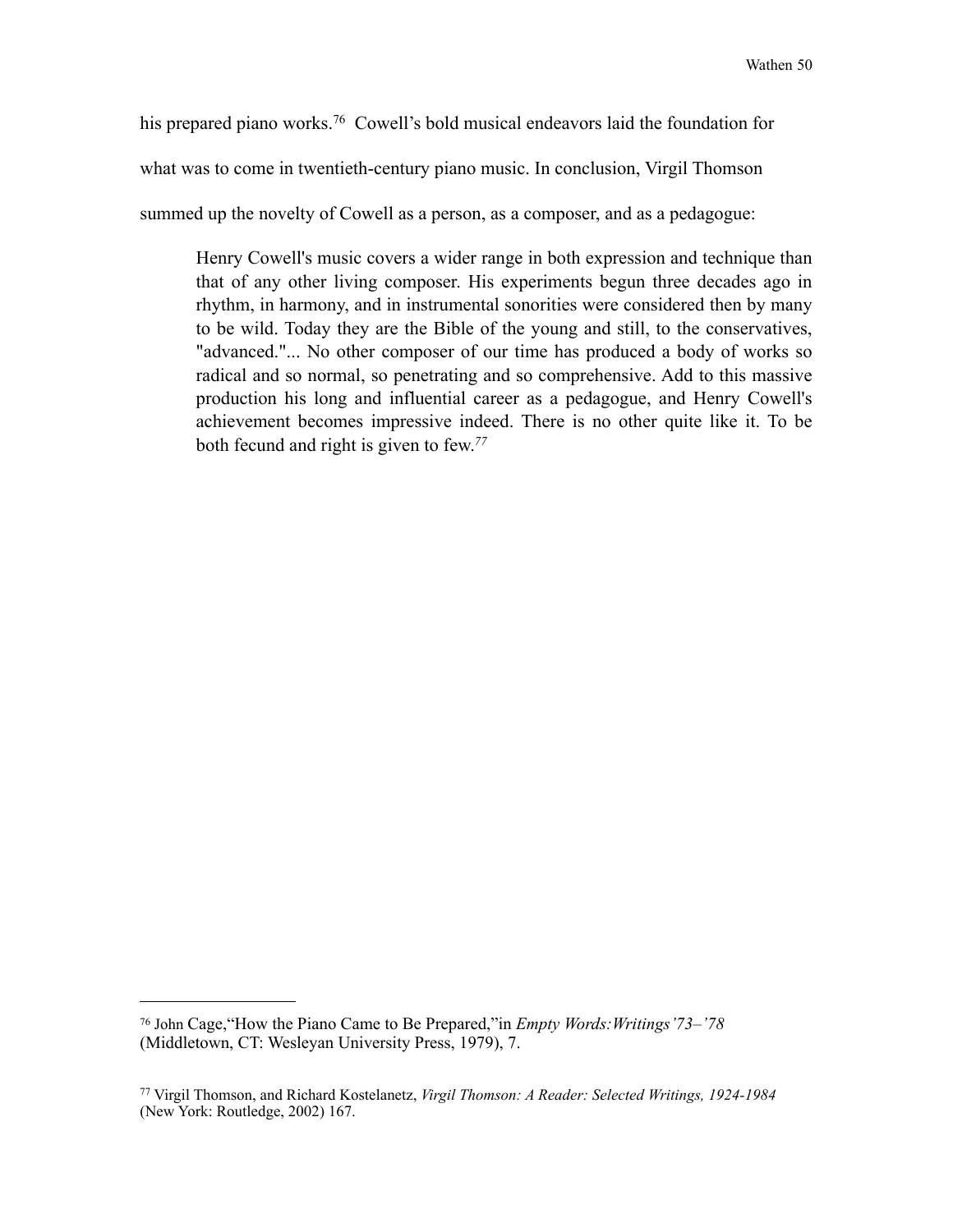his prepared piano works.<sup>76</sup> Cowell's bold musical endeavors laid the foundation for

what was to come in twentieth-century piano music. In conclusion, Virgil Thomson

summed up the novelty of Cowell as a person, as a composer, and as a pedagogue:

Henry Cowell's music covers a wider range in both expression and technique than that of any other living composer. His experiments begun three decades ago in rhythm, in harmony, and in instrumental sonorities were considered then by many to be wild. Today they are the Bible of the young and still, to the conservatives, "advanced."... No other composer of our time has produced a body of works so radical and so normal, so penetrating and so comprehensive. Add to this massive production his long and influential career as a pedagogue, and Henry Cowell's achievement becomes impressive indeed. There is no other quite like it. To be both fecund and right is given to few.*[77](#page-55-1)*

<span id="page-55-0"></span><sup>76</sup> John Cage,"How the Piano Came to Be Prepared,"in *Empty Words:Writings'73–'78*  (Middletown, CT: Wesleyan University Press, 1979), 7.

<span id="page-55-1"></span><sup>77</sup> Virgil Thomson, and Richard Kostelanetz, *Virgil Thomson: A Reader: Selected Writings, 1924-1984* (New York: Routledge, 2002) 167.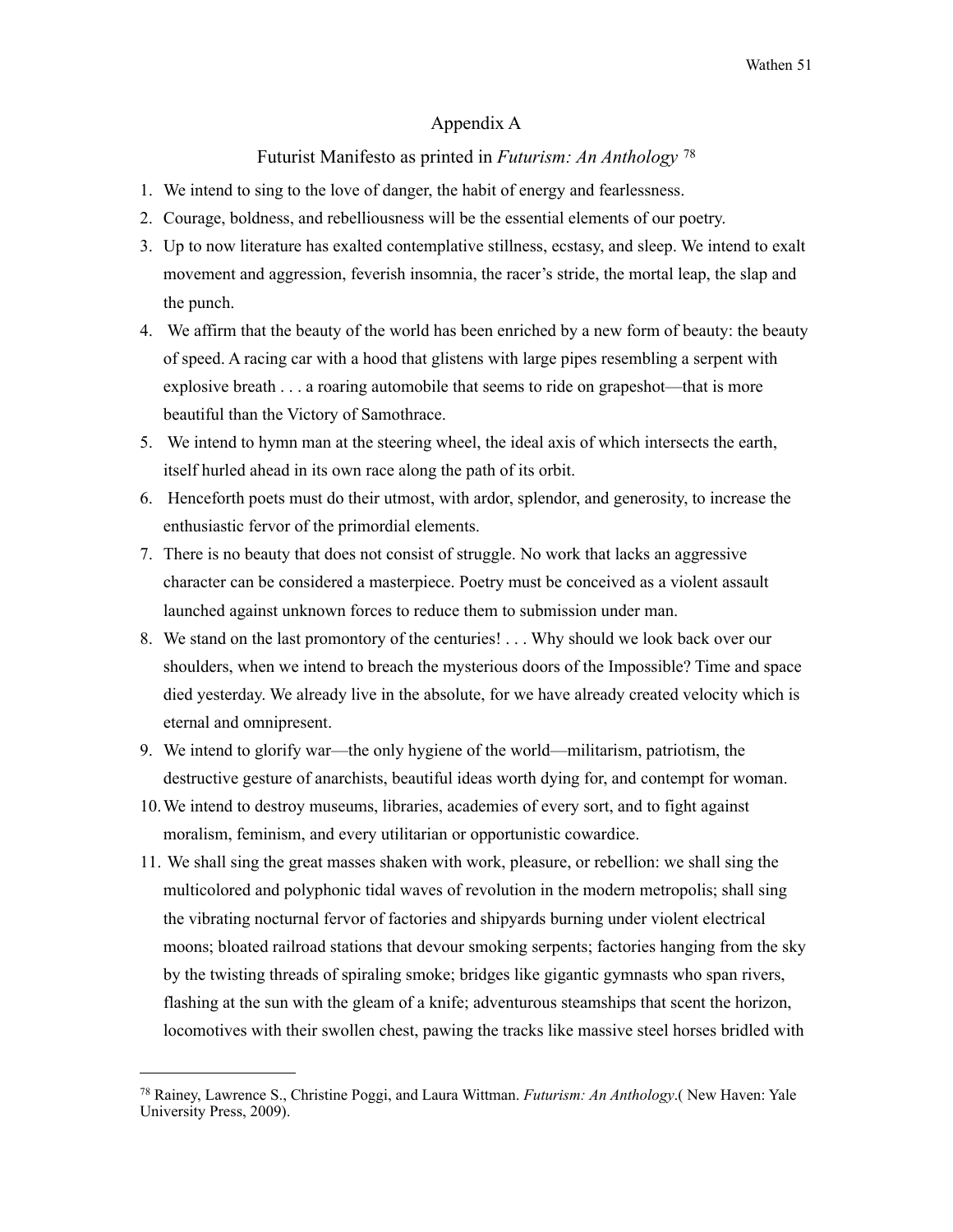#### Appendix A

#### Futurist Manifesto as printed in *Futurism: An Anthology* [78](#page-56-0)

- 1. We intend to sing to the love of danger, the habit of energy and fearlessness.
- 2. Courage, boldness, and rebelliousness will be the essential elements of our poetry.
- 3. Up to now literature has exalted contemplative stillness, ecstasy, and sleep. We intend to exalt movement and aggression, feverish insomnia, the racer's stride, the mortal leap, the slap and the punch.
- 4. We affirm that the beauty of the world has been enriched by a new form of beauty: the beauty of speed. A racing car with a hood that glistens with large pipes resembling a serpent with explosive breath . . . a roaring automobile that seems to ride on grapeshot—that is more beautiful than the Victory of Samothrace.
- 5. We intend to hymn man at the steering wheel, the ideal axis of which intersects the earth, itself hurled ahead in its own race along the path of its orbit.
- 6. Henceforth poets must do their utmost, with ardor, splendor, and generosity, to increase the enthusiastic fervor of the primordial elements.
- 7. There is no beauty that does not consist of struggle. No work that lacks an aggressive character can be considered a masterpiece. Poetry must be conceived as a violent assault launched against unknown forces to reduce them to submission under man.
- 8. We stand on the last promontory of the centuries! . . . Why should we look back over our shoulders, when we intend to breach the mysterious doors of the Impossible? Time and space died yesterday. We already live in the absolute, for we have already created velocity which is eternal and omnipresent.
- 9. We intend to glorify war—the only hygiene of the world—militarism, patriotism, the destructive gesture of anarchists, beautiful ideas worth dying for, and contempt for woman.
- 10.We intend to destroy museums, libraries, academies of every sort, and to fight against moralism, feminism, and every utilitarian or opportunistic cowardice.
- 11. We shall sing the great masses shaken with work, pleasure, or rebellion: we shall sing the multicolored and polyphonic tidal waves of revolution in the modern metropolis; shall sing the vibrating nocturnal fervor of factories and shipyards burning under violent electrical moons; bloated railroad stations that devour smoking serpents; factories hanging from the sky by the twisting threads of spiraling smoke; bridges like gigantic gymnasts who span rivers, flashing at the sun with the gleam of a knife; adventurous steamships that scent the horizon, locomotives with their swollen chest, pawing the tracks like massive steel horses bridled with

<span id="page-56-0"></span><sup>78</sup> Rainey, Lawrence S., Christine Poggi, and Laura Wittman. *Futurism: An Anthology*.( New Haven: Yale University Press, 2009).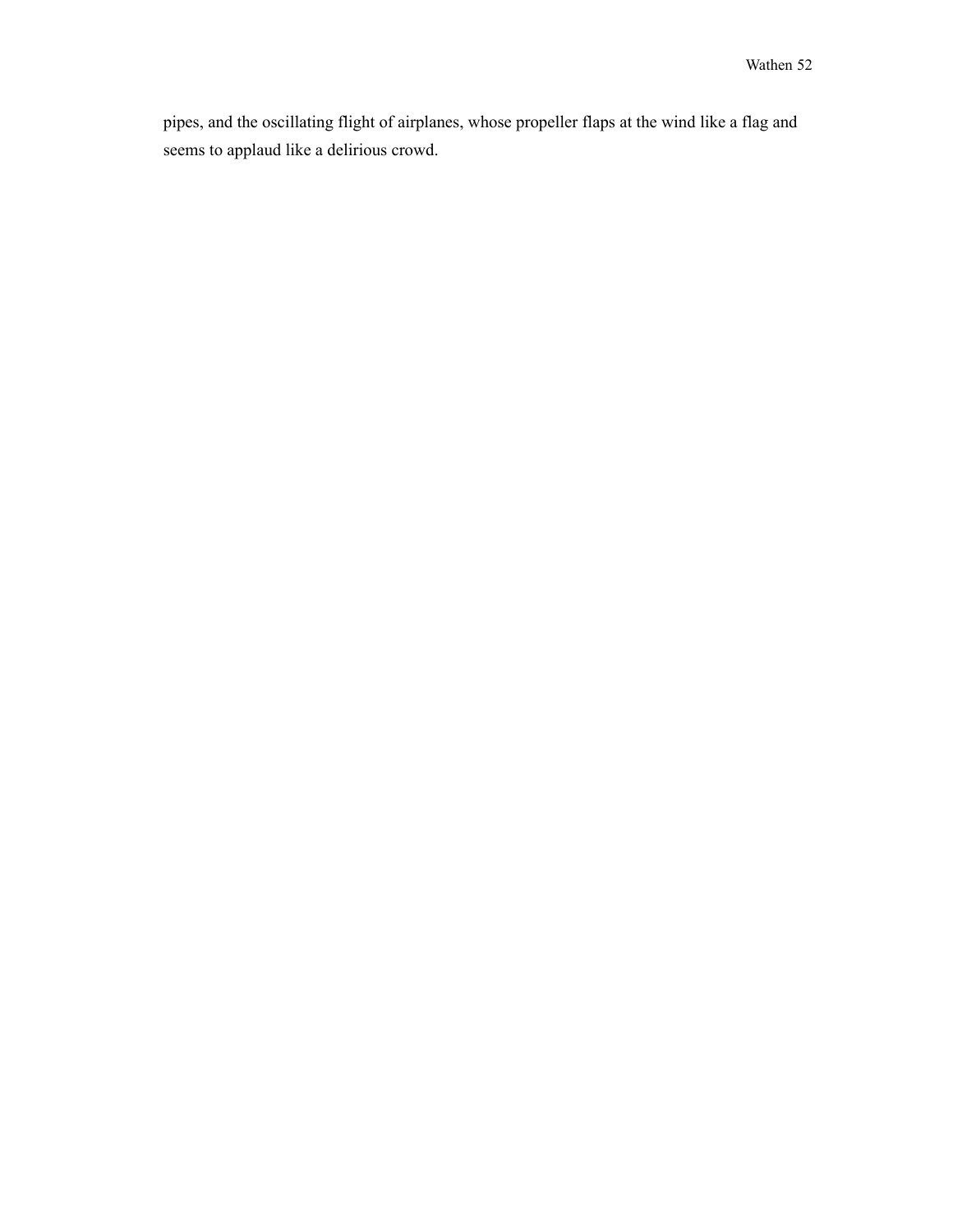pipes, and the oscillating flight of airplanes, whose propeller flaps at the wind like a flag and seems to applaud like a delirious crowd.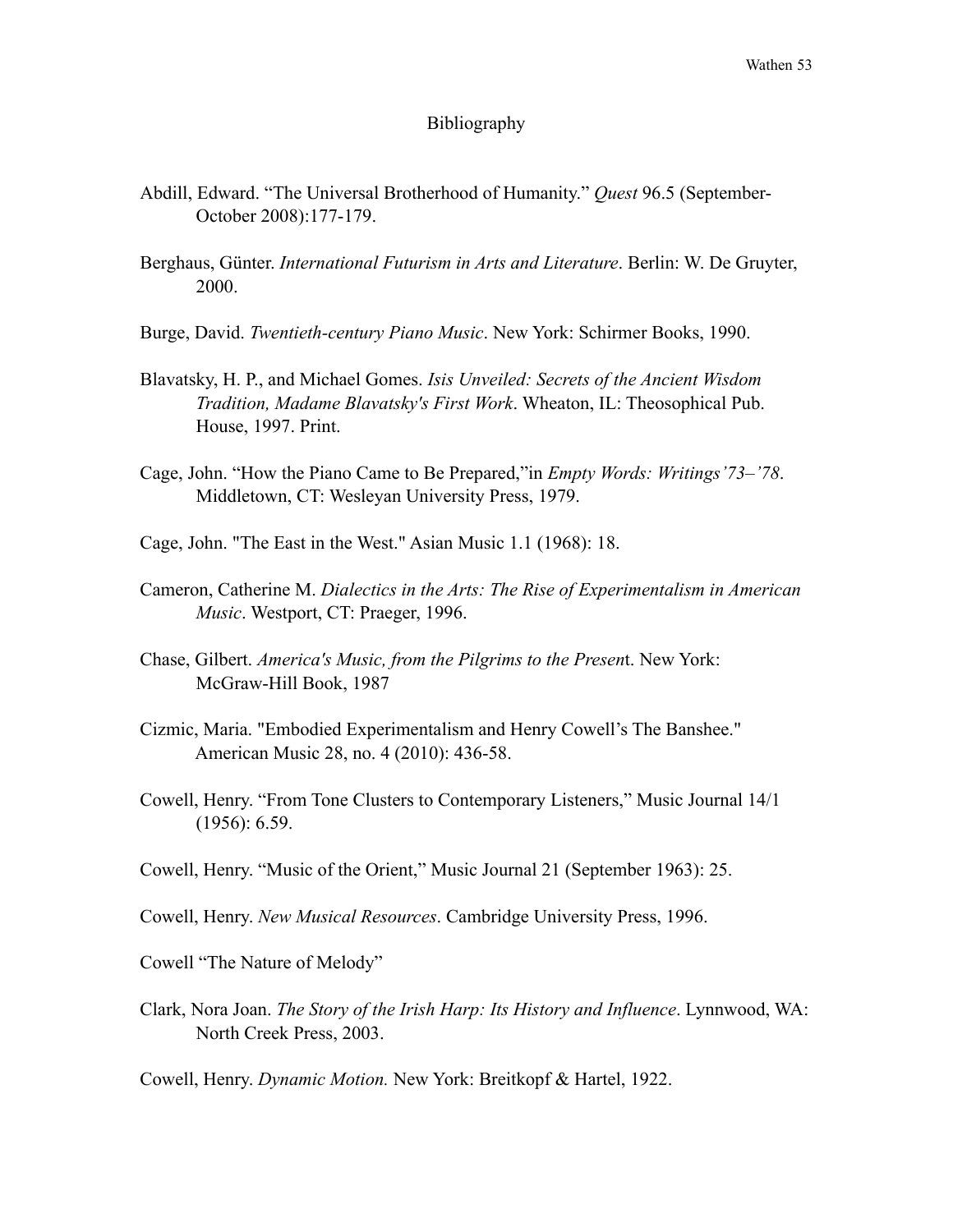#### Bibliography

- Abdill, Edward. "The Universal Brotherhood of Humanity." *Quest* 96.5 (September- October 2008):177-179.
- Berghaus, Günter. *International Futurism in Arts and Literature*. Berlin: W. De Gruyter, 2000.
- Burge, David. *Twentieth-century Piano Music*. New York: Schirmer Books, 1990.
- Blavatsky, H. P., and Michael Gomes. *Isis Unveiled: Secrets of the Ancient Wisdom Tradition, Madame Blavatsky's First Work*. Wheaton, IL: Theosophical Pub. House, 1997. Print.
- Cage, John. "How the Piano Came to Be Prepared,"in *Empty Words: Writings'73–'78*. Middletown, CT: Wesleyan University Press, 1979.
- Cage, John. "The East in the West." Asian Music 1.1 (1968): 18.
- Cameron, Catherine M. *Dialectics in the Arts: The Rise of Experimentalism in American Music*. Westport, CT: Praeger, 1996.
- Chase, Gilbert. *America's Music, from the Pilgrims to the Presen*t. New York: McGraw-Hill Book, 1987
- Cizmic, Maria. "Embodied Experimentalism and Henry Cowell's The Banshee." American Music 28, no. 4 (2010): 436-58.
- Cowell, Henry. "From Tone Clusters to Contemporary Listeners," Music Journal 14/1 (1956): 6.59.
- Cowell, Henry. "Music of the Orient," Music Journal 21 (September 1963): 25.
- Cowell, Henry. *New Musical Resources*. Cambridge University Press, 1996.
- Cowell "The Nature of Melody"
- Clark, Nora Joan. *The Story of the Irish Harp: Its History and Influence*. Lynnwood, WA: North Creek Press, 2003.

Cowell, Henry. *Dynamic Motion.* New York: Breitkopf & Hartel, 1922.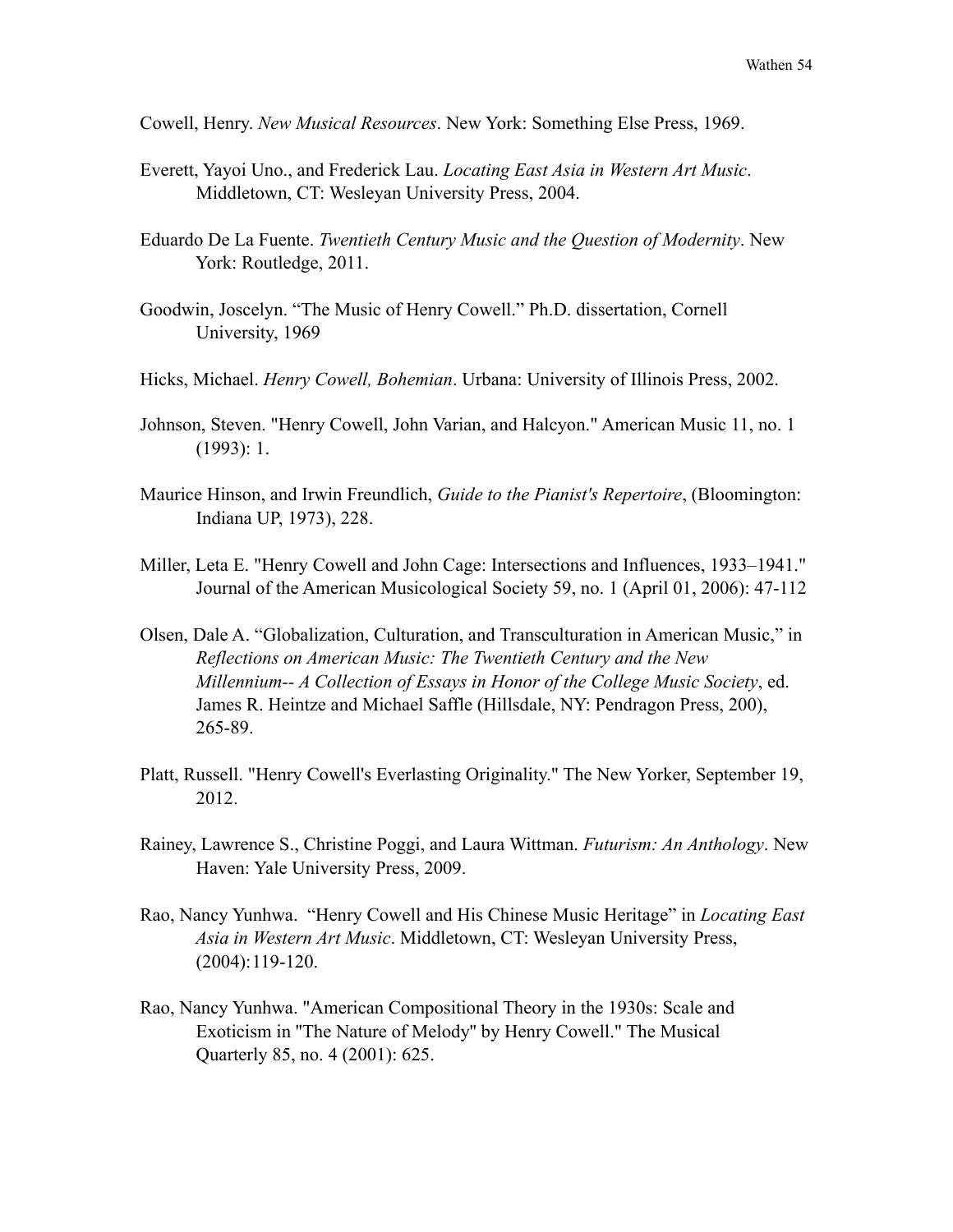Cowell, Henry. *New Musical Resources*. New York: Something Else Press, 1969.

- Everett, Yayoi Uno., and Frederick Lau. *Locating East Asia in Western Art Music*. Middletown, CT: Wesleyan University Press, 2004.
- Eduardo De La Fuente. *Twentieth Century Music and the Question of Modernity*. New York: Routledge, 2011.
- Goodwin, Joscelyn. "The Music of Henry Cowell." Ph.D. dissertation, Cornell University, 1969
- Hicks, Michael. *Henry Cowell, Bohemian*. Urbana: University of Illinois Press, 2002.
- Johnson, Steven. "Henry Cowell, John Varian, and Halcyon." American Music 11, no. 1 (1993): 1.
- Maurice Hinson, and Irwin Freundlich, *Guide to the Pianist's Repertoire*, (Bloomington: Indiana UP, 1973), 228.
- Miller, Leta E. "Henry Cowell and John Cage: Intersections and Influences, 1933–1941." Journal of the American Musicological Society 59, no. 1 (April 01, 2006): 47-112
- Olsen, Dale A. "Globalization, Culturation, and Transculturation in American Music," in *Reflections on American Music: The Twentieth Century and the New Millennium-- A Collection of Essays in Honor of the College Music Society*, ed. James R. Heintze and Michael Saffle (Hillsdale, NY: Pendragon Press, 200), 265-89.
- Platt, Russell. "Henry Cowell's Everlasting Originality." The New Yorker, September 19, 2012.
- Rainey, Lawrence S., Christine Poggi, and Laura Wittman. *Futurism: An Anthology*. New Haven: Yale University Press, 2009.
- Rao, Nancy Yunhwa. "Henry Cowell and His Chinese Music Heritage" in *Locating East Asia in Western Art Music*. Middletown, CT: Wesleyan University Press, (2004): 119-120.
- Rao, Nancy Yunhwa. "American Compositional Theory in the 1930s: Scale and Exoticism in ''The Nature of Melody'' by Henry Cowell." The Musical Quarterly 85, no. 4 (2001): 625.